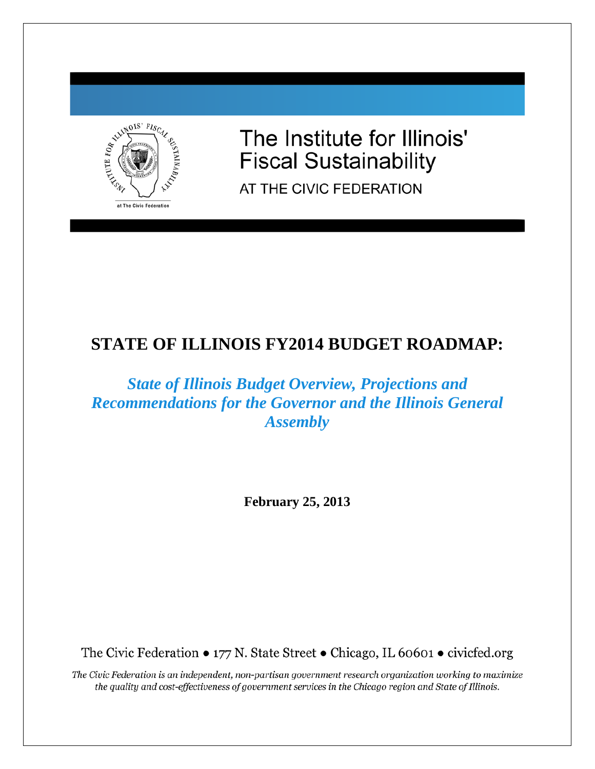

The Institute for Illinois' **Fiscal Sustainability** 

AT THE CIVIC FEDERATION

# **STATE OF ILLINOIS FY2014 BUDGET ROADMAP:**

# *State of Illinois Budget Overview, Projections and Recommendations for the Governor and the Illinois General Assembly*

**February 25, 2013**

The Civic Federation • 177 N. State Street • Chicago, IL 60601 • civicfed.org

The Civic Federation is an independent, non-partisan government research organization working to maximize the quality and cost-effectiveness of government services in the Chicago region and State of Illinois.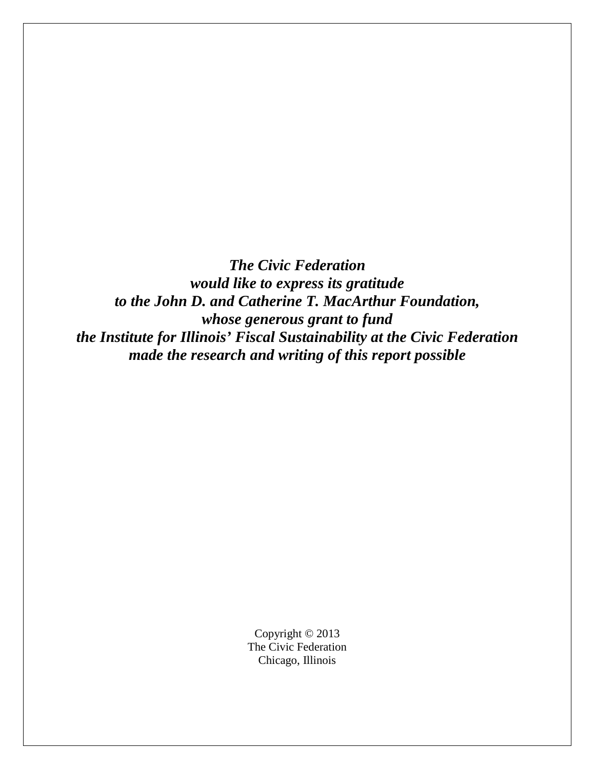*The Civic Federation would like to express its gratitude to the John D. and Catherine T. MacArthur Foundation, whose generous grant to fund the Institute for Illinois' Fiscal Sustainability at the Civic Federation made the research and writing of this report possible* 

> Copyright © 2013 The Civic Federation Chicago, Illinois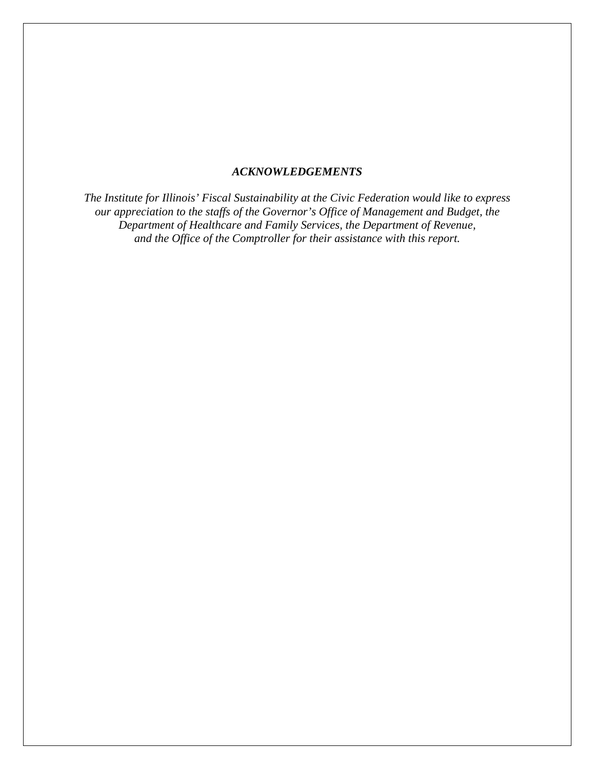## *ACKNOWLEDGEMENTS*

*The Institute for Illinois' Fiscal Sustainability at the Civic Federation would like to express our appreciation to the staffs of the Governor's Office of Management and Budget, the Department of Healthcare and Family Services, the Department of Revenue, and the Office of the Comptroller for their assistance with this report.*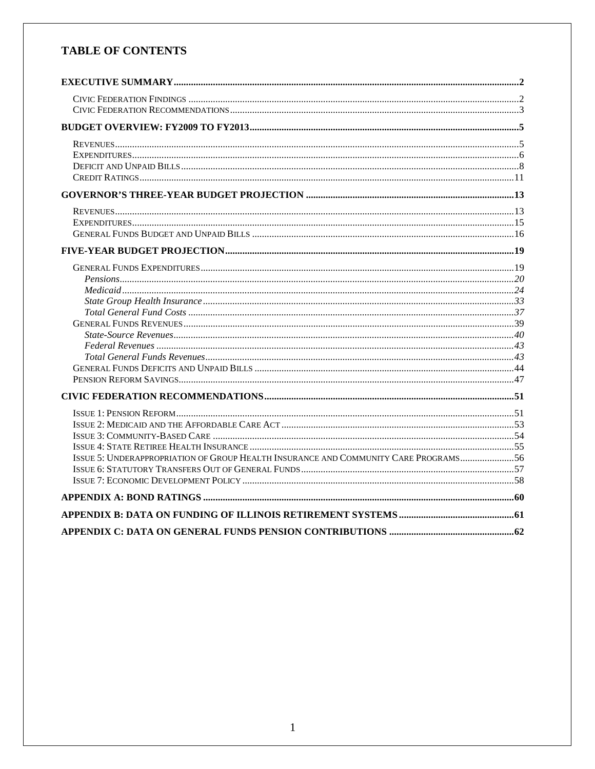# **TABLE OF CONTENTS**

| ISSUE 5: UNDERAPPROPRIATION OF GROUP HEALTH INSURANCE AND COMMUNITY CARE PROGRAMS 56 |  |
|--------------------------------------------------------------------------------------|--|
|                                                                                      |  |
|                                                                                      |  |
|                                                                                      |  |
|                                                                                      |  |
|                                                                                      |  |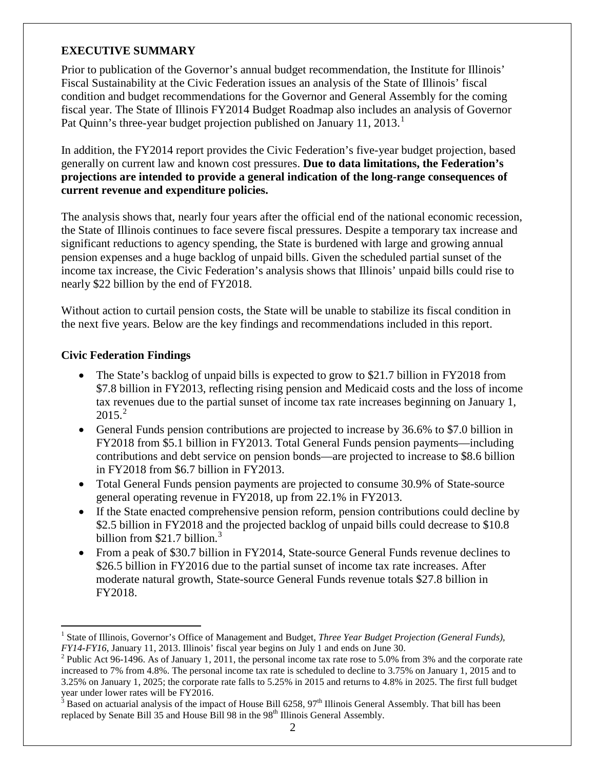# <span id="page-4-0"></span>**EXECUTIVE SUMMARY**

Prior to publication of the Governor's annual budget recommendation, the Institute for Illinois' Fiscal Sustainability at the Civic Federation issues an analysis of the State of Illinois' fiscal condition and budget recommendations for the Governor and General Assembly for the coming fiscal year. The State of Illinois FY2014 Budget Roadmap also includes an analysis of Governor Pat Quinn's three-year budget projection published on January [1](#page-4-2)1, 2013.<sup>1</sup>

In addition, the FY2014 report provides the Civic Federation's five-year budget projection, based generally on current law and known cost pressures. **Due to data limitations, the Federation's projections are intended to provide a general indication of the long-range consequences of current revenue and expenditure policies.** 

The analysis shows that, nearly four years after the official end of the national economic recession, the State of Illinois continues to face severe fiscal pressures. Despite a temporary tax increase and significant reductions to agency spending, the State is burdened with large and growing annual pension expenses and a huge backlog of unpaid bills. Given the scheduled partial sunset of the income tax increase, the Civic Federation's analysis shows that Illinois' unpaid bills could rise to nearly \$22 billion by the end of FY2018.

Without action to curtail pension costs, the State will be unable to stabilize its fiscal condition in the next five years. Below are the key findings and recommendations included in this report.

# <span id="page-4-1"></span>**Civic Federation Findings**

- The State's backlog of unpaid bills is expected to grow to \$21.7 billion in FY2018 from \$7.8 billion in FY2013, reflecting rising pension and Medicaid costs and the loss of income tax revenues due to the partial sunset of income tax rate increases beginning on January 1,  $2015.<sup>2</sup>$  $2015.<sup>2</sup>$
- General Funds pension contributions are projected to increase by 36.6% to \$7.0 billion in FY2018 from \$5.1 billion in FY2013. Total General Funds pension payments—including contributions and debt service on pension bonds—are projected to increase to \$8.6 billion in FY2018 from \$6.7 billion in FY2013.
- Total General Funds pension payments are projected to consume 30.9% of State-source general operating revenue in FY2018, up from 22.1% in FY2013.
- If the State enacted comprehensive pension reform, pension contributions could decline by \$2.5 billion in FY2018 and the projected backlog of unpaid bills could decrease to \$10.8 billion from \$21.7 billion.<sup>[3](#page-4-4)</sup>
- From a peak of \$30.7 billion in FY2014, State-source General Funds revenue declines to \$26.5 billion in FY2016 due to the partial sunset of income tax rate increases. After moderate natural growth, State-source General Funds revenue totals \$27.8 billion in FY2018.

<span id="page-4-2"></span><sup>&</sup>lt;sup>1</sup> State of Illinois, Governor's Office of Management and Budget, *Three Year Budget Projection (General Funds), <i>FY14-FY16*, January 11, 2013. Illinois' fiscal year begins on July 1 and ends on June 30.

<span id="page-4-3"></span><sup>&</sup>lt;sup>2</sup> Public Act 96-1496. As of January 1, 2011, the personal income tax rate rose to 5.0% from 3% and the corporate rate increased to 7% from 4.8%. The personal income tax rate is scheduled to decline to 3.75% on January 1, 2015 and to 3.25% on January 1, 2025; the corporate rate falls to 5.25% in 2015 and returns to 4.8% in 2025. The first full budget year under lower rates will be FY2016.

<span id="page-4-4"></span>Based on actuarial analysis of the impact of House Bill 6258,  $97<sup>th</sup>$  Illinois General Assembly. That bill has been replaced by Senate Bill 35 and House Bill 98 in the 98<sup>th</sup> Illinois General Assembly.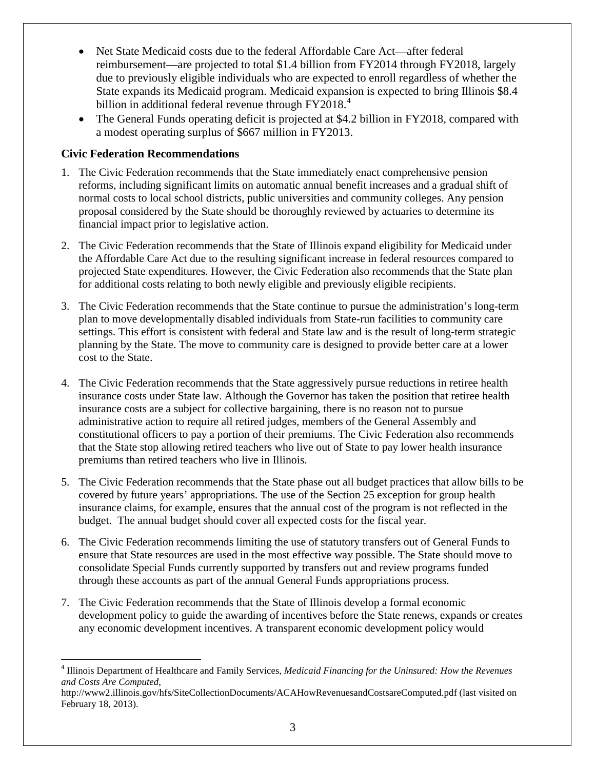- Net State Medicaid costs due to the federal Affordable Care Act—after federal reimbursement—are projected to total \$1.4 billion from FY2014 through FY2018, largely due to previously eligible individuals who are expected to enroll regardless of whether the State expands its Medicaid program. Medicaid expansion is expected to bring Illinois \$8.4 billion in additional federal revenue through FY2018.<sup>[4](#page-5-1)</sup>
- The General Funds operating deficit is projected at \$4.2 billion in FY2018, compared with a modest operating surplus of \$667 million in FY2013.

# <span id="page-5-0"></span>**Civic Federation Recommendations**

- 1. The Civic Federation recommends that the State immediately enact comprehensive pension reforms, including significant limits on automatic annual benefit increases and a gradual shift of normal costs to local school districts, public universities and community colleges. Any pension proposal considered by the State should be thoroughly reviewed by actuaries to determine its financial impact prior to legislative action.
- 2. The Civic Federation recommends that the State of Illinois expand eligibility for Medicaid under the Affordable Care Act due to the resulting significant increase in federal resources compared to projected State expenditures. However, the Civic Federation also recommends that the State plan for additional costs relating to both newly eligible and previously eligible recipients.
- 3. The Civic Federation recommends that the State continue to pursue the administration's long-term plan to move developmentally disabled individuals from State-run facilities to community care settings. This effort is consistent with federal and State law and is the result of long-term strategic planning by the State. The move to community care is designed to provide better care at a lower cost to the State.
- 4. The Civic Federation recommends that the State aggressively pursue reductions in retiree health insurance costs under State law. Although the Governor has taken the position that retiree health insurance costs are a subject for collective bargaining, there is no reason not to pursue administrative action to require all retired judges, members of the General Assembly and constitutional officers to pay a portion of their premiums. The Civic Federation also recommends that the State stop allowing retired teachers who live out of State to pay lower health insurance premiums than retired teachers who live in Illinois.
- 5. The Civic Federation recommends that the State phase out all budget practices that allow bills to be covered by future years' appropriations. The use of the Section 25 exception for group health insurance claims, for example, ensures that the annual cost of the program is not reflected in the budget. The annual budget should cover all expected costs for the fiscal year.
- 6. The Civic Federation recommends limiting the use of statutory transfers out of General Funds to ensure that State resources are used in the most effective way possible. The State should move to consolidate Special Funds currently supported by transfers out and review programs funded through these accounts as part of the annual General Funds appropriations process.
- 7. The Civic Federation recommends that the State of Illinois develop a formal economic development policy to guide the awarding of incentives before the State renews, expands or creates any economic development incentives. A transparent economic development policy would

<span id="page-5-1"></span> <sup>4</sup> Illinois Department of Healthcare and Family Services, *Medicaid Financing for the Uninsured: How the Revenues and Costs Are Computed*,

http://www2.illinois.gov/hfs/SiteCollectionDocuments/ACAHowRevenuesandCostsareComputed.pdf (last visited on February 18, 2013).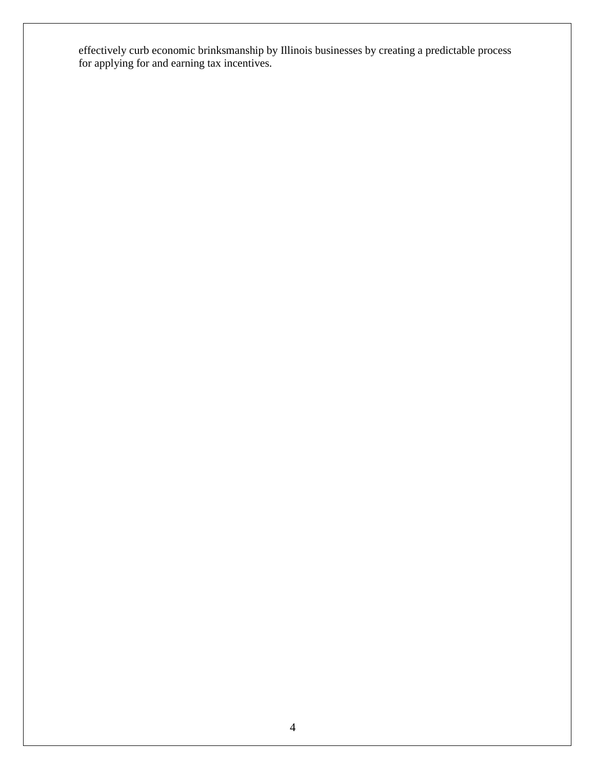effectively curb economic brinksmanship by Illinois businesses by creating a predictable process for applying for and earning tax incentives.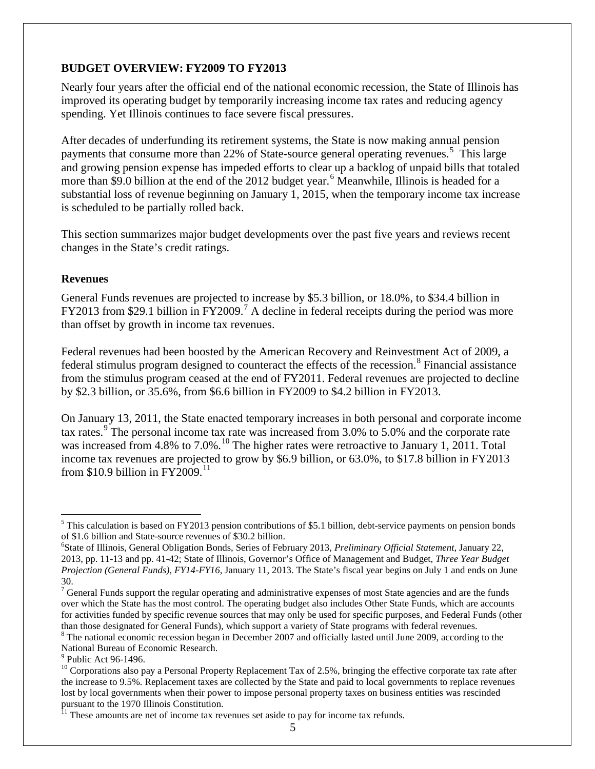### <span id="page-7-0"></span>**BUDGET OVERVIEW: FY2009 TO FY2013**

Nearly four years after the official end of the national economic recession, the State of Illinois has improved its operating budget by temporarily increasing income tax rates and reducing agency spending. Yet Illinois continues to face severe fiscal pressures.

After decades of underfunding its retirement systems, the State is now making annual pension payments that consume more than 22% of State-source general operating revenues.<sup>[5](#page-7-2)</sup> This large and growing pension expense has impeded efforts to clear up a backlog of unpaid bills that totaled more than \$9.0 billion at the end of the 2012 budget year.<sup>[6](#page-7-3)</sup> Meanwhile, Illinois is headed for a substantial loss of revenue beginning on January 1, 2015, when the temporary income tax increase is scheduled to be partially rolled back.

This section summarizes major budget developments over the past five years and reviews recent changes in the State's credit ratings.

#### <span id="page-7-1"></span>**Revenues**

General Funds revenues are projected to increase by \$5.3 billion, or 18.0%, to \$34.4 billion in FY2013 from \$29.1 billion in FY2009.<sup>[7](#page-7-4)</sup> A decline in federal receipts during the period was more than offset by growth in income tax revenues.

Federal revenues had been boosted by the American Recovery and Reinvestment Act of 2009, a federal stimulus program designed to counteract the effects of the recession.<sup>[8](#page-7-5)</sup> Financial assistance from the stimulus program ceased at the end of FY2011. Federal revenues are projected to decline by \$2.3 billion, or 35.6%, from \$6.6 billion in FY2009 to \$4.2 billion in FY2013.

On January 13, 2011, the State enacted temporary increases in both personal and corporate income tax rates.<sup>[9](#page-7-6)</sup> The personal income tax rate was increased from 3.0% to 5.0% and the corporate rate was increased from 4.8% to 7.0%.<sup>[10](#page-7-7)</sup> The higher rates were retroactive to January 1, 2011. Total income tax revenues are projected to grow by \$6.9 billion, or 63.0%, to \$17.8 billion in FY2013 from \$10.9 billion in  $FY2009$ .<sup>[11](#page-7-8)</sup>

<span id="page-7-2"></span> $<sup>5</sup>$  This calculation is based on FY2013 pension contributions of \$5.1 billion, debt-service payments on pension bonds</sup> of \$1.6 billion and State-source revenues of \$30.2 billion. <sup>6</sup>

<span id="page-7-3"></span>State of Illinois, General Obligation Bonds, Series of February 2013, *Preliminary Official Statement*, January 22, 2013, pp. 11-13 and pp. 41-42; State of Illinois, Governor's Office of Management and Budget, *Three Year Budget Projection (General Funds), FY14-FY16*, January 11, 2013. The State's fiscal year begins on July 1 and ends on June 30.

<span id="page-7-4"></span> $7$  General Funds support the regular operating and administrative expenses of most State agencies and are the funds over which the State has the most control. The operating budget also includes Other State Funds, which are accounts for activities funded by specific revenue sources that may only be used for specific purposes, and Federal Funds (other than those designated for General Funds), which support a variety of State programs with federal revenues.

<span id="page-7-5"></span> $8$  The national economic recession began in December 2007 and officially lasted until June 2009, according to the National Bureau of Economic Research.<br><sup>9</sup> Public Act 96-1496.

<span id="page-7-7"></span><span id="page-7-6"></span> $^{10}$  Corporations also pay a Personal Property Replacement Tax of 2.5%, bringing the effective corporate tax rate after the increase to 9.5%. Replacement taxes are collected by the State and paid to local governments to replace revenues lost by local governments when their power to impose personal property taxes on business entities was rescinded pursuant to the 1970 Illinois Constitution.

<span id="page-7-8"></span> $\frac{11}{11}$  These amounts are net of income tax revenues set aside to pay for income tax refunds.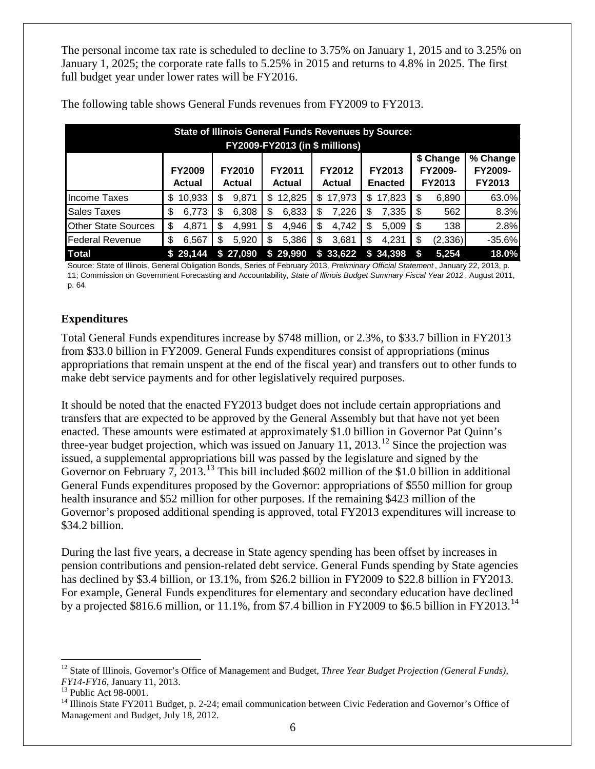The personal income tax rate is scheduled to decline to 3.75% on January 1, 2015 and to 3.25% on January 1, 2025; the corporate rate falls to 5.25% in 2015 and returns to 4.8% in 2025. The first full budget year under lower rates will be FY2016.

|                            | <b>State of Illinois General Funds Revenues by Source:</b><br><b>FY2009-FY2013 (in \$ millions)</b> |                                |                                |                         |                                 |                                |                               |  |  |  |  |  |
|----------------------------|-----------------------------------------------------------------------------------------------------|--------------------------------|--------------------------------|-------------------------|---------------------------------|--------------------------------|-------------------------------|--|--|--|--|--|
|                            | <b>FY2009</b><br><b>Actual</b>                                                                      | <b>FY2010</b><br><b>Actual</b> | <b>FY2011</b><br><b>Actual</b> | FY2012<br><b>Actual</b> | <b>FY2013</b><br><b>Enacted</b> | \$ Change<br>FY2009-<br>FY2013 | % Change<br>FY2009-<br>FY2013 |  |  |  |  |  |
| Income Taxes               | 10,933<br>S                                                                                         | 9,871<br>S                     | 12,825<br>\$.                  | 17,973<br>S             | 17,823<br>\$.                   | \$<br>6,890                    | 63.0%                         |  |  |  |  |  |
| <b>Sales Taxes</b>         | 6,773<br>\$                                                                                         | 6,308<br>S                     | 6,833<br>S                     | 7,226<br>\$             | 7,335<br>\$                     | 562<br>\$                      | 8.3%                          |  |  |  |  |  |
| <b>Other State Sources</b> | \$<br>4,871                                                                                         | 4,991<br>S                     | 4,946<br>S                     | 4,742<br>\$             | 5,009<br>S                      | \$<br>138                      | 2.8%                          |  |  |  |  |  |
| <b>Federal Revenue</b>     | \$<br>6,567                                                                                         | 5,920<br>S                     | 5,386<br>S                     | 3,681<br>S              | 4,231<br>\$                     | \$<br>(2, 336)                 | $-35.6%$                      |  |  |  |  |  |
| <b>Total</b>               | 29,144<br>S.                                                                                        | 27,090<br>\$.                  | \$29,990                       | \$33,622                | \$34,398                        | 5,254<br>S                     | 18.0%                         |  |  |  |  |  |

The following table shows General Funds revenues from FY2009 to FY2013.

Source: State of Illinois, General Obligation Bonds, Series of February 2013, *Preliminary Official Statement* , January 22, 2013, p. 11; Commission on Government Forecasting and Accountability, *State of Illinois Budget Summary Fiscal Year 2012* , August 2011, p. 64.

# <span id="page-8-0"></span>**Expenditures**

Total General Funds expenditures increase by \$748 million, or 2.3%, to \$33.7 billion in FY2013 from \$33.0 billion in FY2009. General Funds expenditures consist of appropriations (minus appropriations that remain unspent at the end of the fiscal year) and transfers out to other funds to make debt service payments and for other legislatively required purposes.

It should be noted that the enacted FY2013 budget does not include certain appropriations and transfers that are expected to be approved by the General Assembly but that have not yet been enacted. These amounts were estimated at approximately \$1.0 billion in Governor Pat Quinn's three-year budget projection, which was issued on January 11, 2013.<sup>[12](#page-8-1)</sup> Since the projection was issued, a supplemental appropriations bill was passed by the legislature and signed by the Governor on February 7, 20[13](#page-8-2).<sup>13</sup> This bill included \$602 million of the \$1.0 billion in additional General Funds expenditures proposed by the Governor: appropriations of \$550 million for group health insurance and \$52 million for other purposes. If the remaining \$423 million of the Governor's proposed additional spending is approved, total FY2013 expenditures will increase to \$34.2 billion.

During the last five years, a decrease in State agency spending has been offset by increases in pension contributions and pension-related debt service. General Funds spending by State agencies has declined by \$3.4 billion, or 13.1%, from \$26.2 billion in FY2009 to \$22.8 billion in FY2013. For example, General Funds expenditures for elementary and secondary education have declined by a projected \$816.6 million, or 11.1%, from \$7.4 billion in FY2009 to \$6.5 billion in FY2013.<sup>[14](#page-8-3)</sup>

<span id="page-8-1"></span><sup>&</sup>lt;sup>12</sup> State of Illinois, Governor's Office of Management and Budget, *Three Year Budget Projection (General Funds)*,

<span id="page-8-3"></span><span id="page-8-2"></span>

*FY14-FY16*, January 11, 2013.<br><sup>13</sup> Public Act 98-0001.<br><sup>14</sup> Illinois State FY2011 Budget, p. 2-24; email communication between Civic Federation and Governor's Office of Management and Budget, July 18, 2012.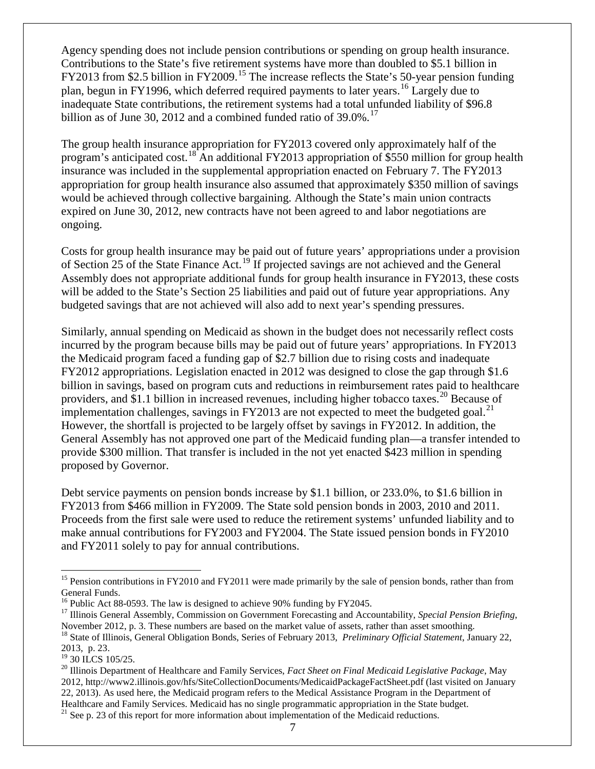Agency spending does not include pension contributions or spending on group health insurance. Contributions to the State's five retirement systems have more than doubled to \$5.1 billion in FY2013 from \$2.5 billion in FY2009.<sup>[15](#page-9-0)</sup> The increase reflects the State's 50-year pension funding plan, begun in FY1996, which deferred required payments to later years.[16](#page-9-1) Largely due to inadequate State contributions, the retirement systems had a total unfunded liability of \$96.8 billion as of June 30, 2012 and a combined funded ratio of  $39.0\%$ .<sup>[17](#page-9-2)</sup>

The group health insurance appropriation for FY2013 covered only approximately half of the program's anticipated cost.<sup>[18](#page-9-3)</sup> An additional FY2013 appropriation of \$550 million for group health insurance was included in the supplemental appropriation enacted on February 7. The FY2013 appropriation for group health insurance also assumed that approximately \$350 million of savings would be achieved through collective bargaining. Although the State's main union contracts expired on June 30, 2012, new contracts have not been agreed to and labor negotiations are ongoing.

Costs for group health insurance may be paid out of future years' appropriations under a provision of Section 25 of the State Finance Act.[19](#page-9-4) If projected savings are not achieved and the General Assembly does not appropriate additional funds for group health insurance in FY2013, these costs will be added to the State's Section 25 liabilities and paid out of future year appropriations. Any budgeted savings that are not achieved will also add to next year's spending pressures.

Similarly, annual spending on Medicaid as shown in the budget does not necessarily reflect costs incurred by the program because bills may be paid out of future years' appropriations. In FY2013 the Medicaid program faced a funding gap of \$2.7 billion due to rising costs and inadequate FY2012 appropriations. Legislation enacted in 2012 was designed to close the gap through \$1.6 billion in savings, based on program cuts and reductions in reimbursement rates paid to healthcare providers, and  $\frac{81.1}{1}$  billion in increased revenues, including higher tobacco taxes.<sup>[20](#page-9-5)</sup> Because of implementation challenges, savings in FY2013 are not expected to meet the budgeted goal.<sup>[21](#page-9-6)</sup> However, the shortfall is projected to be largely offset by savings in FY2012. In addition, the General Assembly has not approved one part of the Medicaid funding plan—a transfer intended to provide \$300 million. That transfer is included in the not yet enacted \$423 million in spending proposed by Governor.

Debt service payments on pension bonds increase by \$1.1 billion, or 233.0%, to \$1.6 billion in FY2013 from \$466 million in FY2009. The State sold pension bonds in 2003, 2010 and 2011. Proceeds from the first sale were used to reduce the retirement systems' unfunded liability and to make annual contributions for FY2003 and FY2004. The State issued pension bonds in FY2010 and FY2011 solely to pay for annual contributions.

<span id="page-9-0"></span><sup>&</sup>lt;sup>15</sup> Pension contributions in FY2010 and FY2011 were made primarily by the sale of pension bonds, rather than from General Funds.<br><sup>16</sup> Public Act 88-0593. The law is designed to achieve 90% funding by FY2045.

<span id="page-9-2"></span><span id="page-9-1"></span><sup>&</sup>lt;sup>17</sup> Illinois General Assembly, Commission on Government Forecasting and Accountability, *Special Pension Briefing*, November 2012, p. 3. These numbers are based on the market value of assets, rather than asset smoothing.<br><sup>18</sup> State of Illinois, General Obligation Bonds, Series of February 2013, *Preliminary Official Statement*, January

<span id="page-9-3"></span><sup>2013,</sup> p. 23.<br><sup>19</sup> 30 ILCS 105/25.

<span id="page-9-5"></span><span id="page-9-4"></span><sup>&</sup>lt;sup>20</sup> Illinois Department of Healthcare and Family Services, *Fact Sheet on Final Medicaid Legislative Package*, May 2012, http://www2.illinois.gov/hfs/SiteCollectionDocuments/MedicaidPackageFactSheet.pdf (last visited on January 22, 2013). As used here, the Medicaid program refers to the Medical Assistance Program in the Department of Healthcare and Family Services. Medicaid has no single programmatic appropriation in the State budget.

<span id="page-9-6"></span> $21$  See p. [23](#page-26-0) of this report for more information about implementation of the Medicaid reductions.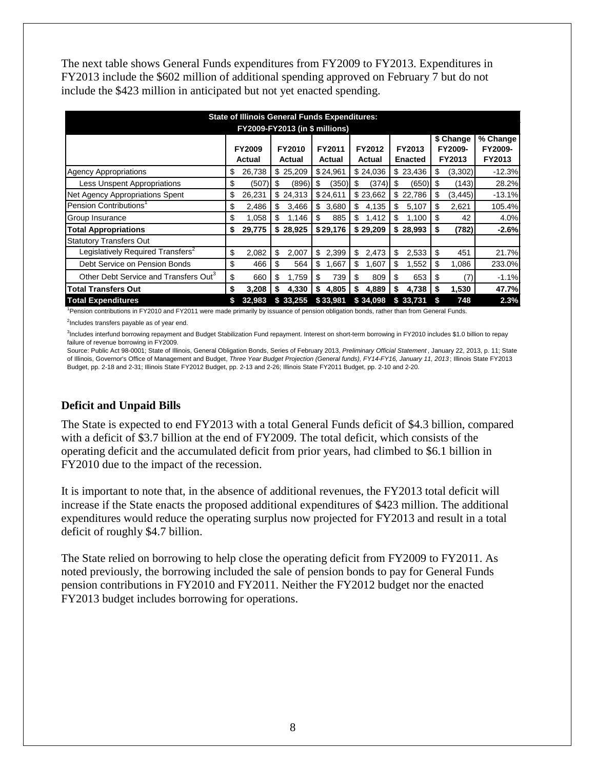The next table shows General Funds expenditures from FY2009 to FY2013. Expenditures in FY2013 include the \$602 million of additional spending approved on February 7 but do not include the \$423 million in anticipated but not yet enacted spending.

|                                                   |    | <b>State of Illinois General Funds Expenditures:</b>                                                            |    |          |    |          |    |          |    |          |    |                                |                               |
|---------------------------------------------------|----|-----------------------------------------------------------------------------------------------------------------|----|----------|----|----------|----|----------|----|----------|----|--------------------------------|-------------------------------|
| <b>FY2009-FY2013 (in \$ millions)</b>             |    |                                                                                                                 |    |          |    |          |    |          |    |          |    |                                |                               |
|                                                   |    | FY2010<br>FY2011<br>FY2013<br><b>FY2009</b><br>FY2012<br>Actual<br><b>Enacted</b><br>Actual<br>Actual<br>Actual |    |          |    |          |    |          |    |          |    | \$ Change<br>FY2009-<br>FY2013 | % Change<br>FY2009-<br>FY2013 |
| <b>Agency Appropriations</b>                      | \$ | 26,738                                                                                                          |    | \$25,209 |    | \$24,961 |    | \$24,036 |    | \$23,436 | \$ | (3,302)                        | $-12.3%$                      |
| <b>Less Unspent Appropriations</b>                | \$ | (507)                                                                                                           | S  | (896)    | \$ | (350)    | S  | (374)    | \$ | (650)    | S  | (143)                          | 28.2%                         |
| Net Agency Appropriations Spent                   | \$ | 26,231                                                                                                          |    | \$24,313 |    | \$24,611 |    | \$23,662 |    | \$22,786 | \$ | (3, 445)                       | $-13.1%$                      |
| Pension Contributions <sup>1</sup>                | \$ | 2,486                                                                                                           | \$ | 3,466    | \$ | 3,680    | \$ | 4,135    | \$ | 5,107    | \$ | 2,621                          | 105.4%                        |
| Group Insurance                                   | \$ | 1,058                                                                                                           | \$ | 1,146    | \$ | 885      | \$ | 1,412    | \$ | 1,100    | \$ | 42                             | 4.0%                          |
| <b>Total Appropriations</b>                       | \$ | 29,775                                                                                                          |    | \$28,925 |    | \$29,176 |    | \$29.209 |    | \$28.993 | S  | (782)                          | $-2.6%$                       |
| <b>Statutory Transfers Out</b>                    |    |                                                                                                                 |    |          |    |          |    |          |    |          |    |                                |                               |
| Legislatively Required Transfers <sup>2</sup>     | \$ | 2,082                                                                                                           | \$ | 2,007    | \$ | 2,399    | \$ | 2,473    | \$ | 2,533    | \$ | 451                            | 21.7%                         |
| Debt Service on Pension Bonds                     | \$ | 466                                                                                                             | \$ | 564      | \$ | 1,667    | \$ | 1,607    | \$ | 1,552    | \$ | 1,086                          | 233.0%                        |
| Other Debt Service and Transfers Out <sup>3</sup> | \$ | 660                                                                                                             | \$ | 1,759    | \$ | 739      | \$ | 809      | \$ | 653      | S  | (7)                            | $-1.1%$                       |
| <b>Total Transfers Out</b>                        | \$ | 3,208                                                                                                           | \$ | 4,330    | \$ | 4,805    | \$ | 4,889    | \$ | 4,738    | \$ | 1,530                          | 47.7%                         |
| <b>Total Expenditures</b>                         |    | 32,983                                                                                                          |    | \$33,255 |    | \$33,981 |    | \$34,098 |    | \$33,731 |    | 748                            | 2.3%                          |

<sup>1</sup> Pension contributions in FY2010 and FY2011 were made primarily by issuance of pension obligation bonds, rather than from General Funds.

<sup>2</sup>Includes transfers payable as of year end.

3 Includes interfund borrowing repayment and Budget Stabilization Fund repayment. Interest on short-term borrowing in FY2010 includes \$1.0 billion to repay failure of revenue borrowing in FY2009.

Source: Public Act 98-0001; State of Illinois, General Obligation Bonds, Series of February 2013, *Preliminary Official Statement* , January 22, 2013, p. 11; State of Illinois, Governor's Office of Management and Budget, *Three Year Budget Projection (General funds), FY14-FY16, January 11, 2013* ; Illinois State FY2013 Budget, pp. 2-18 and 2-31; Illinois State FY2012 Budget, pp. 2-13 and 2-26; Illinois State FY2011 Budget, pp. 2-10 and 2-20.

# <span id="page-10-0"></span>**Deficit and Unpaid Bills**

The State is expected to end FY2013 with a total General Funds deficit of \$4.3 billion, compared with a deficit of \$3.7 billion at the end of FY2009. The total deficit, which consists of the operating deficit and the accumulated deficit from prior years, had climbed to \$6.1 billion in FY2010 due to the impact of the recession.

It is important to note that, in the absence of additional revenues, the FY2013 total deficit will increase if the State enacts the proposed additional expenditures of \$423 million. The additional expenditures would reduce the operating surplus now projected for FY2013 and result in a total deficit of roughly \$4.7 billion.

The State relied on borrowing to help close the operating deficit from FY2009 to FY2011. As noted previously, the borrowing included the sale of pension bonds to pay for General Funds pension contributions in FY2010 and FY2011. Neither the FY2012 budget nor the enacted FY2013 budget includes borrowing for operations.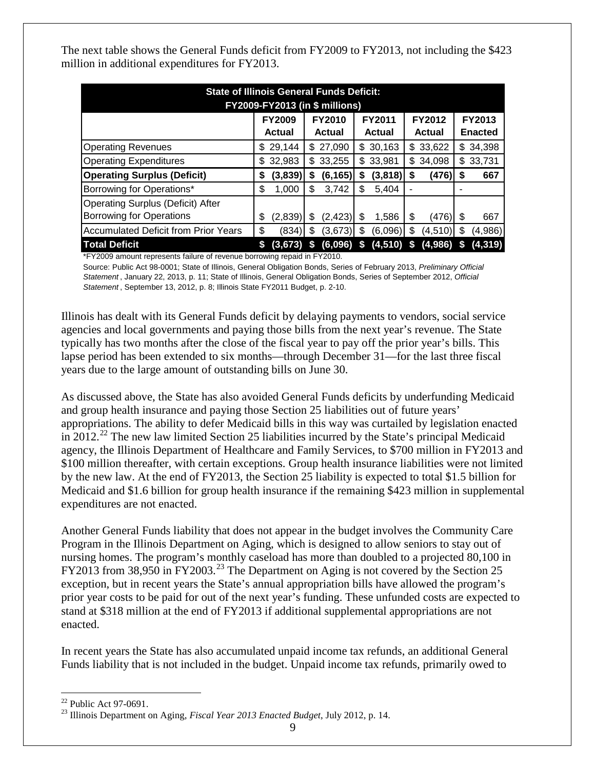The next table shows the General Funds deficit from FY2009 to FY2013, not including the \$423 million in additional expenditures for FY2013.

| <b>State of Illinois General Funds Deficit:</b><br><b>FY2009-FY2013 (in \$ millions)</b>                                                                                                                                                              |                                                                                                                        |          |    |          |    |          |     |          |     |                                 |  |
|-------------------------------------------------------------------------------------------------------------------------------------------------------------------------------------------------------------------------------------------------------|------------------------------------------------------------------------------------------------------------------------|----------|----|----------|----|----------|-----|----------|-----|---------------------------------|--|
|                                                                                                                                                                                                                                                       | <b>FY2010</b><br><b>FY2009</b><br><b>FY2011</b><br>FY2012<br><b>Actual</b><br><b>Actual</b><br>Actual<br><b>Actual</b> |          |    |          |    |          |     |          |     | <b>FY2013</b><br><b>Enacted</b> |  |
| <b>Operating Revenues</b>                                                                                                                                                                                                                             | S                                                                                                                      | 29,144   |    | \$27,090 |    | \$30,163 |     | \$33,622 |     | \$34,398                        |  |
| <b>Operating Expenditures</b>                                                                                                                                                                                                                         | S                                                                                                                      | 32,983   | \$ | 33,255   | \$ | 33,981   | \$. | 34,098   |     | \$33,731                        |  |
| <b>Operating Surplus (Deficit)</b>                                                                                                                                                                                                                    | \$                                                                                                                     | (3,839)  | S  | (6, 165) | S  | (3,818)  | S   | (476)    | S   | 667                             |  |
| Borrowing for Operations*                                                                                                                                                                                                                             | S                                                                                                                      | 1,000    | S  | 3,742    | S  | 5,404    |     |          |     |                                 |  |
| <b>Operating Surplus (Deficit) After</b><br><b>Borrowing for Operations</b>                                                                                                                                                                           | S                                                                                                                      | (2,839)  | S  | (2,423)  | \$ | 1,586    | \$  | (476)    | S   | 667                             |  |
| <b>Accumulated Deficit from Prior Years</b>                                                                                                                                                                                                           | \$                                                                                                                     | (834)    | S  | (3,673)  | S  | (6,096)  | S   | (4,510)  | \$. | (4,986)                         |  |
| <b>Total Deficit</b><br>. The contract of the contract of the contract of the contract of the contract of the contract of the contract of the contract of the contract of the contract of the contract of the contract of the contract of the contrac |                                                                                                                        | (3, 673) |    | (6,096)  | S  | (4, 510) | S   | (4,986)  |     | (4, 319)                        |  |

\*FY2009 amount represents failure of revenue borrowing repaid in FY2010.

Source: Public Act 98-0001; State of Illinois, General Obligation Bonds, Series of February 2013, *Preliminary Official Statement* , January 22, 2013, p. 11; State of Illinois, General Obligation Bonds, Series of September 2012, *Official Statement* , September 13, 2012, p. 8; Illinois State FY2011 Budget, p. 2-10.

Illinois has dealt with its General Funds deficit by delaying payments to vendors, social service agencies and local governments and paying those bills from the next year's revenue. The State typically has two months after the close of the fiscal year to pay off the prior year's bills. This lapse period has been extended to six months—through December 31—for the last three fiscal years due to the large amount of outstanding bills on June 30.

As discussed above, the State has also avoided General Funds deficits by underfunding Medicaid and group health insurance and paying those Section 25 liabilities out of future years' appropriations. The ability to defer Medicaid bills in this way was curtailed by legislation enacted in 2012.<sup>[22](#page-11-0)</sup> The new law limited Section 25 liabilities incurred by the State's principal Medicaid agency, the Illinois Department of Healthcare and Family Services, to \$700 million in FY2013 and \$100 million thereafter, with certain exceptions. Group health insurance liabilities were not limited by the new law. At the end of FY2013, the Section 25 liability is expected to total \$1.5 billion for Medicaid and \$1.6 billion for group health insurance if the remaining \$423 million in supplemental expenditures are not enacted.

Another General Funds liability that does not appear in the budget involves the Community Care Program in the Illinois Department on Aging, which is designed to allow seniors to stay out of nursing homes. The program's monthly caseload has more than doubled to a projected 80,100 in FY2013 from 38,950 in FY2003.<sup>[23](#page-11-1)</sup> The Department on Aging is not covered by the Section 25 exception, but in recent years the State's annual appropriation bills have allowed the program's prior year costs to be paid for out of the next year's funding. These unfunded costs are expected to stand at \$318 million at the end of FY2013 if additional supplemental appropriations are not enacted.

In recent years the State has also accumulated unpaid income tax refunds, an additional General Funds liability that is not included in the budget. Unpaid income tax refunds, primarily owed to

<span id="page-11-1"></span><span id="page-11-0"></span><sup>22</sup> Public Act 97-0691. <sup>23</sup> Illinois Department on Aging, *Fiscal Year 2013 Enacted Budget*, July 2012, p. 14.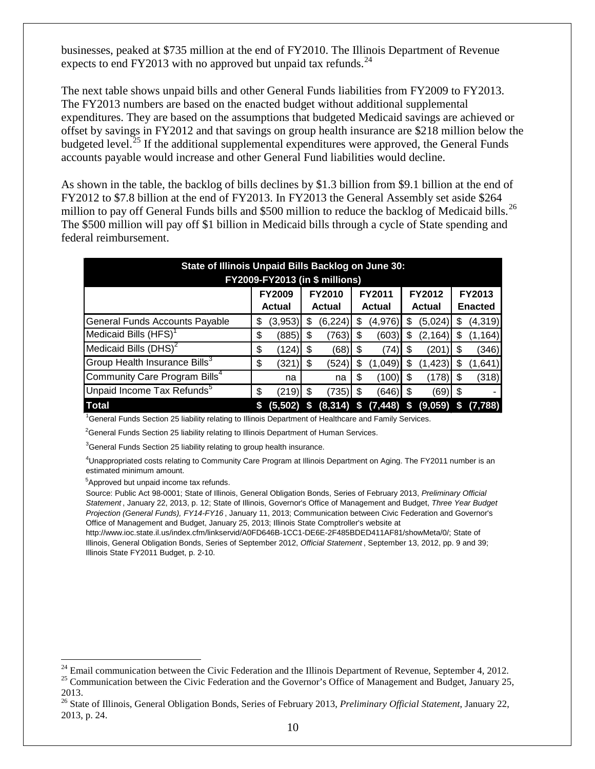businesses, peaked at \$735 million at the end of FY2010. The Illinois Department of Revenue expects to end FY2013 with no approved but unpaid tax refunds.  $^{24}$  $^{24}$  $^{24}$ 

The next table shows unpaid bills and other General Funds liabilities from FY2009 to FY2013. The FY2013 numbers are based on the enacted budget without additional supplemental expenditures. They are based on the assumptions that budgeted Medicaid savings are achieved or offset by savings in FY2012 and that savings on group health insurance are \$218 million below the budgeted level.<sup>[25](#page-12-1)</sup> If the additional supplemental expenditures were approved, the General Funds accounts payable would increase and other General Fund liabilities would decline.

As shown in the table, the backlog of bills declines by \$1.3 billion from \$9.1 billion at the end of FY2012 to \$7.8 billion at the end of FY2013. In FY2013 the General Assembly set aside \$264 million to pay off General Funds bills and \$500 million to reduce the backlog of Medicaid bills.<sup>[26](#page-12-2)</sup> The \$500 million will pay off \$1 billion in Medicaid bills through a cycle of State spending and federal reimbursement.

| State of Illinois Unpaid Bills Backlog on June 30: |                                                                                                                                                                  |          |     |              |   |           |    |          |    |          |  |
|----------------------------------------------------|------------------------------------------------------------------------------------------------------------------------------------------------------------------|----------|-----|--------------|---|-----------|----|----------|----|----------|--|
| <b>FY2009-FY2013 (in \$ millions)</b>              |                                                                                                                                                                  |          |     |              |   |           |    |          |    |          |  |
|                                                    | <b>FY2012</b><br><b>FY2009</b><br><b>FY2010</b><br>FY2013<br><b>FY2011</b><br><b>Actual</b><br><b>Enacted</b><br><b>Actual</b><br><b>Actual</b><br><b>Actual</b> |          |     |              |   |           |    |          |    |          |  |
| General Funds Accounts Payable                     | \$                                                                                                                                                               | (3,953)  | æ.  | (6, 224)     | S | (4,976)   | S  | (5,024)  | S  | (4, 319) |  |
| Medicaid Bills (HFS) <sup>1</sup>                  | \$                                                                                                                                                               | (885)    | \$  | (763)        | S | (603)     | S  | (2, 164) |    | (1, 164) |  |
| Medicaid Bills $(DHS)^2$                           | \$                                                                                                                                                               | (124)    | S   | (68)         | S | (74)      | S  | (201     |    | (346)    |  |
| Group Health Insurance Bills <sup>3</sup>          | \$                                                                                                                                                               | (321     | S   | (524)        | S | (1,049)   | S  | (1, 423) |    | (1,641)  |  |
| Community Care Program Bills <sup>4</sup>          |                                                                                                                                                                  | na       |     | na           | S | (100)     | \$ | (178)    |    | (318)    |  |
| Unpaid Income Tax Refunds <sup>5</sup>             | \$                                                                                                                                                               | (219)    | \$. | (735)        | S | (646)  \$ |    | (69)  \$ |    |          |  |
| <b>Total</b>                                       | S                                                                                                                                                                | (5, 502) | S   | $(8,314)$ \$ |   | (7, 448)  | S  | (9,059)  | 'S | (7,788)  |  |

<sup>1</sup>General Funds Section 25 liability relating to Illinois Department of Healthcare and Family Services.

<sup>2</sup>General Funds Section 25 liability relating to Illinois Department of Human Services.

 ${}^{3}$ General Funds Section 25 liability relating to group health insurance.

4 Unappropriated costs relating to Community Care Program at Illinois Department on Aging. The FY2011 number is an estimated minimum amount.

5 Approved but unpaid income tax refunds.

Source: Public Act 98-0001; State of Illinois, General Obligation Bonds, Series of February 2013, *Preliminary Official Statement* , January 22, 2013, p. 12; State of Illinois, Governor's Office of Management and Budget, *Three Year Budget Projection (General Funds), FY14-FY16* , January 11, 2013; Communication between Civic Federation and Governor's Office of Management and Budget, January 25, 2013; Illinois State Comptroller's website at

http://www.ioc.state.il.us/index.cfm/linkservid/A0FD646B-1CC1-DE6E-2F485BDED411AF81/showMeta/0/; State of Illinois, General Obligation Bonds, Series of September 2012, *Official Statement* , September 13, 2012, pp. 9 and 39; Illinois State FY2011 Budget, p. 2-10.

<span id="page-12-0"></span><sup>&</sup>lt;sup>24</sup> Email communication between the Civic Federation and the Illinois Department of Revenue, September 4, 2012.<br><sup>25</sup> Communication between the Civic Federation and the Governor's Office of Management and Budget, January

<span id="page-12-1"></span><sup>2013.</sup>

<span id="page-12-2"></span><sup>26</sup> State of Illinois, General Obligation Bonds, Series of February 2013, *Preliminary Official Statement*, January 22, 2013, p. 24.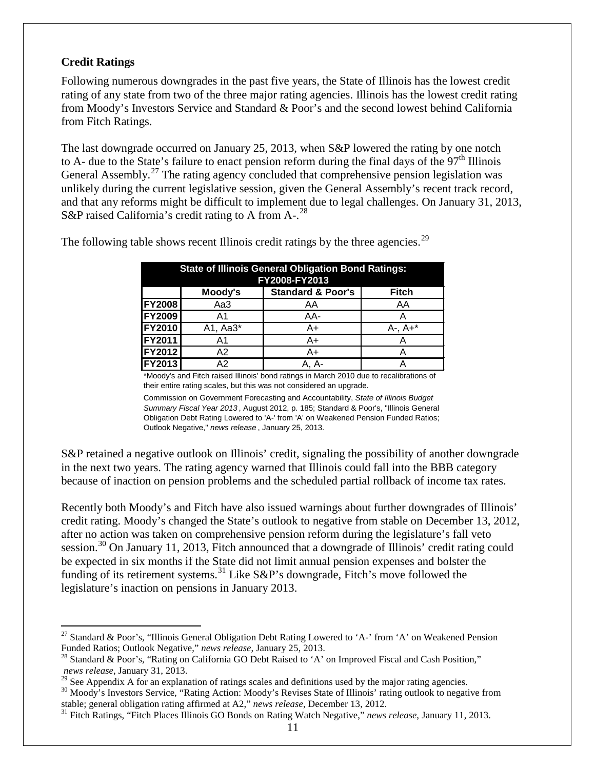# <span id="page-13-0"></span>**Credit Ratings**

Following numerous downgrades in the past five years, the State of Illinois has the lowest credit rating of any state from two of the three major rating agencies. Illinois has the lowest credit rating from Moody's Investors Service and Standard & Poor's and the second lowest behind California from Fitch Ratings.

The last downgrade occurred on January 25, 2013, when S&P lowered the rating by one notch to A- due to the State's failure to enact pension reform during the final days of the  $97<sup>th</sup>$  Illinois General Assembly.<sup>[27](#page-13-1)</sup> The rating agency concluded that comprehensive pension legislation was unlikely during the current legislative session, given the General Assembly's recent track record, and that any reforms might be difficult to implement due to legal challenges. On January 31, 2013, S&P raised California's credit rating to A from A-.<sup>[28](#page-13-2)</sup>

|               | <b>State of Illinois General Obligation Bond Ratings:</b><br>FY2008-FY2013 |                              |              |  |  |  |  |  |  |  |  |  |
|---------------|----------------------------------------------------------------------------|------------------------------|--------------|--|--|--|--|--|--|--|--|--|
|               | Moody's                                                                    | <b>Standard &amp; Poor's</b> | <b>Fitch</b> |  |  |  |  |  |  |  |  |  |
| <b>FY2008</b> | Aa3                                                                        | AA                           | AA           |  |  |  |  |  |  |  |  |  |
| <b>FY2009</b> | Α1                                                                         | AA-                          |              |  |  |  |  |  |  |  |  |  |
| <b>FY2010</b> | A1, Aa3*                                                                   | A+                           | $A-, A+*$    |  |  |  |  |  |  |  |  |  |
| <b>FY2011</b> | A <sub>1</sub>                                                             | A+                           |              |  |  |  |  |  |  |  |  |  |
| <b>FY2012</b> | A2                                                                         | A+                           |              |  |  |  |  |  |  |  |  |  |
| <b>FY2013</b> | А2                                                                         | A-                           |              |  |  |  |  |  |  |  |  |  |

The following table shows recent Illinois credit ratings by the three agencies.<sup>[29](#page-13-3)</sup>

\*Moody's and Fitch raised Illinois' bond ratings in March 2010 due to recalibrations of their entire rating scales, but this was not considered an upgrade.

Commission on Government Forecasting and Accountability, *State of Illinois Budget Summary Fiscal Year 2013* , August 2012, p. 185; Standard & Poor's, "Illinois General Obligation Debt Rating Lowered to 'A-' from 'A' on Weakened Pension Funded Ratios; Outlook Negative," *news release* , January 25, 2013.

S&P retained a negative outlook on Illinois' credit, signaling the possibility of another downgrade in the next two years. The rating agency warned that Illinois could fall into the BBB category because of inaction on pension problems and the scheduled partial rollback of income tax rates.

Recently both Moody's and Fitch have also issued warnings about further downgrades of Illinois' credit rating. Moody's changed the State's outlook to negative from stable on December 13, 2012, after no action was taken on comprehensive pension reform during the legislature's fall veto session.<sup>[30](#page-13-4)</sup> On January 11, 2013, Fitch announced that a downgrade of Illinois' credit rating could be expected in six months if the State did not limit annual pension expenses and bolster the funding of its retirement systems.<sup>[31](#page-13-5)</sup> Like  $S\&P$ 's downgrade, Fitch's move followed the legislature's inaction on pensions in January 2013.

<span id="page-13-1"></span><sup>&</sup>lt;sup>27</sup> Standard & Poor's, "Illinois General Obligation Debt Rating Lowered to 'A-' from 'A' on Weakened Pension Funded Ratios; Outlook Negative," *news release*, January 25, 2013.

<span id="page-13-2"></span><sup>&</sup>lt;sup>28</sup> Standard & Poor's, "Rating on California GO Debt Raised to 'A' on Improved Fiscal and Cash Position," *news release*, January 31, 2013.<br><sup>29</sup> See Appendix A for an explanation of ratings scales and definitions used by the major rating agencies.

<span id="page-13-3"></span>

<span id="page-13-4"></span><sup>&</sup>lt;sup>30</sup> Moody's Investors Service, "Rating Action: Moody's Revises State of Illinois' rating outlook to negative from stable; general obligation rating affirmed at A2," news release, December 13, 2012.

<span id="page-13-5"></span><sup>&</sup>lt;sup>31</sup> Fitch Ratings, "Fitch Places Illinois GO Bonds on Rating Watch Negative," *news release*, January 11, 2013.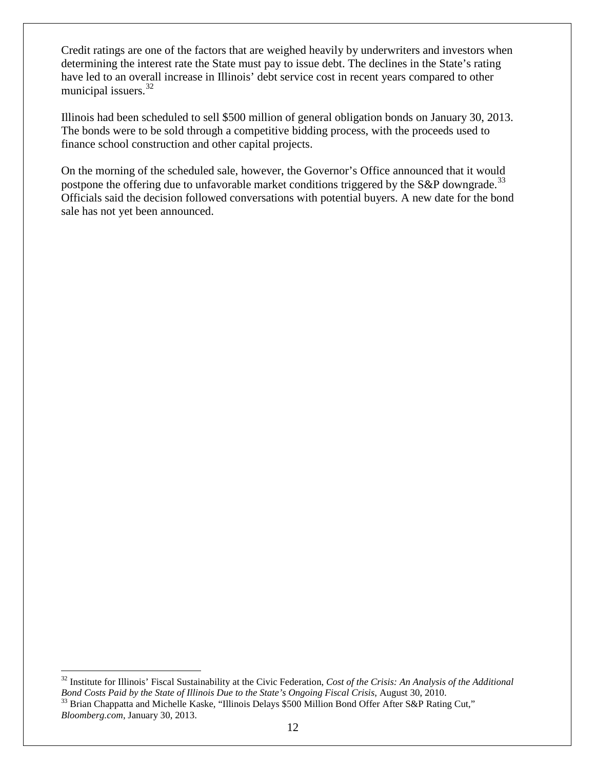Credit ratings are one of the factors that are weighed heavily by underwriters and investors when determining the interest rate the State must pay to issue debt. The declines in the State's rating have led to an overall increase in Illinois' debt service cost in recent years compared to other municipal issuers.<sup>[32](#page-14-0)</sup>

Illinois had been scheduled to sell \$500 million of general obligation bonds on January 30, 2013. The bonds were to be sold through a competitive bidding process, with the proceeds used to finance school construction and other capital projects.

On the morning of the scheduled sale, however, the Governor's Office announced that it would postpone the offering due to unfavorable market conditions triggered by the S&P downgrade.<sup>[33](#page-14-1)</sup> Officials said the decision followed conversations with potential buyers. A new date for the bond sale has not yet been announced.

<span id="page-14-1"></span><span id="page-14-0"></span> <sup>32</sup> Institute for Illinois' Fiscal Sustainability at the Civic Federation, *Cost of the Crisis: An Analysis of the Additional Bond Costs Paid by the State of Illinois Due to the State's Ongoing Fiscal Crisis*, August 30, 2010.<br><sup>33</sup> Brian Chappatta and Michelle Kaske, "Illinois Delays \$500 Million Bond Offer After S&P Rating Cut," *Bloomberg.com*, January 30, 2013.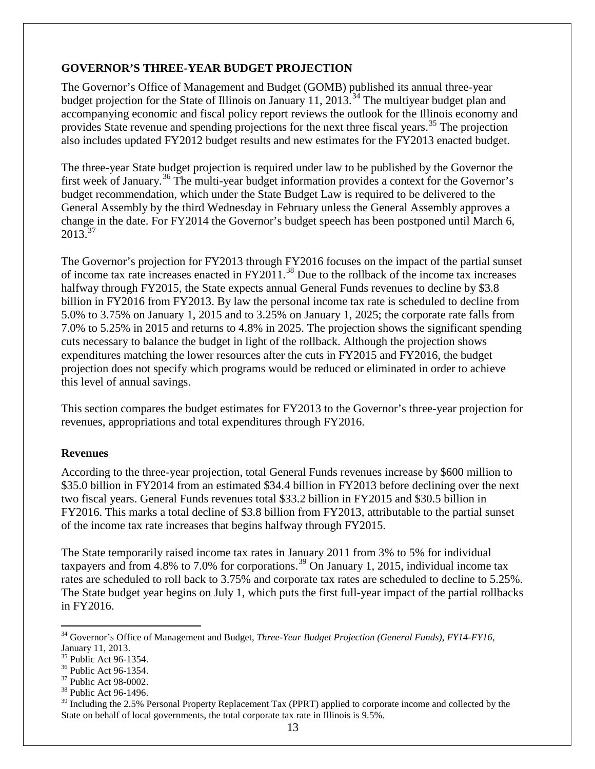# <span id="page-15-0"></span>**GOVERNOR'S THREE-YEAR BUDGET PROJECTION**

The Governor's Office of Management and Budget (GOMB) published its annual three-year budget projection for the State of Illinois on January 11, 2013.<sup>[34](#page-15-2)</sup> The multiyear budget plan and accompanying economic and fiscal policy report reviews the outlook for the Illinois economy and provides State revenue and spending projections for the next three fiscal years.<sup>[35](#page-15-3)</sup> The projection also includes updated FY2012 budget results and new estimates for the FY2013 enacted budget.

The three-year State budget projection is required under law to be published by the Governor the first week of January.<sup>[36](#page-15-4)</sup> The multi-year budget information provides a context for the Governor's budget recommendation, which under the State Budget Law is required to be delivered to the General Assembly by the third Wednesday in February unless the General Assembly approves a change in the date. For FY2014 the Governor's budget speech has been postponed until March 6,  $2013^{37}$  $2013^{37}$  $2013^{37}$ 

The Governor's projection for FY2013 through FY2016 focuses on the impact of the partial sunset of income tax rate increases enacted in FY2011.[38](#page-15-6) Due to the rollback of the income tax increases halfway through FY2015, the State expects annual General Funds revenues to decline by \$3.8 billion in FY2016 from FY2013. By law the personal income tax rate is scheduled to decline from 5.0% to 3.75% on January 1, 2015 and to 3.25% on January 1, 2025; the corporate rate falls from 7.0% to 5.25% in 2015 and returns to 4.8% in 2025. The projection shows the significant spending cuts necessary to balance the budget in light of the rollback. Although the projection shows expenditures matching the lower resources after the cuts in FY2015 and FY2016, the budget projection does not specify which programs would be reduced or eliminated in order to achieve this level of annual savings.

This section compares the budget estimates for FY2013 to the Governor's three-year projection for revenues, appropriations and total expenditures through FY2016.

# <span id="page-15-1"></span>**Revenues**

According to the three-year projection, total General Funds revenues increase by \$600 million to \$35.0 billion in FY2014 from an estimated \$34.4 billion in FY2013 before declining over the next two fiscal years. General Funds revenues total \$33.2 billion in FY2015 and \$30.5 billion in FY2016. This marks a total decline of \$3.8 billion from FY2013, attributable to the partial sunset of the income tax rate increases that begins halfway through FY2015.

The State temporarily raised income tax rates in January 2011 from 3% to 5% for individual taxpayers and from 4.8% to 7.0% for corporations.<sup>[39](#page-15-7)</sup> On January 1, 2015, individual income tax rates are scheduled to roll back to 3.75% and corporate tax rates are scheduled to decline to 5.25%. The State budget year begins on July 1, which puts the first full-year impact of the partial rollbacks in FY2016.

<span id="page-15-2"></span> <sup>34</sup> Governor's Office of Management and Budget, *Three-Year Budget Projection (General Funds), FY14-FY16*,

January 11, 2013.<br><sup>35</sup> Public Act 96-1354.

<span id="page-15-5"></span>

<span id="page-15-7"></span><span id="page-15-6"></span>

<span id="page-15-4"></span><span id="page-15-3"></span><sup>&</sup>lt;sup>36</sup> Public Act 96-1354.<br><sup>37</sup> Public Act 98-0002.<br><sup>38</sup> Public Act 96-1496.<br><sup>39</sup> Including the 2.5% Personal Property Replacement Tax (PPRT) applied to corporate income and collected by the State on behalf of local governments, the total corporate tax rate in Illinois is 9.5%.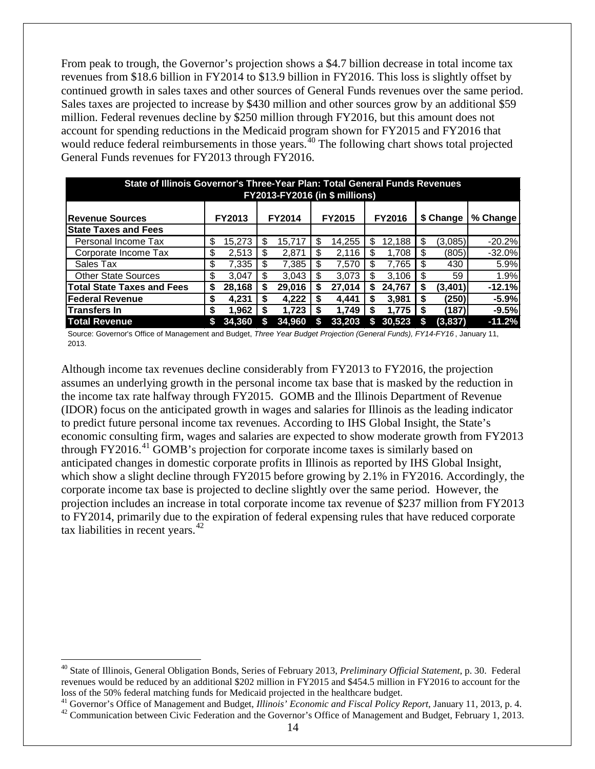From peak to trough, the Governor's projection shows a \$4.7 billion decrease in total income tax revenues from \$18.6 billion in FY2014 to \$13.9 billion in FY2016. This loss is slightly offset by continued growth in sales taxes and other sources of General Funds revenues over the same period. Sales taxes are projected to increase by \$430 million and other sources grow by an additional \$59 million. Federal revenues decline by \$250 million through FY2016, but this amount does not account for spending reductions in the Medicaid program shown for FY2015 and FY2016 that would reduce federal reimbursements in those years.<sup>[40](#page-16-0)</sup> The following chart shows total projected General Funds revenues for FY2013 through FY2016.

| State of Illinois Governor's Three-Year Plan: Total General Funds Revenues<br><b>FY2013-FY2016 (in \$ millions)</b> |    |                                                                                           |   |        |    |        |    |        |     |         |          |  |  |
|---------------------------------------------------------------------------------------------------------------------|----|-------------------------------------------------------------------------------------------|---|--------|----|--------|----|--------|-----|---------|----------|--|--|
| <b>IRevenue Sources</b>                                                                                             |    | <b>FY2014</b><br><b>FY2015</b><br>\$ Change<br>% Change<br><b>FY2013</b><br><b>FY2016</b> |   |        |    |        |    |        |     |         |          |  |  |
| <b>State Taxes and Fees</b>                                                                                         |    |                                                                                           |   |        |    |        |    |        |     |         |          |  |  |
| Personal Income Tax                                                                                                 | \$ | 15.273                                                                                    | S | 15.717 | \$ | 14.255 | \$ | 12,188 | \$. | (3,085) | $-20.2%$ |  |  |
| Corporate Income Tax                                                                                                | \$ | 2,513                                                                                     | S | 2,871  | S  | 2.116  | S  | 1,708  |     | (805)   | $-32.0%$ |  |  |
| Sales Tax                                                                                                           | \$ | 7,335                                                                                     | S | 7,385  | \$ | 7,570  | \$ | 7,765  | \$. | 430     | 5.9%     |  |  |
| <b>Other State Sources</b>                                                                                          | \$ | 3.047                                                                                     |   | 3.043  | \$ | 3.073  | \$ | 3.106  |     | 59      | 1.9%     |  |  |
| <b>Total State Taxes and Fees</b>                                                                                   | \$ | 28,168                                                                                    |   | 29,016 | S  | 27,014 | S  | 24,767 |     | (3,401) | $-12.1%$ |  |  |
| <b>Federal Revenue</b>                                                                                              | \$ | 4,231                                                                                     |   | 4,222  | S  | 4.441  | S  | 3,981  |     | (250)   | $-5.9%$  |  |  |
| lTransfers In                                                                                                       | S  | 1,962                                                                                     |   | 1.723  | S  | 1,749  | S  | 1,775  |     | (187)   | $-9.5%$  |  |  |
| <b>Total Revenue</b>                                                                                                |    | 34.360                                                                                    |   | 34.960 |    | 33.203 | S  | 30.523 |     | (3,837) | $-11.2%$ |  |  |

Source: Governor's Office of Management and Budget, *Three Year Budget Projection (General Funds), FY14-FY16* , January 11, 2013.

Although income tax revenues decline considerably from FY2013 to FY2016, the projection assumes an underlying growth in the personal income tax base that is masked by the reduction in the income tax rate halfway through FY2015. GOMB and the Illinois Department of Revenue (IDOR) focus on the anticipated growth in wages and salaries for Illinois as the leading indicator to predict future personal income tax revenues. According to IHS Global Insight, the State's economic consulting firm, wages and salaries are expected to show moderate growth from FY2013 through FY2016.<sup>[41](#page-16-1)</sup> GOMB's projection for corporate income taxes is similarly based on anticipated changes in domestic corporate profits in Illinois as reported by IHS Global Insight, which show a slight decline through FY2015 before growing by 2.1% in FY2016. Accordingly, the corporate income tax base is projected to decline slightly over the same period. However, the projection includes an increase in total corporate income tax revenue of \$237 million from FY2013 to FY2014, primarily due to the expiration of federal expensing rules that have reduced corporate tax liabilities in recent years. $42$ 

<span id="page-16-0"></span> <sup>40</sup> State of Illinois, General Obligation Bonds, Series of February 2013, *Preliminary Official Statement*, p. 30. Federal revenues would be reduced by an additional \$202 million in FY2015 and \$454.5 million in FY2016 to account for the

<span id="page-16-2"></span><span id="page-16-1"></span>loss of the 50% federal matching funds for Medicaid projected in the healthcare budget.<br><sup>41</sup> Governor's Office of Management and Budget, *Illinois' Economic and Fiscal Policy Report*, January 11, 2013, p. 4.<br><sup>42</sup> Communica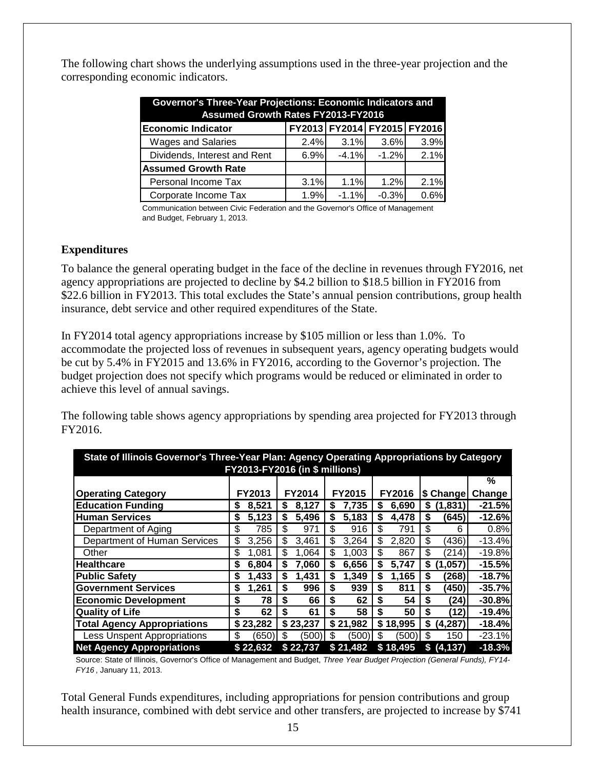The following chart shows the underlying assumptions used in the three-year projection and the corresponding economic indicators.

| Governor's Three-Year Projections: Economic Indicators and |      |                             |         |      |  |  |  |  |  |  |  |  |
|------------------------------------------------------------|------|-----------------------------|---------|------|--|--|--|--|--|--|--|--|
| <b>Assumed Growth Rates FY2013-FY2016</b>                  |      |                             |         |      |  |  |  |  |  |  |  |  |
| <b>Economic Indicator</b>                                  |      | FY2013 FY2014 FY2015 FY2016 |         |      |  |  |  |  |  |  |  |  |
| <b>Wages and Salaries</b>                                  | 2.4% | 3.1%                        | 3.6%    | 3.9% |  |  |  |  |  |  |  |  |
| Dividends, Interest and Rent                               | 6.9% | $-4.1%$                     | $-1.2%$ | 2.1% |  |  |  |  |  |  |  |  |
| <b>Assumed Growth Rate</b>                                 |      |                             |         |      |  |  |  |  |  |  |  |  |
| Personal Income Tax                                        | 3.1% | 1.1%                        | 1.2%    | 2.1% |  |  |  |  |  |  |  |  |
| Corporate Income Tax                                       | 1.9% | $-1.1%$                     | $-0.3%$ | 0.6% |  |  |  |  |  |  |  |  |

Communication between Civic Federation and the Governor's Office of Management and Budget, February 1, 2013.

### <span id="page-17-0"></span>**Expenditures**

To balance the general operating budget in the face of the decline in revenues through FY2016, net agency appropriations are projected to decline by \$4.2 billion to \$18.5 billion in FY2016 from \$22.6 billion in FY2013. This total excludes the State's annual pension contributions, group health insurance, debt service and other required expenditures of the State.

In FY2014 total agency appropriations increase by \$105 million or less than 1.0%. To accommodate the projected loss of revenues in subsequent years, agency operating budgets would be cut by 5.4% in FY2015 and 13.6% in FY2016, according to the Governor's projection. The budget projection does not specify which programs would be reduced or eliminated in order to achieve this level of annual savings.

The following table shows agency appropriations by spending area projected for FY2013 through FY2016.

| State of Illinois Governor's Three-Year Plan: Agency Operating Appropriations by Category<br>FY2013-FY2016 (in \$ millions) |    |          |    |          |    |          |    |               |    |            |          |
|-----------------------------------------------------------------------------------------------------------------------------|----|----------|----|----------|----|----------|----|---------------|----|------------|----------|
|                                                                                                                             |    |          |    |          |    |          |    |               |    |            | %        |
| <b>Operating Category</b>                                                                                                   |    | FY2013   |    | FY2014   |    | FY2015   |    | <b>FY2016</b> |    | \$ Change  | Change   |
| <b>Education Funding</b>                                                                                                    |    | 8,521    | S  | 8,127    | \$ | 7,735    | S  | 6,690         | S  | (1, 831)   | $-21.5%$ |
| <b>Human Services</b>                                                                                                       | S  | 5,123    | S  | 5,496    | \$ | 5,183    | \$ | 4,478         | \$ | (645)      | $-12.6%$ |
| Department of Aging                                                                                                         | \$ | 785      | \$ | 971      | \$ | 916      | \$ | 791           | \$ | 6          | 0.8%     |
| Department of Human Services                                                                                                | \$ | 3,256    | \$ | 3,461    | \$ | 3,264    | \$ | 2,820         | \$ | (436)      | $-13.4%$ |
| Other                                                                                                                       | \$ | 1.081    | S  | 1,064    | \$ | 1,003    | \$ | 867           | \$ | (214)      | $-19.8%$ |
| <b>Healthcare</b>                                                                                                           | S. | 6,804    |    | 7,060    | \$ | 6,656    | \$ | 5,747         | \$ | (1,057)    | $-15.5%$ |
| <b>Public Safety</b>                                                                                                        | S  | 1,433    | \$ | 1,431    | \$ | 1,349    | \$ | 1,165         | \$ | (268)      | $-18.7%$ |
| <b>Government Services</b>                                                                                                  | S  | 1,261    | \$ | 996      | \$ | 939      | \$ | 811           | \$ | (450)      | $-35.7%$ |
| <b>Economic Development</b>                                                                                                 | \$ | 78       | \$ | 66       | \$ | 62       | \$ | 54            | \$ | (24)       | $-30.8%$ |
| <b>Quality of Life</b>                                                                                                      | \$ | 62       | S  | 61       | \$ | 58       | \$ | 50            | S  | (12)       | $-19.4%$ |
| <b>Total Agency Appropriations</b>                                                                                          | S  | 23,282   |    | \$23,237 |    | \$21,982 | \$ | 18,995        | \$ | (4, 287)   | $-18.4%$ |
| <b>Less Unspent Appropriations</b>                                                                                          | \$ | (650)    | S  | (500)    | \$ | (500)    | \$ | (500)         | \$ | 150        | $-23.1%$ |
| <b>Net Agency Appropriations</b>                                                                                            |    | \$22,632 |    | \$22,737 |    | \$21,482 |    | \$18,495      |    | \$ (4,137) | $-18.3%$ |

Source: State of Illinois, Governor's Office of Management and Budget, *Three Year Budget Projection (General Funds), FY14- FY16* , January 11, 2013.

Total General Funds expenditures, including appropriations for pension contributions and group health insurance, combined with debt service and other transfers, are projected to increase by \$741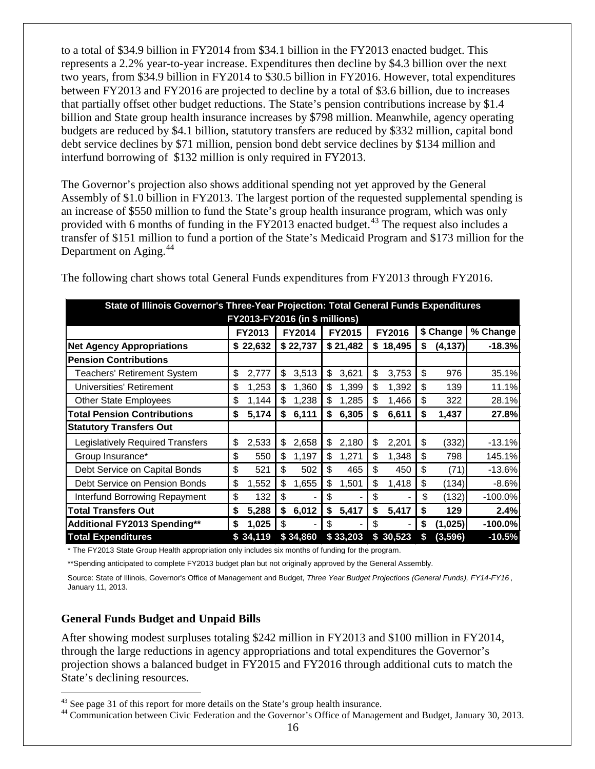to a total of \$34.9 billion in FY2014 from \$34.1 billion in the FY2013 enacted budget. This represents a 2.2% year-to-year increase. Expenditures then decline by \$4.3 billion over the next two years, from \$34.9 billion in FY2014 to \$30.5 billion in FY2016. However, total expenditures between FY2013 and FY2016 are projected to decline by a total of \$3.6 billion, due to increases that partially offset other budget reductions. The State's pension contributions increase by \$1.4 billion and State group health insurance increases by \$798 million. Meanwhile, agency operating budgets are reduced by \$4.1 billion, statutory transfers are reduced by \$332 million, capital bond debt service declines by \$71 million, pension bond debt service declines by \$134 million and interfund borrowing of \$132 million is only required in FY2013.

The Governor's projection also shows additional spending not yet approved by the General Assembly of \$1.0 billion in FY2013. The largest portion of the requested supplemental spending is an increase of \$550 million to fund the State's group health insurance program, which was only provided with 6 months of funding in the FY2013 enacted budget.<sup>[43](#page-18-1)</sup> The request also includes a transfer of \$151 million to fund a portion of the State's Medicaid Program and \$173 million for the Department on Aging.<sup>[44](#page-18-2)</sup>

|                                         | State of Illinois Governor's Three-Year Projection: Total General Funds Expenditures |                                |     |          |     |          |    |          |    |           |           |
|-----------------------------------------|--------------------------------------------------------------------------------------|--------------------------------|-----|----------|-----|----------|----|----------|----|-----------|-----------|
|                                         |                                                                                      | FY2013-FY2016 (in \$ millions) |     |          |     |          |    |          |    |           |           |
|                                         |                                                                                      | FY2013                         |     | FY2014   |     | FY2015   |    | FY2016   |    | \$ Change | % Change  |
| <b>Net Agency Appropriations</b>        |                                                                                      | \$22,632                       |     | \$22,737 |     | \$21,482 |    | \$18,495 | \$ | (4, 137)  | $-18.3%$  |
| <b>Pension Contributions</b>            |                                                                                      |                                |     |          |     |          |    |          |    |           |           |
| <b>Teachers' Retirement System</b>      | \$                                                                                   | 2,777                          | \$  | 3,513    | \$  | 3,621    | \$ | 3,753    | \$ | 976       | 35.1%     |
| Universities' Retirement                | \$                                                                                   | 1,253                          | \$  | 1,360    | \$  | 1,399    | \$ | 1,392    | \$ | 139       | 11.1%     |
| <b>Other State Employees</b>            | \$                                                                                   | 1,144                          | S   | 1,238    | S   | 1,285    | \$ | 1,466    | \$ | 322       | 28.1%     |
| <b>Total Pension Contributions</b>      | \$                                                                                   | 5,174                          | S   | 6,111    | \$  | 6,305    | \$ | 6,611    | S  | 1,437     | 27.8%     |
| <b>Statutory Transfers Out</b>          |                                                                                      |                                |     |          |     |          |    |          |    |           |           |
| <b>Legislatively Required Transfers</b> | \$                                                                                   | 2,533                          | \$  | 2,658    | \$  | 2,180    | \$ | 2,201    | S  | (332)     | $-13.1%$  |
| Group Insurance*                        | \$                                                                                   | 550                            | \$  | 1,197    | S   | 1,271    | \$ | 1,348    | S  | 798       | 145.1%    |
| Debt Service on Capital Bonds           | \$                                                                                   | 521                            | \$  | 502      | \$  | 465      | \$ | 450      | \$ | (71)      | $-13.6%$  |
| Debt Service on Pension Bonds           | \$                                                                                   | 1,552                          | \$  | 1,655    | \$  | 1,501    | \$ | 1,418    | \$ | (134)     | $-8.6%$   |
| Interfund Borrowing Repayment           | \$                                                                                   | 132                            | \$  |          | S   |          | \$ |          | \$ | (132)     | $-100.0%$ |
| <b>Total Transfers Out</b>              | \$                                                                                   | 5,288                          | \$  | 6,012    | \$  | 5,417    | \$ | 5,417    |    | 129       | 2.4%      |
| Additional FY2013 Spending**            | \$                                                                                   | 1,025                          | \$. |          | \$. |          | \$ |          | \$ | (1,025)   | $-100.0%$ |
| <b>Total Expenditures</b>               |                                                                                      | \$34.119                       |     | \$34,860 |     | \$33,203 |    | \$30,523 | \$ | (3, 596)  | $-10.5%$  |

The following chart shows total General Funds expenditures from FY2013 through FY2016.

\* The FY2013 State Group Health appropriation only includes six months of funding for the program.

\*\*Spending anticipated to complete FY2013 budget plan but not originally approved by the General Assembly.

Source: State of Illinois, Governor's Office of Management and Budget, *Three Year Budget Projections (General Funds), FY14-FY16* , January 11, 2013.

#### <span id="page-18-0"></span>**General Funds Budget and Unpaid Bills**

After showing modest surpluses totaling \$242 million in FY2013 and \$100 million in FY2014, through the large reductions in agency appropriations and total expenditures the Governor's projection shows a balanced budget in FY2015 and FY2016 through additional cuts to match the State's declining resources.

<span id="page-18-2"></span><span id="page-18-1"></span><sup>&</sup>lt;sup>43</sup> See page 31 [o](#page-35-0)f this report for more details on the State's group health insurance.<br><sup>44</sup> Communication between Civic Federation and the Governor's Office of Management and Budget, January 30, 2013.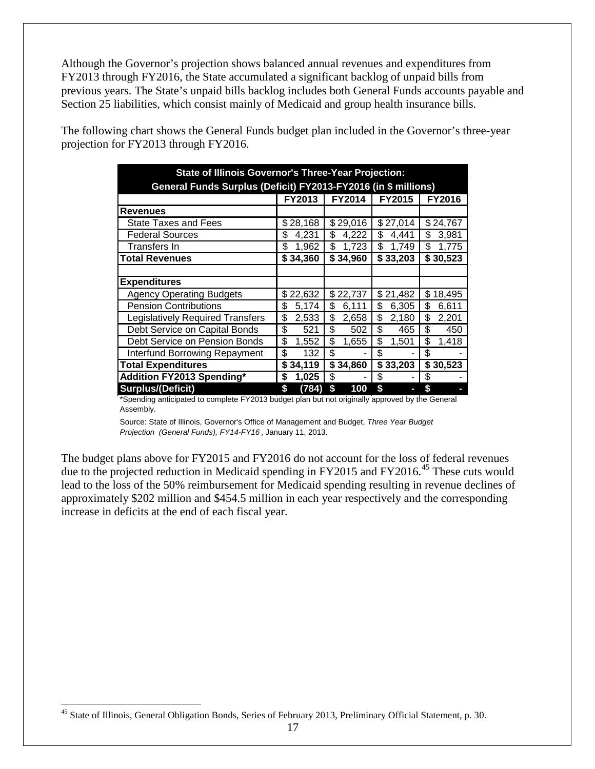Although the Governor's projection shows balanced annual revenues and expenditures from FY2013 through FY2016, the State accumulated a significant backlog of unpaid bills from previous years. The State's unpaid bills backlog includes both General Funds accounts payable and Section 25 liabilities, which consist mainly of Medicaid and group health insurance bills.

The following chart shows the General Funds budget plan included in the Governor's three-year projection for FY2013 through FY2016.

| <b>State of Illinois Governor's Three-Year Projection:</b>     |             |               |               |               |  |  |  |  |  |  |  |
|----------------------------------------------------------------|-------------|---------------|---------------|---------------|--|--|--|--|--|--|--|
| General Funds Surplus (Deficit) FY2013-FY2016 (in \$ millions) |             |               |               |               |  |  |  |  |  |  |  |
|                                                                | FY2013      | <b>FY2014</b> | <b>FY2015</b> | <b>FY2016</b> |  |  |  |  |  |  |  |
| <b>Revenues</b>                                                |             |               |               |               |  |  |  |  |  |  |  |
| <b>State Taxes and Fees</b>                                    | \$28,168    | \$29,016      | \$27,014      | \$24,767      |  |  |  |  |  |  |  |
| <b>Federal Sources</b>                                         | 4,231<br>\$ | \$<br>4,222   | \$<br>4,441   | \$<br>3,981   |  |  |  |  |  |  |  |
| Transfers In                                                   | \$<br>1,962 | \$<br>1,723   | \$<br>1,749   | \$<br>1,775   |  |  |  |  |  |  |  |
| <b>Total Revenues</b>                                          | \$34,360    | \$34,960      | \$33,203      | \$30,523      |  |  |  |  |  |  |  |
|                                                                |             |               |               |               |  |  |  |  |  |  |  |
| <b>Expenditures</b>                                            |             |               |               |               |  |  |  |  |  |  |  |
| <b>Agency Operating Budgets</b>                                | \$22,632    | \$22,737      | \$21,482      | \$<br>18,495  |  |  |  |  |  |  |  |
| <b>Pension Contributions</b>                                   | \$<br>5,174 | \$<br>6,111   | \$<br>6,305   | \$<br>6,611   |  |  |  |  |  |  |  |
| <b>Legislatively Required Transfers</b>                        | \$<br>2,533 | \$<br>2,658   | \$<br>2,180   | \$<br>2,201   |  |  |  |  |  |  |  |
| Debt Service on Capital Bonds                                  | \$<br>521   | \$<br>502     | \$<br>465     | \$<br>450     |  |  |  |  |  |  |  |
| Debt Service on Pension Bonds                                  | \$<br>1,552 | \$<br>1,655   | \$<br>1,501   | \$<br>1,418   |  |  |  |  |  |  |  |
| <b>Interfund Borrowing Repayment</b>                           | \$<br>132   | \$            | \$            | \$            |  |  |  |  |  |  |  |
| <b>Total Expenditures</b>                                      | \$34,119    | \$34,860      | \$33,203      | \$30,523      |  |  |  |  |  |  |  |
| <b>Addition FY2013 Spending*</b>                               | \$<br>1,025 | \$            | \$            | \$            |  |  |  |  |  |  |  |
| <b>Surplus/(Deficit)</b>                                       | \$<br>(784) | \$<br>100     | \$            | \$            |  |  |  |  |  |  |  |

\*Spending anticipated to complete FY2013 budget plan but not originally approved by the General Assembly.

Source: State of Illinois, Governor's Office of Management and Budget, *Three Year Budget Projection (General Funds), FY14-FY16* , January 11, 2013.

The budget plans above for FY2015 and FY2016 do not account for the loss of federal revenues due to the projected reduction in Medicaid spending in FY2015 and FY2016.<sup>[45](#page-19-0)</sup> These cuts would lead to the loss of the 50% reimbursement for Medicaid spending resulting in revenue declines of approximately \$202 million and \$454.5 million in each year respectively and the corresponding increase in deficits at the end of each fiscal year.

<span id="page-19-0"></span><sup>&</sup>lt;sup>45</sup> State of Illinois, General Obligation Bonds, Series of February 2013, Preliminary Official Statement, p. 30.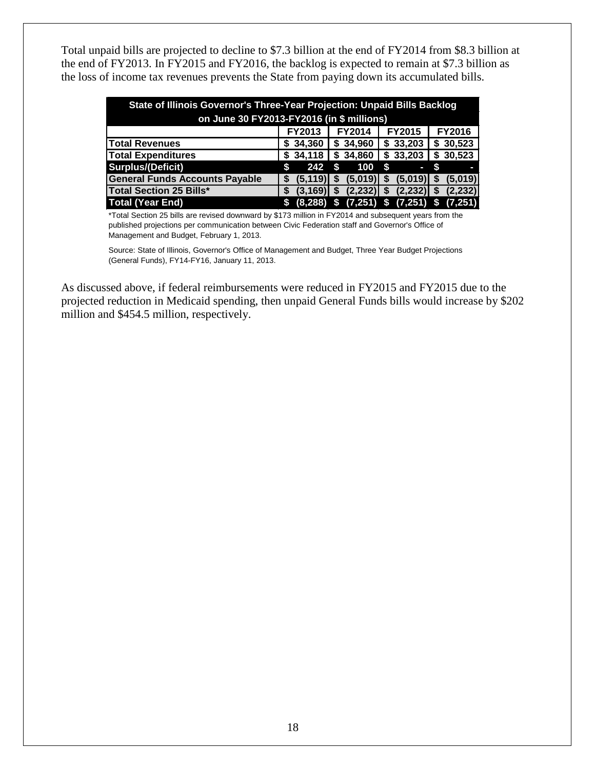Total unpaid bills are projected to decline to \$7.3 billion at the end of FY2014 from \$8.3 billion at the end of FY2013. In FY2015 and FY2016, the backlog is expected to remain at \$7.3 billion as the loss of income tax revenues prevents the State from paying down its accumulated bills.

| State of Illinois Governor's Three-Year Projection: Unpaid Bills Backlog |               |               |                           |               |  |  |  |  |  |  |  |
|--------------------------------------------------------------------------|---------------|---------------|---------------------------|---------------|--|--|--|--|--|--|--|
| on June 30 FY2013-FY2016 (in \$ millions)                                |               |               |                           |               |  |  |  |  |  |  |  |
|                                                                          | <b>FY2013</b> | <b>FY2014</b> | <b>FY2015</b>             | FY2016        |  |  |  |  |  |  |  |
| <b>Total Revenues</b>                                                    | \$34,360      | \$34,960      | \$33,203                  | \$30,523      |  |  |  |  |  |  |  |
| <b>Total Expenditures</b>                                                | \$34,118      | \$34,860      | \$33,203                  | \$30,523      |  |  |  |  |  |  |  |
| <b>Surplus/(Deficit)</b>                                                 | 242<br>S      | 100<br>S      | S.<br>Γ                   |               |  |  |  |  |  |  |  |
| <b>General Funds Accounts Payable</b>                                    | (5, 119)<br>S | (5,019)<br>S  | (5,019)<br>S              | (5,019)<br>S. |  |  |  |  |  |  |  |
| <b>Total Section 25 Bills*</b>                                           | (3.169)<br>S  | (2, 232)<br>S | $(2,232)$ \$<br>S         | (2, 232)      |  |  |  |  |  |  |  |
| <b>Total (Year End)</b>                                                  | (8, 288)<br>S | \$            | $(7,251)$ \$ $(7,251)$ \$ | (7, 251)      |  |  |  |  |  |  |  |

\*Total Section 25 bills are revised downward by \$173 million in FY2014 and subsequent years from the published projections per communication between Civic Federation staff and Governor's Office of Management and Budget, February 1, 2013.

Source: State of Illinois, Governor's Office of Management and Budget, Three Year Budget Projections (General Funds), FY14-FY16, January 11, 2013.

As discussed above, if federal reimbursements were reduced in FY2015 and FY2015 due to the projected reduction in Medicaid spending, then unpaid General Funds bills would increase by \$202 million and \$454.5 million, respectively.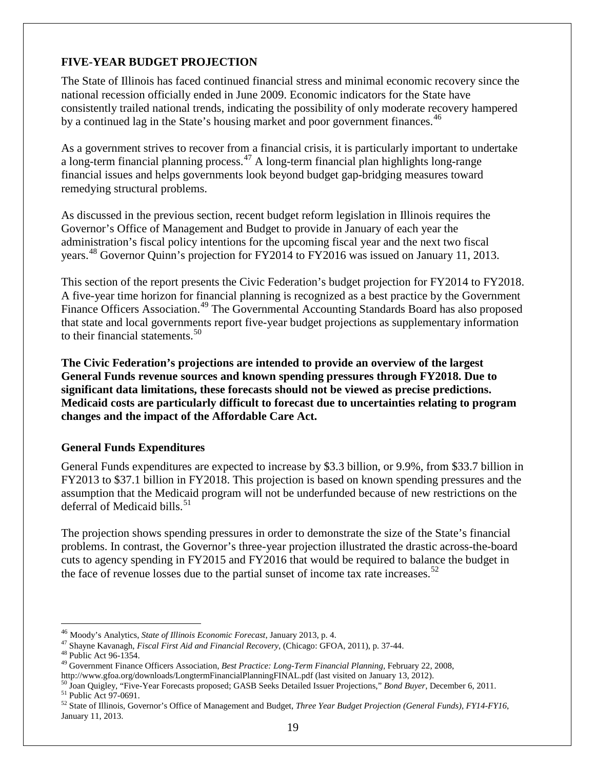# <span id="page-21-0"></span>**FIVE-YEAR BUDGET PROJECTION**

The State of Illinois has faced continued financial stress and minimal economic recovery since the national recession officially ended in June 2009. Economic indicators for the State have consistently trailed national trends, indicating the possibility of only moderate recovery hampered by a continued lag in the State's housing market and poor government finances.<sup>[46](#page-21-2)</sup>

As a government strives to recover from a financial crisis, it is particularly important to undertake a long-term financial planning process.<sup>[47](#page-21-3)</sup> A long-term financial plan highlights long-range financial issues and helps governments look beyond budget gap-bridging measures toward remedying structural problems.

As discussed in the previous section, recent budget reform legislation in Illinois requires the Governor's Office of Management and Budget to provide in January of each year the administration's fiscal policy intentions for the upcoming fiscal year and the next two fiscal years.<sup>[48](#page-21-4)</sup> Governor Quinn's projection for FY2014 to FY2016 was [issued](http://www2.illinois.gov/budget/Pages/default.aspx) on January 11, 2013.

This section of the report presents the Civic Federation's budget projection for FY2014 to FY2018. A five-year time horizon for financial planning is recognized as a best practice by the Government Finance Officers Association.<sup>[49](#page-21-5)</sup> The Governmental Accounting Standards Board has also proposed that state and local governments report five-year budget projections as supplementary information to their financial statements.<sup>[50](#page-21-6)</sup>

**The Civic Federation's projections are intended to provide an overview of the largest General Funds revenue sources and known spending pressures through FY2018. Due to significant data limitations, these forecasts should not be viewed as precise predictions. Medicaid costs are particularly difficult to forecast due to uncertainties relating to program changes and the impact of the Affordable Care Act.**

#### <span id="page-21-1"></span>**General Funds Expenditures**

General Funds expenditures are expected to increase by \$3.3 billion, or 9.9%, from \$33.7 billion in FY2013 to \$37.1 billion in FY2018. This projection is based on known spending pressures and the assumption that the Medicaid program will not be underfunded because of new restrictions on the deferral of Medicaid bills.<sup>[51](#page-21-7)</sup>

The projection shows spending pressures in order to demonstrate the size of the State's financial problems. In contrast, the Governor's three-year projection illustrated the drastic across-the-board cuts to agency spending in FY2015 and FY2016 that would be required to balance the budget in the face of revenue losses due to the partial sunset of income tax rate increases.<sup>[52](#page-21-8)</sup>

<span id="page-21-4"></span>

<span id="page-21-3"></span><span id="page-21-2"></span><sup>&</sup>lt;sup>46</sup> Moody's Analytics, *State of Illinois Economic Forecast*, January 2013, p. 4.<br><sup>47</sup> Shayne Kavanagh, *Fiscal First Aid and Financial Recovery*, (Chicago: GFOA, 2011), p. 37-44.<br><sup>48</sup> [Public Act 96-1354.](http://www.ilga.gov/legislation/publicacts/fulltext.asp?Name=096-1354&GA=96)<br><sup>49</sup> Government

<span id="page-21-5"></span>

<span id="page-21-7"></span><span id="page-21-6"></span><sup>&</sup>lt;sup>50</sup> Joan Quigley, "Five-Year Forecasts proposed; GASB Seeks Detailed Issuer Projections," *Bond Buyer*, December 6, 2011.<br><sup>51</sup> Public Act 97-0691.<br><sup>52</sup> State of Illinois, Governor's Office of Management and Budget, *Thre* 

<span id="page-21-8"></span>January 11, 2013.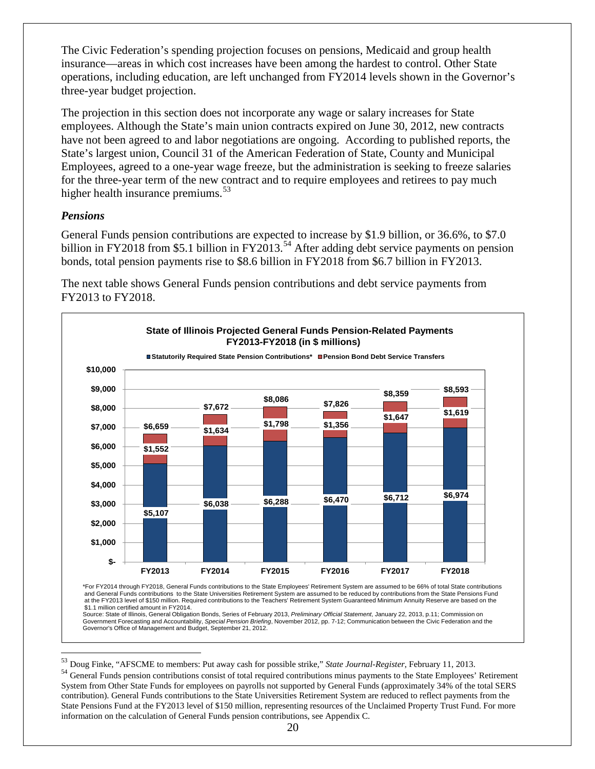The Civic Federation's spending projection focuses on pensions, Medicaid and group health insurance—areas in which cost increases have been among the hardest to control. Other State operations, including education, are left unchanged from FY2014 levels shown in the Governor's three-year budget projection.

The projection in this section does not incorporate any wage or salary increases for State employees. Although the State's main union contracts expired on June 30, 2012, new contracts have not been agreed to and labor negotiations are ongoing. According to published reports, the State's largest union, Council 31 of the American Federation of State, County and Municipal Employees, agreed to a one-year wage freeze, but the administration is seeking to freeze salaries for the three-year term of the new contract and to require employees and retirees to pay much higher health insurance premiums.<sup>[53](#page-22-1)</sup>

#### <span id="page-22-0"></span>*Pensions*

General Funds pension contributions are expected to increase by \$1.9 billion, or 36.6%, to \$7.0 billion in FY2018 from \$5.1 billion in FY2013.<sup>[54](#page-22-2)</sup> After adding debt service payments on pension bonds, total pension payments rise to \$8.6 billion in FY2018 from \$6.7 billion in FY2013.

The next table shows General Funds pension contributions and debt service payments from FY2013 to FY2018.



\*For FY2014 through FY2018, General Funds contributions to the State Employees' Retirement System are assumed to be 66% of total State contributions and General Funds contributions to the State Universities Retirement System are assumed to be reduced by contributions from the State Pensions Fund at the FY2013 level of \$150 million. Required contributions to the Teachers' Retirement System Guaranteed Minimum Annuity Reserve are based on the \$1.1 million certified amount in FY2014.

Source: State of Illinois, General Obligation Bonds, Series of February 2013, *Preliminary Official Statement*, January 22, 2013, p.11; Commission on Government Forecasting and Accountability, *Special Pension Briefing*, November 2012, pp. 7-12; Communication between the Civic Federation and the Governor's Office of Management and Budget, September 21, 2012.

<span id="page-22-2"></span><span id="page-22-1"></span><sup>&</sup>lt;sup>53</sup> Doug Finke, "AFSCME to members: Put away cash for possible strike," *State Journal-Register*, February 11, 2013.<br><sup>54</sup> General Funds pension contributions consist of total required contributions minus payments to the System from Other State Funds for employees on payrolls not supported by General Funds (approximately 34% of the total SERS contribution). General Funds contributions to the State Universities Retirement System are reduced to reflect payments from the State Pensions Fund at the FY2013 level of \$150 million, representing resources of the Unclaimed Property Trust Fund. For more information on the calculation of General Funds pension contributions, see Appendix C.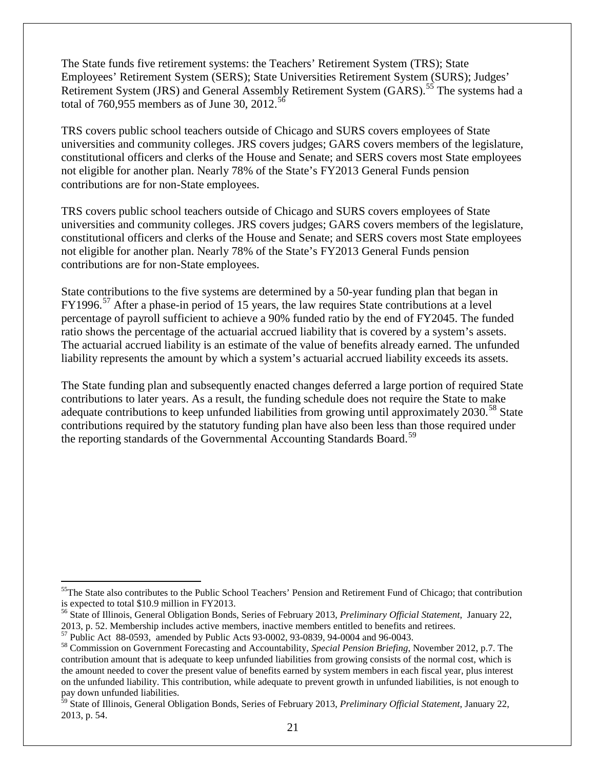The State funds five retirement systems: the Teachers' Retirement System (TRS); State Employees' Retirement System (SERS); State Universities Retirement System (SURS); Judges' Retirement System (JRS) and General Assembly Retirement System (GARS).<sup>[55](#page-23-0)</sup> The systems had a total of 760,955 members as of June 30, 2012.<sup>[56](#page-23-1)</sup>

TRS covers public school teachers outside of Chicago and SURS covers employees of State universities and community colleges. JRS covers judges; GARS covers members of the legislature, constitutional officers and clerks of the House and Senate; and SERS covers most State employees not eligible for another plan. Nearly 78% of the State's FY2013 General Funds pension contributions are for non-State employees.

TRS covers public school teachers outside of Chicago and SURS covers employees of State universities and community colleges. JRS covers judges; GARS covers members of the legislature, constitutional officers and clerks of the House and Senate; and SERS covers most State employees not eligible for another plan. Nearly 78% of the State's FY2013 General Funds pension contributions are for non-State employees.

State contributions to the five systems are determined by a 50-year funding plan that began in  $FY1996.$ <sup>[57](#page-23-2)</sup> After a phase-in period of 15 years, the law requires State contributions at a level percentage of payroll sufficient to achieve a 90% funded ratio by the end of FY2045. The funded ratio shows the percentage of the actuarial accrued liability that is covered by a system's assets. The actuarial accrued liability is an estimate of the value of benefits already earned. The unfunded liability represents the amount by which a system's actuarial accrued liability exceeds its assets.

The State funding plan and subsequently enacted changes deferred a large portion of required State contributions to later years. As a result, the funding schedule does not require the State to make adequate contributions to keep unfunded liabilities from growing until approximately 2030.<sup>[58](#page-23-3)</sup> State contributions required by the statutory funding plan have also been less than those required under the reporting standards of the Governmental Accounting Standards Board.<sup>59</sup>

<span id="page-23-0"></span><sup>&</sup>lt;sup>55</sup>The State also contributes to the Public School Teachers' Pension and Retirement Fund of Chicago; that contribution is expected to total \$10.9 million in FY2013.

<span id="page-23-1"></span><sup>56</sup> State of Illinois, General Obligation Bonds, Series of February 2013, *Preliminary Official Statement*, January 22,

<sup>2013,</sup> p. 52. Membership includes active members, inactive members entitled to benefits and retirees.<br><sup>57</sup> Public Act 88-0593, amended by Public Acts 93-0002, 93-0839, 94-0004 and 96-0043.

<span id="page-23-3"></span><span id="page-23-2"></span><sup>&</sup>lt;sup>58</sup> Commission on Government Forecasting and Accountability, *Special Pension Briefing*, November 2012, p.7. The contribution amount that is adequate to keep unfunded liabilities from growing consists of the normal cost, which is the amount needed to cover the present value of benefits earned by system members in each fiscal year, plus interest on the unfunded liability. This contribution, while adequate to prevent growth in unfunded liabilities, is not enough to pay down unfunded liabilities.

<span id="page-23-4"></span><sup>59</sup> State of Illinois, General Obligation Bonds, Series of February 2013, *Preliminary Official Statement*, January 22, 2013, p. 54.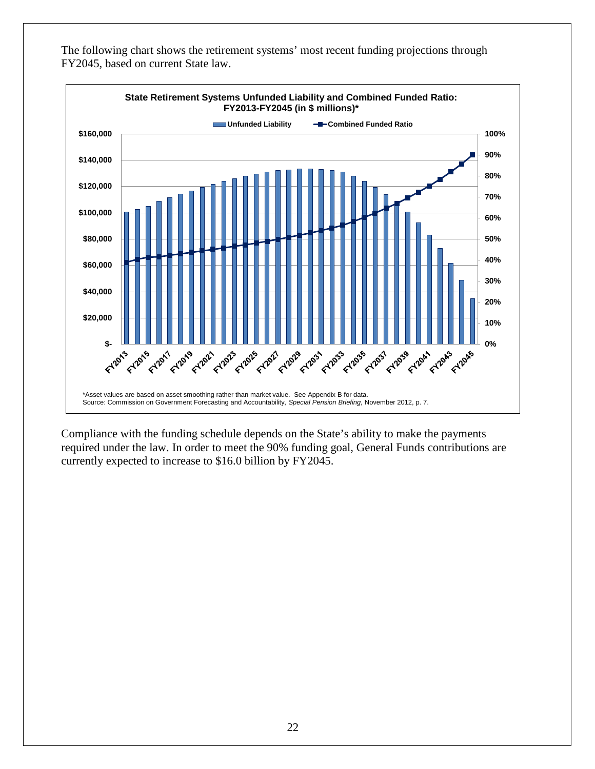

The following chart shows the retirement systems' most recent funding projections through FY2045, based on current State law.

Compliance with the funding schedule depends on the State's ability to make the payments required under the law. In order to meet the 90% funding goal, General Funds contributions are currently expected to increase to \$16.0 billion by FY2045.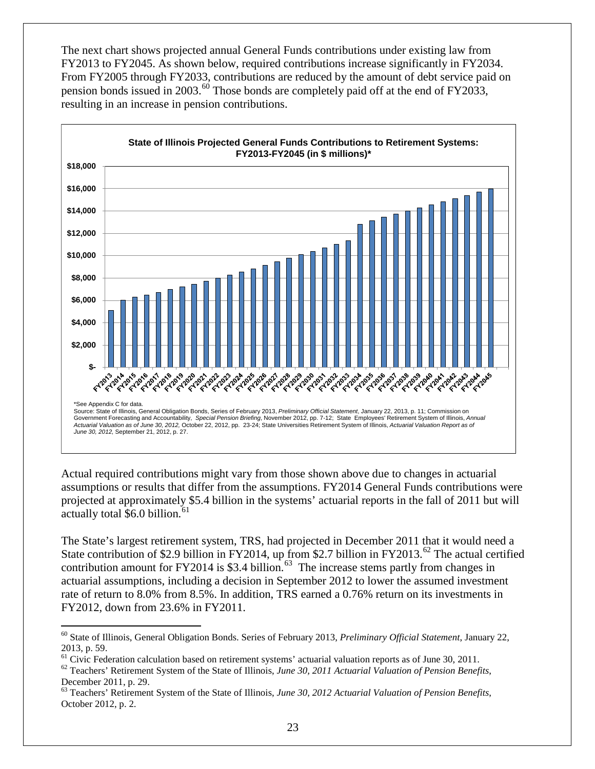The next chart shows projected annual General Funds contributions under existing law from FY2013 to FY2045. As shown below, required contributions increase significantly in FY2034. From FY2005 through FY2033, contributions are reduced by the amount of debt service paid on pension bonds issued in 2003.<sup>[60](#page-25-0)</sup> Those bonds are completely paid off at the end of FY2033, resulting in an increase in pension contributions.



Actual required contributions might vary from those shown above due to changes in actuarial assumptions or results that differ from the assumptions. FY2014 General Funds contributions were projected at approximately \$5.4 billion in the systems' actuarial reports in the fall of 2011 but will actually total  $$6.0$  billion.<sup>[61](#page-25-1)</sup>

The State's largest retirement system, TRS, had projected in December 2011 that it would need a State contribution of \$2.9 billion in FY2014, up from \$2.7 billion in FY2013.<sup>[62](#page-25-2)</sup> The actual certified contribution amount for FY2014 is \$3.4 billion.<sup>63</sup> The increase stems partly from changes in actuarial assumptions, including a decision in September 2012 to lower the assumed investment rate of return to 8.0% from 8.5%. In addition, TRS earned a 0.76% return on its investments in FY2012, down from 23.6% in FY2011.

<span id="page-25-0"></span> <sup>60</sup> State of Illinois, General Obligation Bonds. Series of February 2013, *Preliminary Official Statement*, January 22,

<span id="page-25-1"></span><sup>2013,</sup> p. 59.<br><sup>61</sup> Civic Federation calculation based on retirement systems' actuarial valuation reports as of June 30, 2011.

<span id="page-25-2"></span> $^{62}$  Teachers' Retirement System of the State of Illinois, June 30, 2011 Actuarial Valuation of Pension Benefits, December 2011, p. 29.

<span id="page-25-3"></span><sup>63</sup> Teachers' Retirement System of the State of Illinois, *June 30, 2012 Actuarial Valuation of Pension Benefits*, October 2012, p. 2.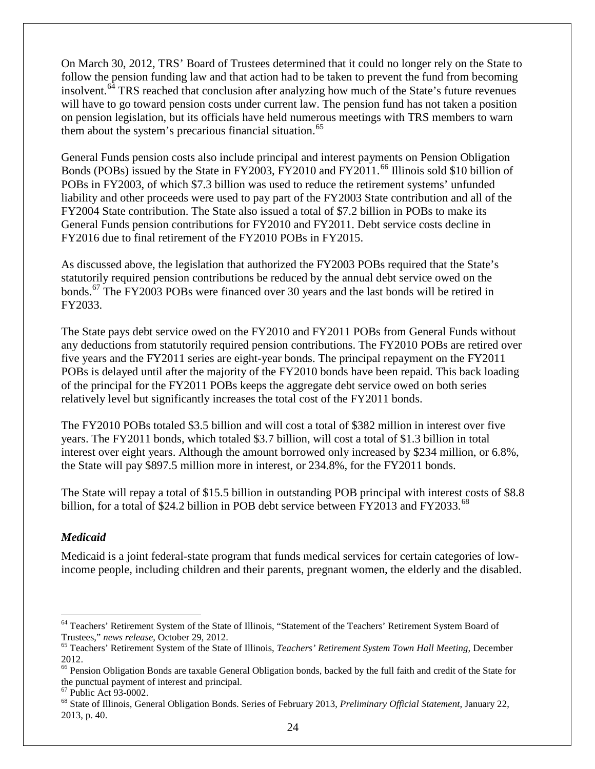On March 30, 2012, TRS' Board of Trustees determined that it could no longer rely on the State to follow the pension funding law and that action had to be taken to prevent the fund from becoming insolvent.<sup>[64](#page-26-1)</sup> TRS reached that conclusion after analyzing how much of the State's future revenues will have to go toward pension costs under current law. The pension fund has not taken a position on pension legislation, but its officials have held numerous meetings with TRS members to warn them about the system's precarious financial situation.<sup>[65](#page-26-2)</sup>

General Funds pension costs also include principal and interest payments on Pension Obligation Bonds (POBs) issued by the State in FY2003, FY2010 and FY2011.<sup>[66](#page-26-3)</sup> Illinois sold \$10 billion of POBs in FY2003, of which \$7.3 billion was used to reduce the retirement systems' unfunded liability and other proceeds were used to pay part of the FY2003 State contribution and all of the FY2004 State contribution. The State also issued a total of \$7.2 billion in POBs to make its General Funds pension contributions for FY2010 and FY2011. Debt service costs decline in FY2016 due to final retirement of the FY2010 POBs in FY2015.

As discussed above, the legislation that authorized the FY2003 POBs required that the State's statutorily required pension contributions be reduced by the annual debt service owed on the bonds.<sup>[67](#page-26-4)</sup> The FY2003 POBs were financed over 30 years and the last bonds will be retired in FY2033.

The State pays debt service owed on the FY2010 and FY2011 POBs from General Funds without any deductions from statutorily required pension contributions. The FY2010 POBs are retired over five years and the FY2011 series are eight-year bonds. The principal repayment on the FY2011 POBs is delayed until after the majority of the FY2010 bonds have been repaid. This back loading of the principal for the FY2011 POBs keeps the aggregate debt service owed on both series relatively level but significantly increases the total cost of the FY2011 bonds.

The FY2010 POBs totaled \$3.5 billion and will cost a total of \$382 million in interest over five years. The FY2011 bonds, which totaled \$3.7 billion, will cost a total of \$1.3 billion in total interest over eight years. Although the amount borrowed only increased by \$234 million, or 6.8%, the State will pay \$897.5 million more in interest, or 234.8%, for the FY2011 bonds.

The State will repay a total of \$15.5 billion in outstanding POB principal with interest costs of \$8.8 billion, for a total of \$24.2 billion in POB debt service between FY2013 and FY2033.<sup>[68](#page-26-5)</sup>

#### <span id="page-26-0"></span>*Medicaid*

Medicaid is a joint federal-state program that funds medical services for certain categories of lowincome people, including children and their parents, pregnant women, the elderly and the disabled.

<span id="page-26-1"></span> $64$  Teachers' Retirement System of the State of Illinois, "Statement of the Teachers' Retirement System Board of Trustees," news release, October 29, 2012.

<span id="page-26-2"></span><sup>&</sup>lt;sup>65</sup> Teachers' Retirement System of the State of Illinois, *Teachers' Retirement System Town Hall Meeting*, December 2012.

<span id="page-26-3"></span><sup>&</sup>lt;sup>66</sup> Pension Obligation Bonds are taxable General Obligation bonds, backed by the full faith and credit of the State for the punctual payment of interest and principal.

<span id="page-26-5"></span><span id="page-26-4"></span><sup>&</sup>lt;sup>67</sup> Public Act 93-0002.<br><sup>68</sup> State of Illinois, General Obligation Bonds. Series of February 2013, *Preliminary Official Statement*, January 22, 2013, p. 40.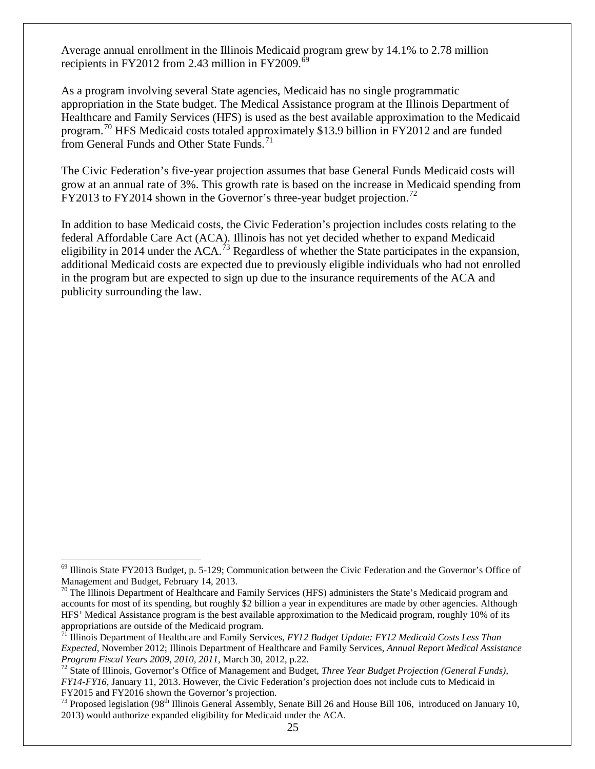Average annual enrollment in the Illinois Medicaid program grew by 14.1% to 2.78 million recipients in FY2012 from 2.43 million in FY2009. $^{69}$  $^{69}$  $^{69}$ 

As a program involving several State agencies, Medicaid has no single programmatic appropriation in the State budget. The Medical Assistance program at the Illinois Department of Healthcare and Family Services (HFS) is used as the best available approximation to the Medicaid program.<sup>[70](#page-27-1)</sup> HFS Medicaid costs totaled approximately \$13.9 billion in FY2012 and are funded from General Funds and Other State Funds.<sup>[71](#page-27-2)</sup>

The Civic Federation's five-year projection assumes that base General Funds Medicaid costs will grow at an annual rate of 3%. This growth rate is based on the increase in Medicaid spending from FY2013 to FY2014 shown in the Governor's three-year budget projection.<sup>[72](#page-27-3)</sup>

In addition to base Medicaid costs, the Civic Federation's projection includes costs relating to the federal Affordable Care Act (ACA). Illinois has not yet decided whether to expand Medicaid eligibility in 2014 under the  $ACA<sup>73</sup>$  $ACA<sup>73</sup>$  $ACA<sup>73</sup>$  Regardless of whether the State participates in the expansion, additional Medicaid costs are expected due to previously eligible individuals who had not enrolled in the program but are expected to sign up due to the insurance requirements of the ACA and publicity surrounding the law.

<span id="page-27-0"></span> <sup>69</sup> Illinois State FY2013 Budget, p. 5-129; Communication between the Civic Federation and the Governor's Office of Management and Budget, February 14, 2013.<br><sup>70</sup> The Illinois Department of Healthcare and Family Services (HFS) administers the State's Medicaid program and

<span id="page-27-1"></span>accounts for most of its spending, but roughly \$2 billion a year in expenditures are made by other agencies. Although HFS' Medical Assistance program is the best available approximation to the Medicaid program, roughly 10% of its appropriations are outside of the Medicaid program.

<span id="page-27-2"></span><sup>71</sup> Illinois Department of Healthcare and Family Services, *FY12 Budget Update: FY12 Medicaid Costs Less Than Expected*, November 2012; Illinois Department of Healthcare and Family Services, *Annual Report Medical Assistance* 

<span id="page-27-3"></span>*Program Fiscal Years 2009, 2010, 2011*, March 30, 2012, p.22.<br><sup>72</sup> State of Illinois, Governor's Office of Management and Budget, *Three Year Budget Projection (General Funds)*, *FY14-FY16*, January 11, 2013. However, the Civic Federation's projection does not include cuts to Medicaid in FY2015 and FY2016 shown the Governor's projection.

<span id="page-27-4"></span> $^{73}$  Proposed legislation (98<sup>th</sup> Illinois General Assembly, Senate Bill 26 and House Bill 106, introduced on January 10, 2013) would authorize expanded eligibility for Medicaid under the ACA.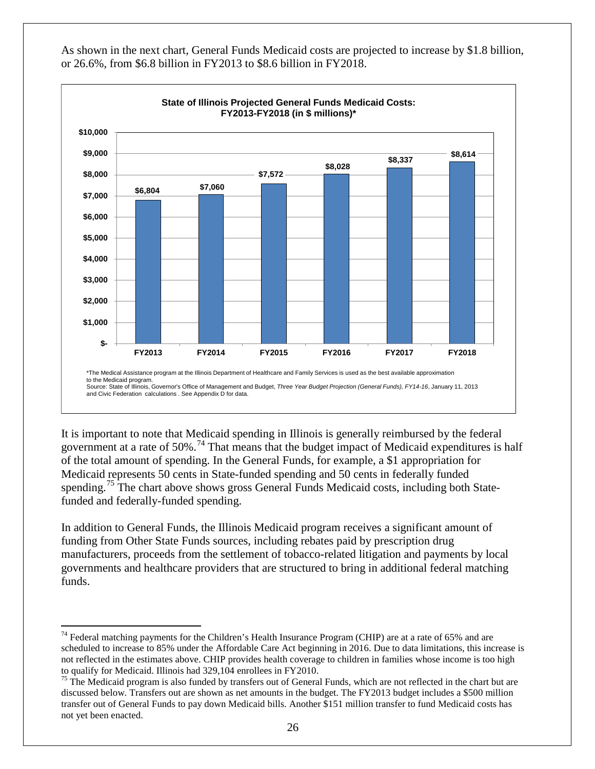

As shown in the next chart, General Funds Medicaid costs are projected to increase by \$1.8 billion, or 26.6%, from \$6.8 billion in FY2013 to \$8.6 billion in FY2018.

It is important to note that Medicaid spending in Illinois is generally reimbursed by the federal government at a rate of 50%.<sup>[74](#page-28-0)</sup> That means that the budget impact of Medicaid expenditures is half of the total amount of spending. In the General Funds, for example, a \$1 appropriation for Medicaid represents 50 cents in State-funded spending and 50 cents in federally funded spending.<sup>[75](#page-28-1)</sup> The chart above shows gross General Funds Medicaid costs, including both Statefunded and federally-funded spending.

In addition to General Funds, the Illinois Medicaid program receives a significant amount of funding from Other State Funds sources, including rebates paid by prescription drug manufacturers, proceeds from the settlement of tobacco-related litigation and payments by local governments and healthcare providers that are structured to bring in additional federal matching funds.

<span id="page-28-0"></span><sup>&</sup>lt;sup>74</sup> Federal matching payments for the Children's Health Insurance Program (CHIP) are at a rate of 65% and are scheduled to increase to 85% under the Affordable Care Act beginning in 2016. Due to data limitations, this increase is not reflected in the estimates above. CHIP provides health coverage to children in families whose income is too high

<span id="page-28-1"></span>to qualify for Medicaid. Illinois had 329,104 enrollees in FY2010.<br><sup>75</sup> The Medicaid program is also funded by transfers out of General Funds, which are not reflected in the chart but are discussed below. Transfers out are shown as net amounts in the budget. The FY2013 budget includes a \$500 million transfer out of General Funds to pay down Medicaid bills. Another \$151 million transfer to fund Medicaid costs has not yet been enacted.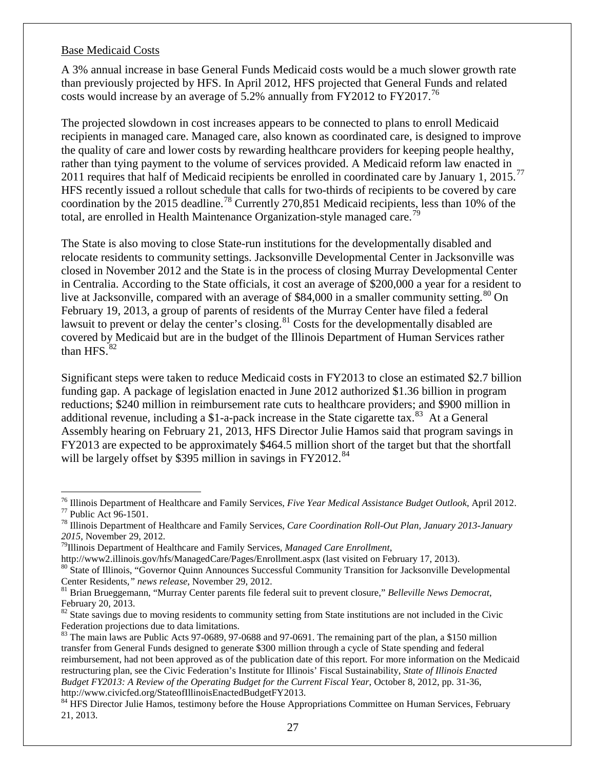#### <span id="page-29-9"></span>Base Medicaid Costs

A 3% annual increase in base General Funds Medicaid costs would be a much slower growth rate than previously projected by HFS. In April 2012, HFS projected that General Funds and related costs would increase by an average of 5.2% annually from FY2012 to FY2017.<sup>[76](#page-29-0)</sup>

The projected slowdown in cost increases appears to be connected to plans to enroll Medicaid recipients in managed care. Managed care, also known as coordinated care, is designed to improve the quality of care and lower costs by rewarding healthcare providers for keeping people healthy, rather than tying payment to the volume of services provided. A Medicaid reform law enacted in 2011 requires that half of Medicaid recipients be enrolled in coordinated care by January 1, 2015.<sup>[77](#page-29-1)</sup> HFS recently issued a rollout schedule that calls for two-thirds of recipients to be covered by care coordination by the 2015 deadline.[78](#page-29-2) Currently 270,851 Medicaid recipients, less than 10% of the total, are enrolled in Health Maintenance Organization-style managed care.<sup>[79](#page-29-3)</sup>

The State is also moving to close State-run institutions for the developmentally disabled and relocate residents to community settings. Jacksonville Developmental Center in Jacksonville was closed in November 2012 and the State is in the process of closing Murray Developmental Center in Centralia. According to the State officials, it cost an average of \$200,000 a year for a resident to live at Jacksonville, compared with an average of \$84,000 in a smaller community setting.<sup>[80](#page-29-4)</sup> On February 19, 2013, a group of parents of residents of the Murray Center have filed a federal lawsuit to prevent or delay the center's closing.<sup>[81](#page-29-5)</sup> Costs for the developmentally disabled are covered by Medicaid but are in the budget of the Illinois Department of Human Services rather than  $HFS.<sup>82</sup>$  $HFS.<sup>82</sup>$  $HFS.<sup>82</sup>$ 

Significant steps were taken to reduce Medicaid costs in FY2013 to close an estimated \$2.7 billion funding gap. A package of legislation enacted in June 2012 authorized \$1.36 billion in program reductions; \$240 million in reimbursement rate cuts to healthcare providers; and \$900 million in additional revenue, including a \$1-a-pack increase in the State cigarette tax.<sup>[83](#page-29-7)</sup> At a General Assembly hearing on February 21, 2013, HFS Director Julie Hamos said that program savings in FY2013 are expected to be approximately \$464.5 million short of the target but that the shortfall will be largely offset by \$395 million in savings in  $FY2012$ <sup>[84](#page-29-8)</sup>

<span id="page-29-1"></span><span id="page-29-0"></span><sup>&</sup>lt;sup>76</sup> Illinois Department of Healthcare and Family Services, *Five Year Medical Assistance Budget Outlook*, April 2012.<br><sup>77</sup> Public Act 96-1501.<br><sup>78</sup> Illinois Department of Healthcare and Family Services, *Care Coordinatio* 

<span id="page-29-2"></span>

<span id="page-29-3"></span><sup>&</sup>lt;sup>79</sup>Illinois Department of Healthcare and Family Services, *Managed Care Enrollment*,

<span id="page-29-4"></span>http://www2.illinois.gov/hfs/ManagedCare/Pages/Enrollment.aspx (last visited on February 17, 2013).<br><sup>80</sup> State of Illinois, "Governor Quinn Announces Successful Community Transition for Jacksonville Developmental Center Residents, " *news release*, November 29, 2012.<br><sup>81</sup> Brian Brueggemann, "Murray Center parents file federal suit to prevent closure," *Belleville News Democrat*,

<span id="page-29-5"></span>February 20, 2013.

<span id="page-29-6"></span><sup>&</sup>lt;sup>82</sup> State savings due to moving residents to community setting from State institutions are not included in the Civic Federation projections due to data limitations.<br><sup>83</sup> The main laws are Public Acts 97-0689, 97-0688 and 97-0691. The remaining part of the plan, a \$150 million

<span id="page-29-7"></span>transfer from General Funds designed to generate \$300 million through a cycle of State spending and federal reimbursement, had not been approved as of the publication date of this report. For more information on the Medicaid restructuring plan, see the Civic Federation's Institute for Illinois' Fiscal Sustainability, *State of Illinois Enacted Budget FY2013: A Review of the Operating Budget for the Current Fiscal Year*, October 8, 2012, pp. 31-36,

<span id="page-29-8"></span>http://www.civicfed.org/StateofIllinoisEnactedBudgetFY2013.<br><sup>84</sup> HFS Director Julie Hamos, testimony before the House Appropriations Committee on Human Services, February 21, 2013.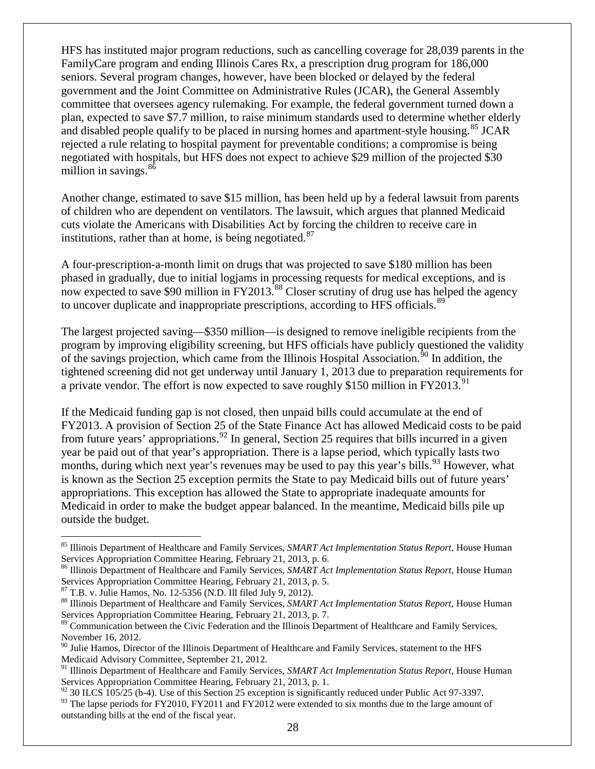HFS has instituted major program reductions, such as cancelling coverage for 28,039 parents in the FamilyCare program and ending Illinois Cares Rx, a prescription drug program for 186,000 seniors. Several program changes, however, have been blocked or delayed by the federal government and the Joint Committee on Administrative Rules (JCAR), the General Assembly committee that oversees agency rulemaking. For example, the federal government turned down a plan, expected to save \$7.7 million, to raise minimum standards used to determine whether elderly and disabled people qualify to be placed in nursing homes and apartment-style housing.<sup>[85](#page-30-0)</sup> JCAR rejected a rule relating to hospital payment for preventable conditions; a compromise is being negotiated with hospitals, but HFS does not expect to achieve \$29 million of the projected \$30 million in savings.<sup>[86](#page-30-1)</sup>

Another change, estimated to save \$15 million, has been held up by a federal lawsuit from parents of children who are dependent on ventilators. The lawsuit, which argues that planned Medicaid cuts violate the Americans with Disabilities Act by forcing the children to receive care in institutions, rather than at home, is being negotiated.<sup>[87](#page-30-2)</sup>

A four-prescription-a-month limit on drugs that was projected to save \$180 million has been phased in gradually, due to initial logjams in processing requests for medical exceptions, and is now expected to save \$90 million in FY2013.<sup>[88](#page-30-3)</sup> Closer scrutiny of drug use has helped the agency to uncover duplicate and inappropriate prescriptions, according to HFS officials.<sup>[89](#page-30-4)</sup>

The largest projected saving—\$350 million—is designed to remove ineligible recipients from the program by improving eligibility screening, but HFS officials have publicly questioned the validity of the savings projection, which came from the Illinois Hospital Association.<sup>[90](#page-30-5)</sup> In addition, the tightened screening did not get underway until January 1, 2013 due to preparation requirements for a private vendor. The effort is now expected to save roughly \$150 million in FY2013.<sup>[91](#page-30-6)</sup>

If the Medicaid funding gap is not closed, then unpaid bills could accumulate at the end of FY2013. A provision of Section 25 of the State Finance Act has allowed Medicaid costs to be paid from future years' appropriations.<sup>[92](#page-30-7)</sup> In general, Section 25 requires that bills incurred in a given year be paid out of that year's appropriation. There is a lapse period, which typically lasts two months, during which next year's revenues may be used to pay this year's bills.<sup>[93](#page-30-8)</sup> However, what is known as the Section 25 exception permits the State to pay Medicaid bills out of future years' appropriations. This exception has allowed the State to appropriate inadequate amounts for Medicaid in order to make the budget appear balanced. In the meantime, Medicaid bills pile up outside the budget.

<span id="page-30-0"></span> <sup>85</sup> Illinois Department of Healthcare and Family Services, *SMART Act Implementation Status Report*, House Human

<span id="page-30-1"></span>Services Appropriation Committee Hearing, February 21, 2013, p. 6.<br><sup>86</sup> Illinois Department of Healthcare and Family Services, *SMART Act Implementation Status Report*, House Human Services Appropriation Committee Hearing, February 21, 2013, p. 5.<br><sup>87</sup> T.B. v. Julie Hamos, No. 12-5356 (N.D. Ill filed July 9, 2012).

<span id="page-30-3"></span><span id="page-30-2"></span><sup>&</sup>lt;sup>88</sup> Illinois Department of Healthcare and Family Services, *SMART Act Implementation Status Report*, House Human Services Appropriation Committee Hearing, February 21, 2013, p. 7.

<span id="page-30-4"></span><sup>&</sup>lt;sup>89</sup> Communication between the Civic Federation and the Illinois Department of Healthcare and Family Services, November 16, 2012.

<span id="page-30-5"></span><sup>&</sup>lt;sup>90</sup> Julie Hamos, Director of the Illinois Department of Healthcare and Family Services, statement to the HFS Medicaid Advisory Committee, September 21, 2012.

<span id="page-30-6"></span><sup>91</sup> Illinois Department of Healthcare and Family Services, *SMART Act Implementation Status Report*, House Human Services Appropriation Committee Hearing, February 21, 2013, p. 1.

<span id="page-30-7"></span> $92$  30 ILCS 105/25 (b-4). Use of this Section 25 exception is significantly reduced under Public Act 97-3397.

<span id="page-30-8"></span><sup>&</sup>lt;sup>93</sup> The lapse periods for FY2010, FY2011 and FY2012 were extended to six months due to the large amount of outstanding bills at the end of the fiscal year.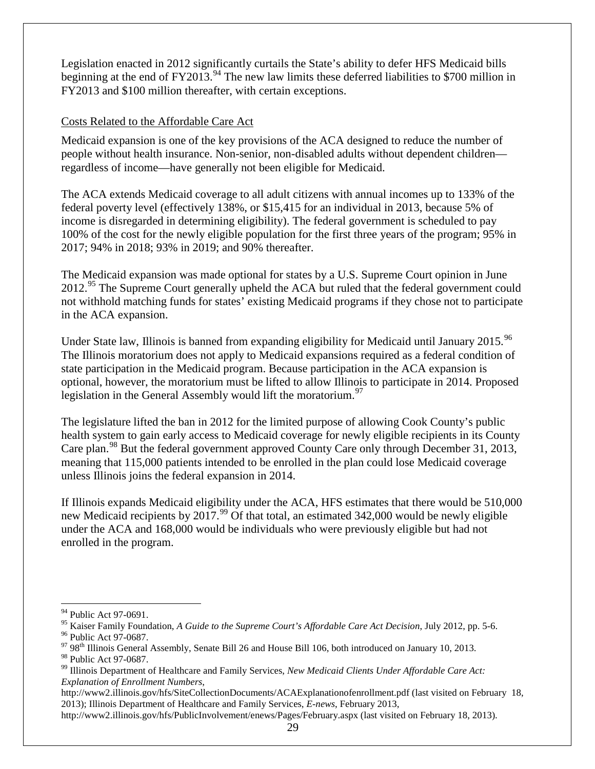Legislation enacted in 2012 significantly curtails the State's ability to defer HFS Medicaid bills beginning at the end of  $FY2013.^{94}$  $FY2013.^{94}$  $FY2013.^{94}$  The new law limits these deferred liabilities to \$700 million in FY2013 and \$100 million thereafter, with certain exceptions.

#### <span id="page-31-6"></span>Costs Related to the Affordable Care Act

Medicaid expansion is one of the key provisions of the ACA designed to reduce the number of people without health insurance. Non-senior, non-disabled adults without dependent children regardless of income—have generally not been eligible for Medicaid.

The ACA extends Medicaid coverage to all adult citizens with annual incomes up to 133% of the federal poverty level (effectively 138%, or \$15,415 for an individual in 2013, because 5% of income is disregarded in determining eligibility). The federal government is scheduled to pay 100% of the cost for the newly eligible population for the first three years of the program; 95% in 2017; 94% in 2018; 93% in 2019; and 90% thereafter.

The Medicaid expansion was made optional for states by a U.S. Supreme Court opinion in June  $2012.<sup>95</sup>$  $2012.<sup>95</sup>$  $2012.<sup>95</sup>$  The Supreme Court generally upheld the ACA but ruled that the federal government could not withhold matching funds for states' existing Medicaid programs if they chose not to participate in the ACA expansion.

Under State law, Illinois is banned from expanding eligibility for Medicaid until January 2015.<sup>[96](#page-31-2)</sup> The Illinois moratorium does not apply to Medicaid expansions required as a federal condition of state participation in the Medicaid program. Because participation in the ACA expansion is optional, however, the moratorium must be lifted to allow Illinois to participate in 2014. Proposed legislation in the General Assembly would lift the moratorium.<sup>[97](#page-31-3)</sup>

The legislature lifted the ban in 2012 for the limited purpose of allowing Cook County's public health system to gain early access to Medicaid coverage for newly eligible recipients in its County Care plan.<sup>[98](#page-31-4)</sup> But the federal government approved County Care only through December 31, 2013, meaning that 115,000 patients intended to be enrolled in the plan could lose Medicaid coverage unless Illinois joins the federal expansion in 2014.

If Illinois expands Medicaid eligibility under the ACA, HFS estimates that there would be 510,000 new Medicaid recipients by  $2017.^{99}$  $2017.^{99}$  $2017.^{99}$  Of that total, an estimated 342,000 would be newly eligible under the ACA and 168,000 would be individuals who were previously eligible but had not enrolled in the program.

http://www2.illinois.gov/hfs/PublicInvolvement/enews/Pages/February.aspx (last visited on February 18, 2013).

<span id="page-31-0"></span><sup>&</sup>lt;sup>94</sup> Public Act 97-0691.<br><sup>95</sup> Kaiser Family Foundation, *A Guide to the Supreme Court's Affordable Care Act Decision*, July 2012, pp. 5-6.

<span id="page-31-3"></span><span id="page-31-2"></span><span id="page-31-1"></span><sup>&</sup>lt;sup>96</sup> Public Act 97-0687.<br><sup>97</sup> 98<sup>th</sup> Illinois General Assembly, Senate Bill 26 and House Bill 106, both introduced on January 10, 2013.<br><sup>98</sup> Public Act 97-0687.

<span id="page-31-5"></span><span id="page-31-4"></span><sup>&</sup>lt;sup>99</sup> Illinois Department of Healthcare and Family Services, *New Medicaid Clients Under Affordable Care Act*: *Explanation of Enrollment Numbers*,

http://www2.illinois.gov/hfs/SiteCollectionDocuments/ACAExplanationofenrollment.pdf (last visited on February 18, 2013); Illinois Department of Healthcare and Family Services, *E-news*, February 2013,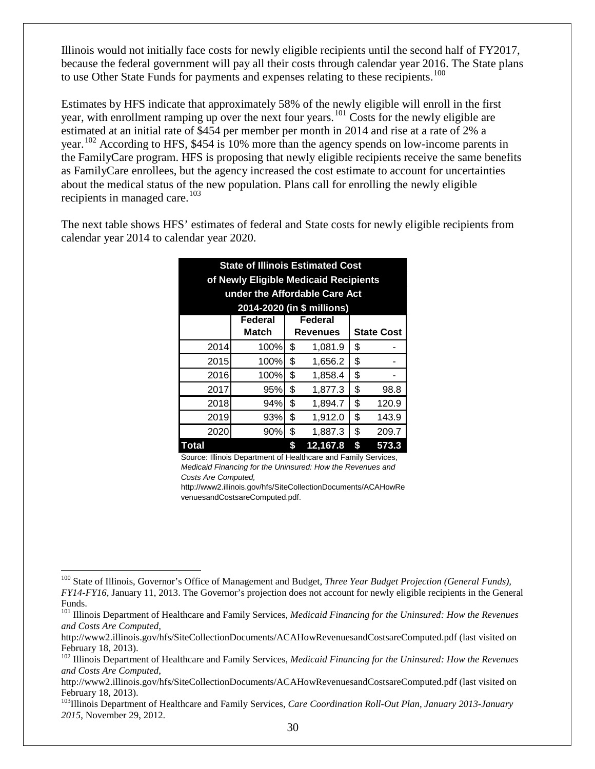Illinois would not initially face costs for newly eligible recipients until the second half of FY2017, because the federal government will pay all their costs through calendar year 2016. The State plans to use Other State Funds for payments and expenses relating to these recipients.<sup>[100](#page-32-0)</sup>

Estimates by HFS indicate that approximately 58% of the newly eligible will enroll in the first year, with enrollment ramping up over the next four years.<sup>[101](#page-32-1)</sup> Costs for the newly eligible are estimated at an initial rate of \$454 per member per month in 2014 and rise at a rate of 2% a year.<sup>[102](#page-32-2)</sup> According to HFS, \$454 is 10% more than the agency spends on low-income parents in the FamilyCare program. HFS is proposing that newly eligible recipients receive the same benefits as FamilyCare enrollees, but the agency increased the cost estimate to account for uncertainties about the medical status of the new population. Plans call for enrolling the newly eligible recipients in managed care.<sup>[103](#page-32-3)</sup>

The next table shows HFS' estimates of federal and State costs for newly eligible recipients from calendar year 2014 to calendar year 2020.

| <b>State of Illinois Estimated Cost</b> |                                               |    |          |    |       |  |  |  |  |  |  |  |  |  |
|-----------------------------------------|-----------------------------------------------|----|----------|----|-------|--|--|--|--|--|--|--|--|--|
| of Newly Eligible Medicaid Recipients   |                                               |    |          |    |       |  |  |  |  |  |  |  |  |  |
| under the Affordable Care Act           |                                               |    |          |    |       |  |  |  |  |  |  |  |  |  |
| 2014-2020 (in \$ millions)              |                                               |    |          |    |       |  |  |  |  |  |  |  |  |  |
| Federal<br>Federal                      |                                               |    |          |    |       |  |  |  |  |  |  |  |  |  |
|                                         | Match<br><b>State Cost</b><br><b>Revenues</b> |    |          |    |       |  |  |  |  |  |  |  |  |  |
| 2014                                    | \$<br>100%<br>1,081.9                         |    |          |    |       |  |  |  |  |  |  |  |  |  |
| 2015                                    | 100%                                          | \$ | 1,656.2  | \$ |       |  |  |  |  |  |  |  |  |  |
| 2016                                    | 100%                                          | \$ | 1,858.4  | \$ |       |  |  |  |  |  |  |  |  |  |
| 2017                                    | 95%                                           | \$ | 1,877.3  | \$ | 98.8  |  |  |  |  |  |  |  |  |  |
| 2018                                    | 94%                                           | \$ | 1,894.7  | \$ | 120.9 |  |  |  |  |  |  |  |  |  |
| 2019                                    | 93%                                           | \$ | 1,912.0  | \$ | 143.9 |  |  |  |  |  |  |  |  |  |
| 2020                                    | \$<br>\$<br>90%<br>1,887.3<br>209.7           |    |          |    |       |  |  |  |  |  |  |  |  |  |
| Total                                   |                                               | \$ | 12,167.8 | \$ | 573.3 |  |  |  |  |  |  |  |  |  |

Source: Illinois Department of Healthcare and Family Services, *Medicaid Financing for the Uninsured: How the Revenues and Costs Are Computed,* 

http://www2.illinois.gov/hfs/SiteCollectionDocuments/ACAHowRe venuesandCostsareComputed.pdf.

<span id="page-32-0"></span><sup>&</sup>lt;sup>100</sup> State of Illinois, Governor's Office of Management and Budget, *Three Year Budget Projection (General Funds)*, *FY14-FY16*, January 11, 2013. The Governor's projection does not account for newly eligible recipients in the General Funds.

<span id="page-32-1"></span><sup>&</sup>lt;sup>101</sup> Illinois Department of Healthcare and Family Services, *Medicaid Financing for the Uninsured: How the Revenues and Costs Are Computed*,

http://www2.illinois.gov/hfs/SiteCollectionDocuments/ACAHowRevenuesandCostsareComputed.pdf (last visited on February 18, 2013).

<span id="page-32-2"></span><sup>&</sup>lt;sup>102</sup> Illinois Department of Healthcare and Family Services, *Medicaid Financing for the Uninsured: How the Revenues and Costs Are Computed*,

http://www2.illinois.gov/hfs/SiteCollectionDocuments/ACAHowRevenuesandCostsareComputed.pdf (last visited on February 18, 2013).

<span id="page-32-3"></span><sup>&</sup>lt;sup>103</sup>Illinois Department of Healthcare and Family Services, *Care Coordination Roll-Out Plan, January 2013-January 2015*, November 29, 2012.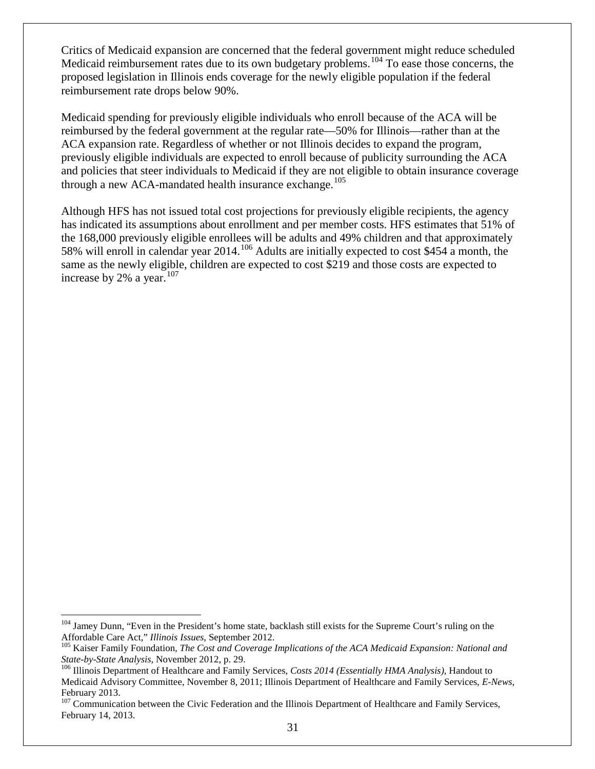Critics of Medicaid expansion are concerned that the federal government might reduce scheduled Medicaid reimbursement rates due to its own budgetary problems.<sup>[104](#page-33-0)</sup> To ease those concerns, the proposed legislation in Illinois ends coverage for the newly eligible population if the federal reimbursement rate drops below 90%.

Medicaid spending for previously eligible individuals who enroll because of the ACA will be reimbursed by the federal government at the regular rate—50% for Illinois—rather than at the ACA expansion rate. Regardless of whether or not Illinois decides to expand the program, previously eligible individuals are expected to enroll because of publicity surrounding the ACA and policies that steer individuals to Medicaid if they are not eligible to obtain insurance coverage through a new ACA-mandated health insurance exchange.<sup>[105](#page-33-1)</sup>

Although HFS has not issued total cost projections for previously eligible recipients, the agency has indicated its assumptions about enrollment and per member costs. HFS estimates that 51% of the 168,000 previously eligible enrollees will be adults and 49% children and that approximately 58% will enroll in calendar year 2014.[106](#page-33-2) Adults are initially expected to cost \$454 a month, the same as the newly eligible, children are expected to cost \$219 and those costs are expected to increase by 2% a year.<sup>[107](#page-33-3)</sup>

<span id="page-33-0"></span><sup>&</sup>lt;sup>104</sup> Jamey Dunn, "Even in the President's home state, backlash still exists for the Supreme Court's ruling on the Affordable Care Act," *Illinois Issues*, September 2012.

<span id="page-33-1"></span><sup>&</sup>lt;sup>105</sup> Kaiser Family Foundation, The Cost and Coverage Implications of the ACA Medicaid Expansion: National and *State-by-State Analysis*, November 2012, p. 29. <sup>106</sup> Illinois Department of Healthcare and Family Services, *Costs 2014 (Essentially HMA Analysis)*, Handout to

<span id="page-33-2"></span>Medicaid Advisory Committee, November 8, 2011; Illinois Department of Healthcare and Family Services, *E-News*, February 2013.

<span id="page-33-3"></span><sup>&</sup>lt;sup>107</sup> Communication between the Civic Federation and the Illinois Department of Healthcare and Family Services, February 14, 2013.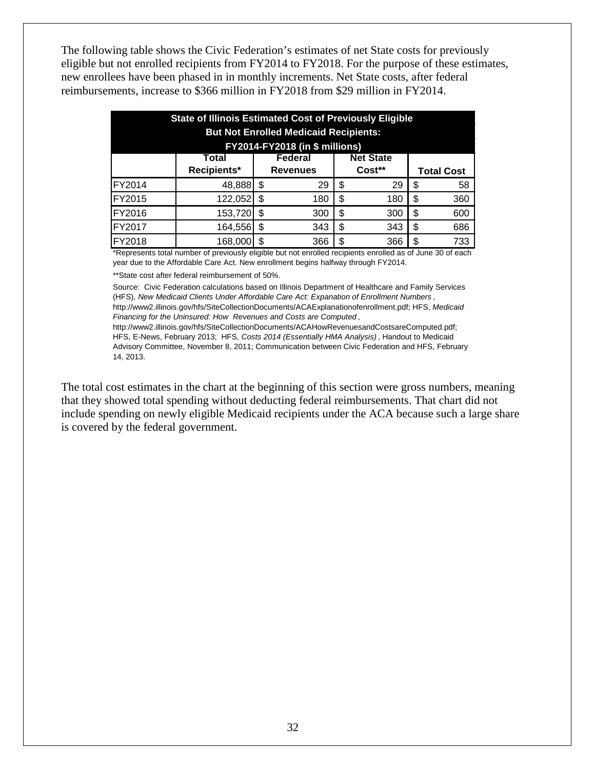The following table shows the Civic Federation's estimates of net State costs for previously eligible but not enrolled recipients from FY2014 to FY2018. For the purpose of these estimates, new enrollees have been phased in in monthly increments. Net State costs, after federal reimbursements, increase to \$366 million in FY2018 from \$29 million in FY2014.

| <b>State of Illinois Estimated Cost of Previously Eligible</b><br><b>But Not Enrolled Medicaid Recipients:</b><br><b>FY2014-FY2018 (in \$ millions)</b> |                                    |      |     |   |     |    |     |  |  |  |  |  |  |
|---------------------------------------------------------------------------------------------------------------------------------------------------------|------------------------------------|------|-----|---|-----|----|-----|--|--|--|--|--|--|
| <b>Net State</b><br>Federal<br>Total<br>Recipients*<br>Cost**<br><b>Revenues</b>                                                                        |                                    |      |     |   |     |    |     |  |  |  |  |  |  |
| <b>Total Cost</b>                                                                                                                                       |                                    |      |     |   |     |    |     |  |  |  |  |  |  |
| FY2014                                                                                                                                                  | 48,888                             | - \$ | 29  | S | 29  | \$ | 58  |  |  |  |  |  |  |
| FY2015                                                                                                                                                  | 122,052                            | S    | 180 | S | 180 | \$ | 360 |  |  |  |  |  |  |
| FY2016                                                                                                                                                  | 153,720                            | \$   | 300 | S | 300 | \$ | 600 |  |  |  |  |  |  |
| FY2017                                                                                                                                                  | 164,556                            | -\$  | 343 | S | 343 | \$ | 686 |  |  |  |  |  |  |
| FY2018                                                                                                                                                  | 168,000<br>\$<br>733<br>366<br>366 |      |     |   |     |    |     |  |  |  |  |  |  |

\*Represents total number of previously eligible but not enrolled recipients enrolled as of June 30 of each year due to the Affordable Care Act. New enrollment begins halfway through FY2014.

\*\*State cost after federal reimbursement of 50%.

Source: Civic Federation calculations based on Illinois Department of Healthcare and Family Services (HFS), *New Medicaid Clients Under Affordable Care Act: Expanation of Enrollment Numbers* , http://www2.illinois.gov/hfs/SiteCollectionDocuments/ACAExplanationofenrollment.pdf; HFS, *Medicaid Financing for the Uninsured: How Revenues and Costs are Computed* ,

http://www2.illinois.gov/hfs/SiteCollectionDocuments/ACAHowRevenuesandCostsareComputed.pdf; HFS, E-News, February 2013; HFS, *Costs 2014 (Essentially HMA Analysis)* , Handout to Medicaid Advisory Committee, November 8, 2011; Communication between Civic Federation and HFS, February 14, 2013.

The total cost estimates in the chart at the beginning of this section were gross numbers, meaning that they showed total spending without deducting federal reimbursements. That chart did not include spending on newly eligible Medicaid recipients under the ACA because such a large share is covered by the federal government.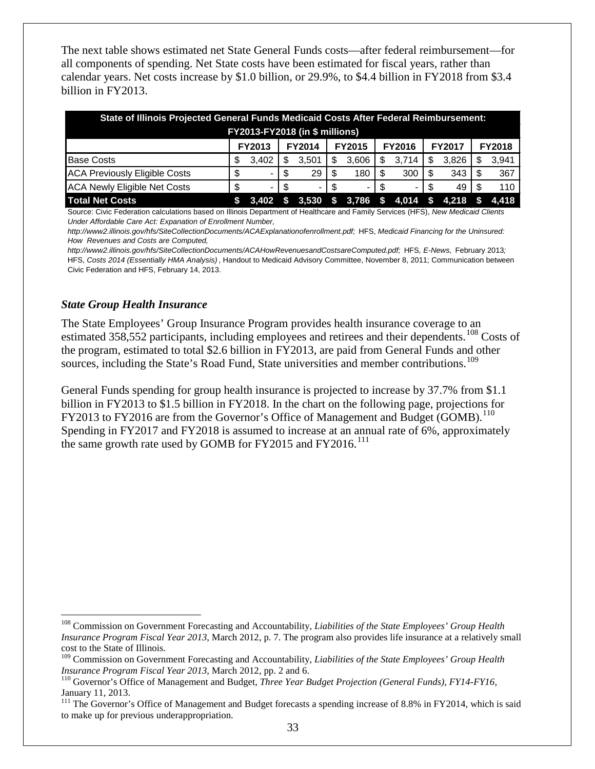The next table shows estimated net State General Funds costs—after federal reimbursement—for all components of spending. Net State costs have been estimated for fiscal years, rather than calendar years. Net costs increase by \$1.0 billion, or 29.9%, to \$4.4 billion in FY2018 from \$3.4 billion in FY2013.

| State of Illinois Projected General Funds Medicaid Costs After Federal Reimbursement: |    |               |    |               |     |                |   |                              |     |               |  |                  |
|---------------------------------------------------------------------------------------|----|---------------|----|---------------|-----|----------------|---|------------------------------|-----|---------------|--|------------------|
| FY2013-FY2018 (in \$ millions)                                                        |    |               |    |               |     |                |   |                              |     |               |  |                  |
|                                                                                       |    | <b>FY2013</b> |    | <b>FY2014</b> |     | <b>FY2015</b>  |   | <b>FY2016</b>                |     | <b>FY2017</b> |  | <b>FY2018</b>    |
| <b>Base Costs</b>                                                                     | S  | 3.402         | S  | 3.501         | S   | 3,606          | S | 3,714                        | S.  | 3.826         |  | 3,941            |
| <b>ACA Previously Eligible Costs</b>                                                  |    |               | S  | 29            |     | 180            |   | 300                          |     | 343           |  | 367              |
| <b>ACA Newly Eligible Net Costs</b>                                                   | \$ |               | -S |               | -SS | $\blacksquare$ |   |                              | \$. | 49            |  | 110              |
| <b>Total Net Costs</b>                                                                |    | 3.402         | \$ |               |     |                |   | $3,530$ \$ 3,786 \$ 4,014 \$ |     |               |  | $4,218$ \$ 4,418 |

Source: Civic Federation calculations based on Illinois Department of Healthcare and Family Services (HFS), *New Medicaid Clients Under Affordable Care Act: Expanation of Enrollment Number,* 

*http://www2.illinois.gov/hfs/SiteCollectionDocuments/ACAExplanationofenrollment.pdf;* HFS, *Medicaid Financing for the Uninsured: How Revenues and Costs are Computed,* 

*http://www2.illinois.gov/hfs/SiteCollectionDocuments/ACAHowRevenuesandCostsareComputed.pdf;* HFS*, E-News,* February 2013*;*  HFS, *Costs 2014 (Essentially HMA Analysis)* , Handout to Medicaid Advisory Committee, November 8, 2011; Communication between Civic Federation and HFS, February 14, 2013.

#### <span id="page-35-0"></span>*State Group Health Insurance*

The State Employees' Group Insurance Program provides health insurance coverage to an estimated 358,552 participants, including employees and retirees and their dependents.<sup>[108](#page-35-1)</sup> Costs of the program, estimated to total \$2.6 billion in FY2013, are paid from General Funds and other sources, including the State's Road Fund, State universities and member contributions.<sup>[109](#page-35-2)</sup>

General Funds spending for group health insurance is projected to increase by 37.7% from \$1.1 billion in FY2013 to \$1.5 billion in FY2018. In the chart on the following page, projections for FY2013 to FY2016 are from the Governor's Office of Management and Budget (GOMB).<sup>[110](#page-35-3)</sup> Spending in FY2017 and FY2018 is assumed to increase at an annual rate of 6%, approximately the same growth rate used by GOMB for FY2015 and FY2016.<sup>[111](#page-35-4)</sup>

<span id="page-35-1"></span> <sup>108</sup> Commission on Government Forecasting and Accountability, *Liabilities of the State Employees' Group Health Insurance Program Fiscal Year 2013*, March 2012, p. 7. The program also provides life insurance at a relatively small cost to the State of Illinois.

<span id="page-35-2"></span><sup>&</sup>lt;sup>109</sup> Commission on Government Forecasting and Accountability, *Liabilities of the State Employees' Group Health Insurance Program Fiscal Year 2013*, March 2012, pp. 2 and 6.

<span id="page-35-3"></span><sup>&</sup>lt;sup>110</sup> Governor's Office of Management and Budget, *Three Year Budget Projection (General Funds), FY14-FY16*, January 11, 2013.

<span id="page-35-4"></span><sup>&</sup>lt;sup>111</sup> The Governor's Office of Management and Budget forecasts a spending increase of 8.8% in FY2014, which is said to make up for previous underappropriation.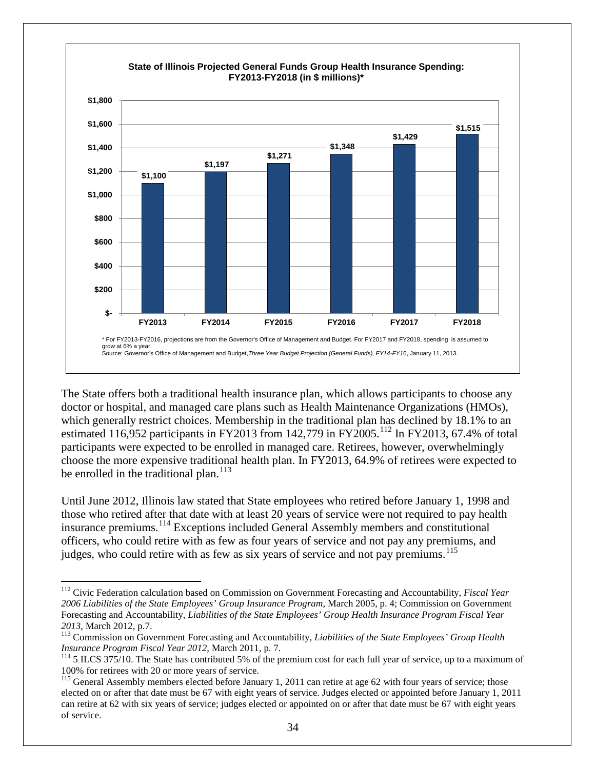

The State offers both a traditional health insurance plan, which allows participants to choose any doctor or hospital, and managed care plans such as Health Maintenance Organizations (HMOs), which generally restrict choices. Membership in the traditional plan has declined by 18.1% to an estimated 116,952 participants in FY2013 from 142,779 in FY2005.<sup>[112](#page-36-0)</sup> In FY2013, 67.4% of total participants were expected to be enrolled in managed care. Retirees, however, overwhelmingly choose the more expensive traditional health plan. In FY2013, 64.9% of retirees were expected to be enrolled in the traditional plan.<sup>[113](#page-36-1)</sup>

Until June 2012, Illinois law stated that State employees who retired before January 1, 1998 and those who retired after that date with at least 20 years of service were not required to pay health insurance premiums.[114](#page-36-2) Exceptions included General Assembly members and constitutional officers, who could retire with as few as four years of service and not pay any premiums, and judges, who could retire with as few as six years of service and not pay premiums.<sup>[115](#page-36-3)</sup>

<span id="page-36-0"></span> <sup>112</sup> Civic Federation calculation based on Commission on Government Forecasting and Accountability, *Fiscal Year 2006 Liabilities of the State Employees' Group Insurance Program,* March 2005, p. 4; Commission on Government Forecasting and Accountability, *Liabilities of the State Employees' Group Health Insurance Program Fiscal Year* 

<span id="page-36-1"></span>*<sup>2013</sup>*, March 2012, p.7. <sup>113</sup> Commission on Government Forecasting and Accountability, *Liabilities of the State Employees' Group Health Insurance Program Fiscal Year 2012*, March 2011, p. 7.<br><sup>114</sup> 5 ILCS 375/10. The State has contributed 5% of the premium cost for each full year of service, up to a maximum of

<span id="page-36-2"></span><sup>100%</sup> for retirees with 20 or more years of service.

<span id="page-36-3"></span><sup>&</sup>lt;sup>115</sup> General Assembly members elected before January 1, 2011 can retire at age 62 with four years of service; those elected on or after that date must be 67 with eight years of service. Judges elected or appointed before January 1, 2011 can retire at 62 with six years of service; judges elected or appointed on or after that date must be 67 with eight years of service.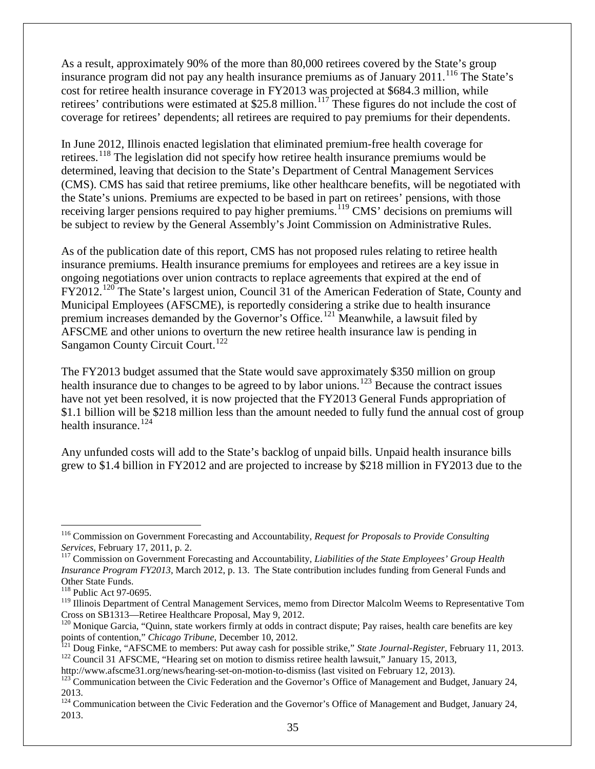As a result, approximately 90% of the more than 80,000 retirees covered by the State's group insurance program did not pay any health insurance premiums as of January 2011.<sup>[116](#page-37-0)</sup> The State's cost for retiree health insurance coverage in FY2013 was projected at \$684.3 million, while retirees' contributions were estimated at \$25.8 million.<sup>[117](#page-37-1)</sup> These figures do not include the cost of coverage for retirees' dependents; all retirees are required to pay premiums for their dependents.

In June 2012, Illinois enacted legislation that eliminated premium-free health coverage for retirees.[118](#page-37-2) The legislation did not specify how retiree health insurance premiums would be determined, leaving that decision to the State's Department of Central Management Services (CMS). CMS has said that retiree premiums, like other healthcare benefits, will be negotiated with the State's unions. Premiums are expected to be based in part on retirees' pensions, with those receiving larger pensions required to pay higher premiums.<sup>[119](#page-37-3)</sup> CMS' decisions on premiums will be subject to review by the General Assembly's Joint Commission on Administrative Rules.

As of the publication date of this report, CMS has not proposed rules relating to retiree health insurance premiums. Health insurance premiums for employees and retirees are a key issue in ongoing negotiations over union contracts to replace agreements that expired at the end of FY2012.<sup>[120](#page-37-4)</sup> The State's largest union, Council 31 of the American Federation of State, County and Municipal Employees (AFSCME), is reportedly considering a strike due to health insurance premium increases demanded by the Governor's Office.[121](#page-37-5) Meanwhile, a lawsuit filed by AFSCME and other unions to overturn the new retiree health insurance law is pending in Sangamon County Circuit Court.<sup>[122](#page-37-6)</sup>

The FY2013 budget assumed that the State would save approximately \$350 million on group health insurance due to changes to be agreed to by labor unions.<sup>[123](#page-37-7)</sup> Because the contract issues have not yet been resolved, it is now projected that the FY2013 General Funds appropriation of \$1.1 billion will be \$218 million less than the amount needed to fully fund the annual cost of group health insurance.<sup>[124](#page-37-8)</sup>

Any unfunded costs will add to the State's backlog of unpaid bills. Unpaid health insurance bills grew to \$1.4 billion in FY2012 and are projected to increase by \$218 million in FY2013 due to the

<span id="page-37-0"></span><sup>&</sup>lt;sup>116</sup> Commission on Government Forecasting and Accountability, *Request for Proposals to Provide Consulting Services*, February 17, 2011, p. 2.

<span id="page-37-1"></span><sup>&</sup>lt;sup>117</sup> Commission on Government Forecasting and Accountability, *Liabilities of the State Employees' Group Health Insurance Program FY2013*, March 2012, p. 13. The State contribution includes funding from General Funds and Other State Funds.

<span id="page-37-2"></span><sup>&</sup>lt;sup>118</sup> Public Act 97-0695.

<span id="page-37-3"></span><sup>&</sup>lt;sup>119</sup> Illinois Department of Central Management Services, memo from Director Malcolm Weems to Representative Tom

<span id="page-37-4"></span>Cross on SB1313—Retiree Healthcare Proposal, May 9, 2012.<br><sup>120</sup> Monique Garcia, "Quinn, state workers firmly at odds in contract dispute; Pay raises, health care benefits are key<br>points of contention," *Chicago Tribune*, D

<span id="page-37-6"></span><span id="page-37-5"></span><sup>&</sup>lt;sup>121</sup> Doug Finke, "AFSCME to members: Put away cash for possible strike," *State Journal-Register*, February 11, 2013.<br><sup>122</sup> Council 31 AFSCME, "Hearing set on motion to dismiss retiree health lawsuit," January 15, 2013,<br>

<span id="page-37-7"></span> $\frac{123}{2}$ Communication between the Civic Federation and the Governor's Office of Management and Budget, January 24, 2013.

<span id="page-37-8"></span><sup>&</sup>lt;sup>124</sup> Communication between the Civic Federation and the Governor's Office of Management and Budget, January 24, 2013.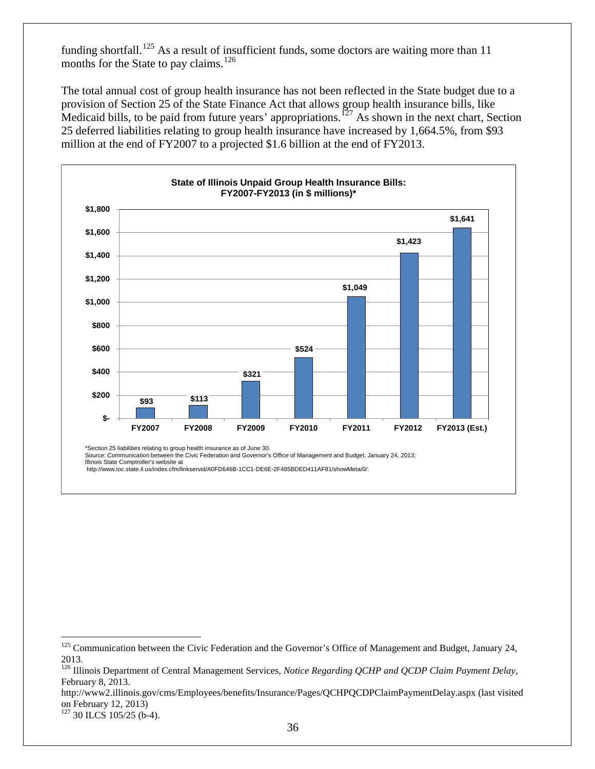funding shortfall.<sup>[125](#page-38-0)</sup> As a result of insufficient funds, some doctors are waiting more than 11 months for the State to pay claims.<sup>[126](#page-38-1)</sup>

The total annual cost of group health insurance has not been reflected in the State budget due to a provision of Section 25 of the State Finance Act that allows group health insurance bills, like Medicaid bills, to be paid from future years' appropriations.<sup>[127](#page-38-2)</sup> As shown in the next chart, Section 25 deferred liabilities relating to group health insurance have increased by 1,664.5%, from \$93 million at the end of FY2007 to a projected \$1.6 billion at the end of FY2013.



\*Section 25 liabilities relating to group health insurance as of June 30.

Source: Communication between the Civic Federation and Governor's Office of Management and Budget, January 24, 2013;

Illinois State Comptroller's website at http://www.ioc.state.il.us/index.cfm/linkservid/A0FD646B-1CC1-DE6E-2F485BDED411AF81/showMeta/0/.

<span id="page-38-0"></span><sup>&</sup>lt;sup>125</sup> Communication between the Civic Federation and the Governor's Office of Management and Budget, January 24, 2013.

<span id="page-38-1"></span><sup>126</sup> Illinois Department of Central Management Services, *Notice Regarding QCHP and QCDP Claim Payment Delay*, February 8, 2013.

http://www2.illinois.gov/cms/Employees/benefits/Insurance/Pages/QCHPQCDPClaimPaymentDelay.aspx (last visited on February 12, 2013)

<span id="page-38-2"></span><sup>&</sup>lt;sup>127</sup> 30 ILCS 105/25 (b-4).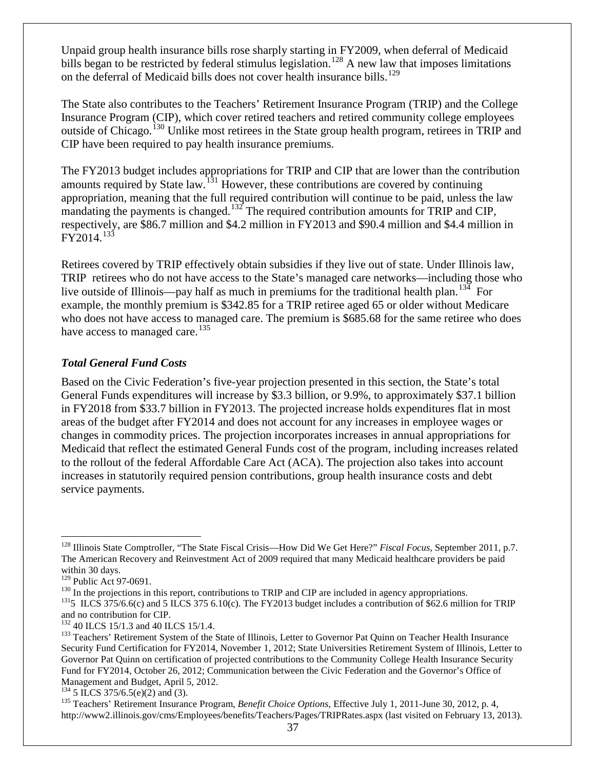Unpaid group health insurance bills rose sharply starting in FY2009, when deferral of Medicaid bills began to be restricted by federal stimulus legislation.<sup>[128](#page-39-1)</sup> A new law that imposes limitations on the deferral of Medicaid bills does not cover health insurance bills.<sup>[129](#page-39-2)</sup>

The State also contributes to the Teachers' Retirement Insurance Program (TRIP) and the College Insurance Program (CIP), which cover retired teachers and retired community college employees outside of Chicago.<sup>[130](#page-39-3)</sup> Unlike most retirees in the State group health program, retirees in TRIP and CIP have been required to pay health insurance premiums.

The FY2013 budget includes appropriations for TRIP and CIP that are lower than the contribution amounts required by State law.<sup>[131](#page-39-4)</sup> However, these contributions are covered by continuing appropriation, meaning that the full required contribution will continue to be paid, unless the law mandating the payments is changed.<sup>[132](#page-39-5)</sup> The required contribution amounts for TRIP and CIP, respectively, are \$86.7 million and \$4.2 million in FY2013 and \$90.4 million and \$4.4 million in  $FY2014.<sup>133</sup>$  $FY2014.<sup>133</sup>$  $FY2014.<sup>133</sup>$ 

Retirees covered by TRIP effectively obtain subsidies if they live out of state. Under Illinois law, TRIP retirees who do not have access to the State's managed care networks—including those who live outside of Illinois—pay half as much in premiums for the traditional health plan.<sup>[134](#page-39-7)</sup> For example, the monthly premium is \$342.85 for a TRIP retiree aged 65 or older without Medicare who does not have access to managed care. The premium is \$685.68 for the same retiree who does have access to managed care.<sup>[135](#page-39-8)</sup>

### <span id="page-39-0"></span>*Total General Fund Costs*

Based on the Civic Federation's five-year projection presented in this section, the State's total General Funds expenditures will increase by \$3.3 billion, or 9.9%, to approximately \$37.1 billion in FY2018 from \$33.7 billion in FY2013. The projected increase holds expenditures flat in most areas of the budget after FY2014 and does not account for any increases in employee wages or changes in commodity prices. The projection incorporates increases in annual appropriations for Medicaid that reflect the estimated General Funds cost of the program, including increases related to the rollout of the federal Affordable Care Act (ACA). The projection also takes into account increases in statutorily required pension contributions, group health insurance costs and debt service payments.

<span id="page-39-1"></span> <sup>128</sup> Illinois State Comptroller, "The State Fiscal Crisis—How Did We Get Here?" *Fiscal Focus*, September 2011, p.7. The American Recovery and Reinvestment Act of 2009 required that many Medicaid healthcare providers be paid within 30 days.<br> $^{129}$  Public Act 97-0691.

<span id="page-39-4"></span><span id="page-39-3"></span><span id="page-39-2"></span><sup>&</sup>lt;sup>130</sup> In the projections in this report, contributions to TRIP and CIP are included in agency appropriations.<br><sup>131</sup>5 ILCS 375/6.6(c) and 5 ILCS 375 6.10(c). The FY2013 budget includes a contribution of \$62.6 million for T and no contribution for CIP.<br><sup>132</sup> 40 ILCS 15/1.3 and 40 ILCS 15/1.4.

<span id="page-39-6"></span><span id="page-39-5"></span><sup>&</sup>lt;sup>133</sup> Teachers' Retirement System of the State of Illinois, Letter to Governor Pat Quinn on Teacher Health Insurance Security Fund Certification for FY2014, November 1, 2012; State Universities Retirement System of Illinois, Letter to Governor Pat Quinn on certification of projected contributions to the Community College Health Insurance Security Fund for FY2014, October 26, 2012; Communication between the Civic Federation and the Governor's Office of Management and Budget, April 5, 2012.<br><sup>134</sup> 5 ILCS 375/6.5(e)(2) and (3).

<span id="page-39-7"></span>

<span id="page-39-8"></span><sup>&</sup>lt;sup>135</sup> Teachers' Retirement Insurance Program, *Benefit Choice Options*, Effective July 1, 2011-June 30, 2012, p. 4, http://www2.illinois.gov/cms/Employees/benefits/Teachers/Pages/TRIPRates.aspx (last visited on February 13, 2013).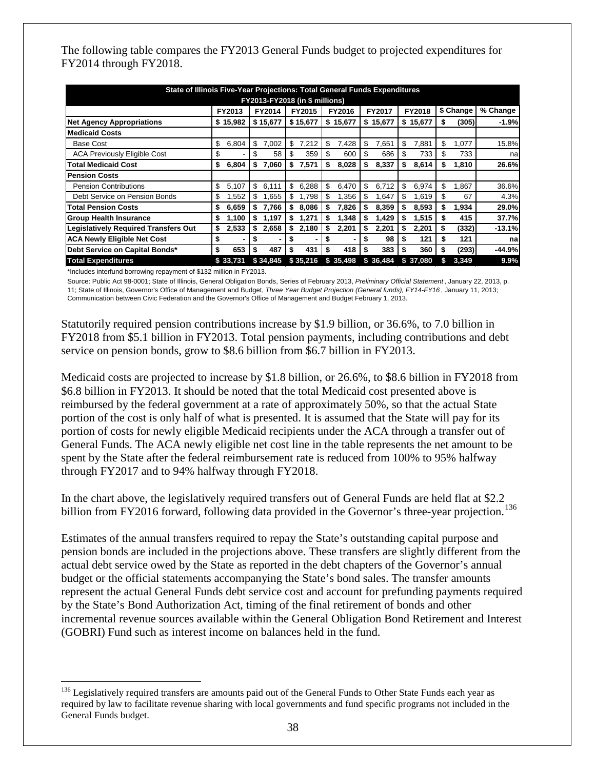The following table compares the FY2013 General Funds budget to projected expenditures for FY2014 through FY2018.

| State of Illinois Five-Year Projections: Total General Funds Expenditures |    |                |    |          |    |          |    |          |    |          |    |           |    |           |          |
|---------------------------------------------------------------------------|----|----------------|----|----------|----|----------|----|----------|----|----------|----|-----------|----|-----------|----------|
| <b>FY2013-FY2018 (in \$ millions)</b>                                     |    |                |    |          |    |          |    |          |    |          |    |           |    |           |          |
|                                                                           |    | FY2013         |    | FY2014   |    | FY2015   |    | FY2016   |    | FY2017   |    | FY2018    |    | \$ Change | % Change |
| <b>Net Agency Appropriations</b>                                          |    | \$15,982       |    | \$15,677 |    | \$15,677 |    | \$15,677 |    | \$15,677 |    | \$15,677  | \$ | (305)     | $-1.9%$  |
| <b>Medicaid Costs</b>                                                     |    |                |    |          |    |          |    |          |    |          |    |           |    |           |          |
| Base Cost                                                                 | \$ | 6,804          | \$ | 7,002    | \$ | 7,212    | \$ | 7,428    | \$ | 7,651    | \$ | 7,881     | \$ | 1,077     | 15.8%    |
| <b>ACA Previously Eligible Cost</b>                                       | \$ |                | \$ | 58       | \$ | 359      | \$ | 600      | \$ | 686      | \$ | 733       | \$ | 733       | na       |
| Total Medicaid Cost                                                       | \$ | 6,804          | \$ | 7,060    | \$ | 7,571    | \$ | 8,028    | \$ | 8,337    | S  | 8,614     | \$ | 1,810     | 26.6%    |
| <b>Pension Costs</b>                                                      |    |                |    |          |    |          |    |          |    |          |    |           |    |           |          |
| <b>Pension Contributions</b>                                              | \$ | 5,107          | \$ | 6,111    | \$ | 6,288    | \$ | 6,470    | \$ | 6,712    | \$ | 6,974     | \$ | 1,867     | 36.6%    |
| Debt Service on Pension Bonds                                             | \$ | .552           | \$ | .655     | \$ | 1.798    | \$ | 1,356    | \$ | 1,647    | \$ | 1,619     | S  | 67        | 4.3%     |
| Total Pension Costs                                                       | \$ | 6,659          | \$ | 7,766    | \$ | 8,086    | \$ | 7,826    | \$ | 8,359    |    | 8,593     | S  | 1,934     | 29.0%    |
| <b>Group Health Insurance</b>                                             | S  | 1.100          | \$ | 1,197    | S  | 1,271    | S  | 1,348    | \$ | 1,429    |    | 1,515     | S  | 415       | 37.7%    |
| <b>Legislatively Required Transfers Out</b>                               | \$ | 2,533          | \$ | 2,658    | \$ | 2,180    | \$ | 2,201    | \$ | 2,201    |    | 2,201     | \$ | (332)     | $-13.1%$ |
| <b>ACA Newly Eligible Net Cost</b>                                        | \$ | $\blacksquare$ | S  | ۰        | S  | ۰.       | S  |          | S  | 98       |    | 121       | S  | 121       | na       |
| Debt Service on Capital Bonds*                                            | \$ | 653            | \$ | 487      | \$ | 431      | S  | 418      | \$ | 383      | S  | 360       | S  | (293)     | -44.9%   |
| <b>Total Expenditures</b>                                                 |    | \$33.731       |    | \$34,845 |    | \$35,216 |    | \$35,498 |    | \$36,484 |    | \$ 37,080 |    | 3,349     | 9.9%     |

\*Includes interfund borrowing repayment of \$132 million in FY2013.

Source: Public Act 98-0001; State of Illinois, General Obligation Bonds, Series of February 2013, *Preliminary Official Statement* , January 22, 2013, p. 11; State of Illinois, Governor's Office of Management and Budget, *Three Year Budget Projection (General funds), FY14-FY16* , January 11, 2013; Communication between Civic Federation and the Governor's Office of Management and Budget February 1, 2013.

Statutorily required pension contributions increase by \$1.9 billion, or 36.6%, to 7.0 billion in FY2018 from \$5.1 billion in FY2013. Total pension payments, including contributions and debt service on pension bonds, grow to \$8.6 billion from \$6.7 billion in FY2013.

Medicaid costs are projected to increase by \$1.8 billion, or 26.6%, to \$8.6 billion in FY2018 from \$6.8 billion in FY2013. It should be noted that the total Medicaid cost presented above is reimbursed by the federal government at a rate of approximately 50%, so that the actual State portion of the cost is only half of what is presented. It is assumed that the State will pay for its portion of costs for newly eligible Medicaid recipients under the ACA through a transfer out of General Funds. The ACA newly eligible net cost line in the table represents the net amount to be spent by the State after the federal reimbursement rate is reduced from 100% to 95% halfway through FY2017 and to 94% halfway through FY2018.

In the chart above, the legislatively required transfers out of General Funds are held flat at \$2.2 billion from FY2016 forward, following data provided in the Governor's three-year projection.<sup>[136](#page-40-0)</sup>

Estimates of the annual transfers required to repay the State's outstanding capital purpose and pension bonds are included in the projections above. These transfers are slightly different from the actual debt service owed by the State as reported in the debt chapters of the Governor's annual budget or the official statements accompanying the State's bond sales. The transfer amounts represent the actual General Funds debt service cost and account for prefunding payments required by the State's Bond Authorization Act, timing of the final retirement of bonds and other incremental revenue sources available within the General Obligation Bond Retirement and Interest (GOBRI) Fund such as interest income on balances held in the fund.

<span id="page-40-0"></span><sup>&</sup>lt;sup>136</sup> Legislatively required transfers are amounts paid out of the General Funds to Other State Funds each year as required by law to facilitate revenue sharing with local governments and fund specific programs not included in the General Funds budget.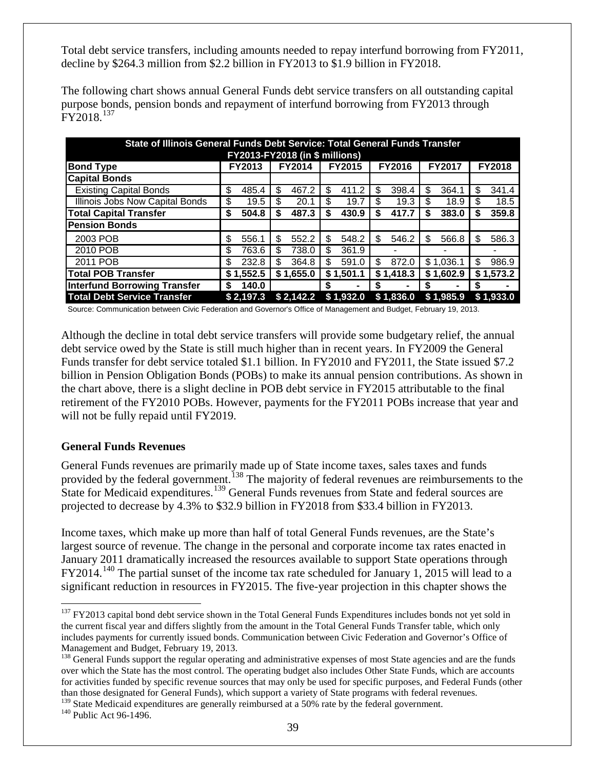Total debt service transfers, including amounts needed to repay interfund borrowing from FY2011, decline by \$264.3 million from \$2.2 billion in FY2013 to \$1.9 billion in FY2018.

| State of Illinois General Funds Debt Service: Total General Funds Transfer<br><b>FY2013-FY2018 (in \$ millions)</b> |    |           |    |           |     |           |    |           |    |           |     |           |
|---------------------------------------------------------------------------------------------------------------------|----|-----------|----|-----------|-----|-----------|----|-----------|----|-----------|-----|-----------|
| <b>FY2017</b><br><b>FY2018</b><br><b>FY2014</b><br><b>FY2015</b><br>FY2016<br><b>FY2013</b><br><b>Bond Type</b>     |    |           |    |           |     |           |    |           |    |           |     |           |
| <b>Capital Bonds</b>                                                                                                |    |           |    |           |     |           |    |           |    |           |     |           |
| <b>Existing Capital Bonds</b>                                                                                       | \$ | 485.4     | \$ | 467.2     | \$  | 411.2     | \$ | 398.4     | \$ | 364.1     | \$  | 341.4     |
| Illinois Jobs Now Capital Bonds                                                                                     | \$ | 19.5      | \$ | 20.1      | \$. | 19.7      | \$ | 19.3      | \$ | 18.9      | \$  | 18.5      |
| <b>Total Capital Transfer</b>                                                                                       | \$ | 504.8     | S  | 487.3     | S   | 430.9     | \$ | 417.7     | \$ | 383.0     | S   | 359.8     |
| <b>Pension Bonds</b>                                                                                                |    |           |    |           |     |           |    |           |    |           |     |           |
| 2003 POB                                                                                                            | \$ | 556.1     | S  | 552.2     | S   | 548.2     | \$ | 546.2     | \$ | 566.8     | \$. | 586.3     |
| 2010 POB                                                                                                            | \$ | 763.6     | \$ | 738.0     | \$  | 361.9     |    |           |    |           |     |           |
| 2011 POB                                                                                                            | \$ | 232.8     | \$ | 364.8     | S   | 591.0     | \$ | 872.0     |    | \$1,036.1 | \$  | 986.9     |
| <b>Total POB Transfer</b>                                                                                           |    | \$1,552.5 |    | \$1,655.0 |     | \$1,501.1 |    | \$1,418.3 |    | \$1,602.9 |     | \$1,573.2 |
| <b>Interfund Borrowing Transfer</b>                                                                                 | S  | 140.0     |    |           | S   | ۰         | S  |           | S  |           | S.  |           |
| <b>Total Debt Service Transfer</b>                                                                                  |    | \$2,197.3 |    | \$2,142.2 |     | \$1,932.0 |    | \$1,836.0 |    | \$1,985.9 |     | \$1,933.0 |

The following chart shows annual General Funds debt service transfers on all outstanding capital purpose bonds, pension bonds and repayment of interfund borrowing from FY2013 through FY2018.[137](#page-41-1)

Source: Communication between Civic Federation and Governor's Office of Management and Budget, February 19, 2013.

Although the decline in total debt service transfers will provide some budgetary relief, the annual debt service owed by the State is still much higher than in recent years. In FY2009 the General Funds transfer for debt service totaled \$1.1 billion. In FY2010 and FY2011, the State issued \$7.2 billion in Pension Obligation Bonds (POBs) to make its annual pension contributions. As shown in the chart above, there is a slight decline in POB debt service in FY2015 attributable to the final retirement of the FY2010 POBs. However, payments for the FY2011 POBs increase that year and will not be fully repaid until FY2019.

#### <span id="page-41-0"></span>**General Funds Revenues**

General Funds revenues are primarily made up of State income taxes, sales taxes and funds provided by the federal government.<sup>[138](#page-41-2)</sup> The majority of federal revenues are reimbursements to the State for Medicaid expenditures.<sup>[139](#page-41-3)</sup> General Funds revenues from State and federal sources are projected to decrease by 4.3% to \$32.9 billion in FY2018 from \$33.4 billion in FY2013.

Income taxes, which make up more than half of total General Funds revenues, are the State's largest source of revenue. The change in the personal and corporate income tax rates enacted in January 2011 dramatically increased the resources available to support State operations through  $FY2014.<sup>140</sup>$  $FY2014.<sup>140</sup>$  $FY2014.<sup>140</sup>$  The partial sunset of the income tax rate scheduled for January 1, 2015 will lead to a significant reduction in resources in FY2015. The five-year projection in this chapter shows the

<span id="page-41-1"></span><sup>&</sup>lt;sup>137</sup> FY2013 capital bond debt service shown in the Total General Funds Expenditures includes bonds not yet sold in the current fiscal year and differs slightly from the amount in the Total General Funds Transfer table, which only includes payments for currently issued bonds. Communication between Civic Federation and Governor's Office of Management and Budget, February 19, 2013.<br><sup>138</sup> General Funds support the regular operating and administrative expenses of most State agencies and are the funds

<span id="page-41-2"></span>over which the State has the most control. The operating budget also includes Other State Funds, which are accounts for activities funded by specific revenue sources that may only be used for specific purposes, and Federal Funds (other than those designated for General Funds), which support a variety of State programs with federal revenues.

<span id="page-41-3"></span> $139$  State Medicaid expenditures are generally reimbursed at a 50% rate by the federal government.  $140$  Public Act 96-1496.

<span id="page-41-4"></span>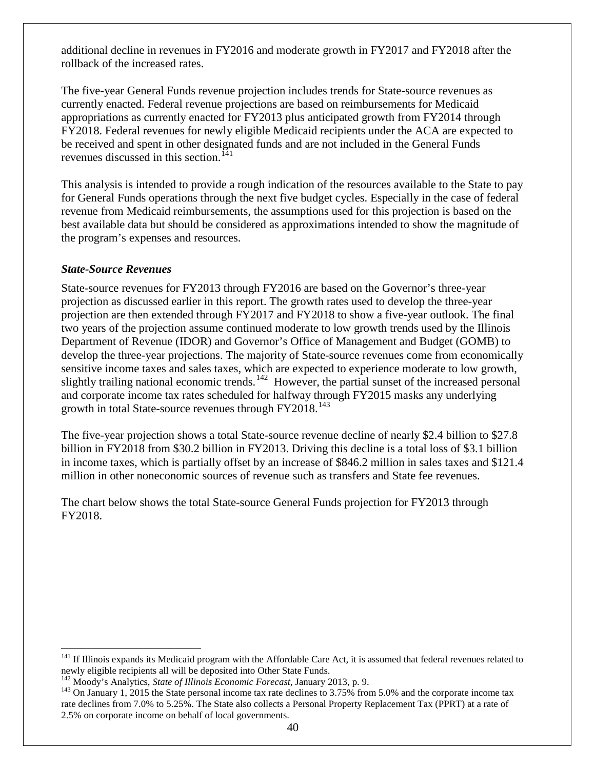additional decline in revenues in FY2016 and moderate growth in FY2017 and FY2018 after the rollback of the increased rates.

The five-year General Funds revenue projection includes trends for State-source revenues as currently enacted. Federal revenue projections are based on reimbursements for Medicaid appropriations as currently enacted for FY2013 plus anticipated growth from FY2014 through FY2018. Federal revenues for newly eligible Medicaid recipients under the ACA are expected to be received and spent in other designated funds and are not included in the General Funds revenues discussed in this section.<sup>[141](#page-42-1)</sup>

This analysis is intended to provide a rough indication of the resources available to the State to pay for General Funds operations through the next five budget cycles. Especially in the case of federal revenue from Medicaid reimbursements, the assumptions used for this projection is based on the best available data but should be considered as approximations intended to show the magnitude of the program's expenses and resources.

### <span id="page-42-0"></span>*State-Source Revenues*

State-source revenues for FY2013 through FY2016 are based on the Governor's three-year projection as discussed earlier in this report. The growth rates used to develop the three-year projection are then extended through FY2017 and FY2018 to show a five-year outlook. The final two years of the projection assume continued moderate to low growth trends used by the Illinois Department of Revenue (IDOR) and Governor's Office of Management and Budget (GOMB) to develop the three-year projections. The majority of State-source revenues come from economically sensitive income taxes and sales taxes, which are expected to experience moderate to low growth, slightly trailing national economic trends.<sup>[142](#page-42-2)</sup> However, the partial sunset of the increased personal and corporate income tax rates scheduled for halfway through FY2015 masks any underlying growth in total State-source revenues through FY2018.<sup>[143](#page-42-3)</sup>

The five-year projection shows a total State-source revenue decline of nearly \$2.4 billion to \$27.8 billion in FY2018 from \$30.2 billion in FY2013. Driving this decline is a total loss of \$3.1 billion in income taxes, which is partially offset by an increase of \$846.2 million in sales taxes and \$121.4 million in other noneconomic sources of revenue such as transfers and State fee revenues.

The chart below shows the total State-source General Funds projection for FY2013 through FY2018.

<span id="page-42-1"></span> $141$  If Illinois expands its Medicaid program with the Affordable Care Act, it is assumed that federal revenues related to newly eligible recipients all will be deposited into Other State Funds.

<span id="page-42-3"></span><span id="page-42-2"></span><sup>&</sup>lt;sup>142</sup> Moody's Analytics, *State of Illinois Economic Forecast*, January 2013, p. 9.<br><sup>143</sup> On January 1, 2015 the State personal income tax rate declines to 3.75% from 5.0% and the corporate income tax rate declines from 7.0% to 5.25%. The State also collects a Personal Property Replacement Tax (PPRT) at a rate of 2.5% on corporate income on behalf of local governments.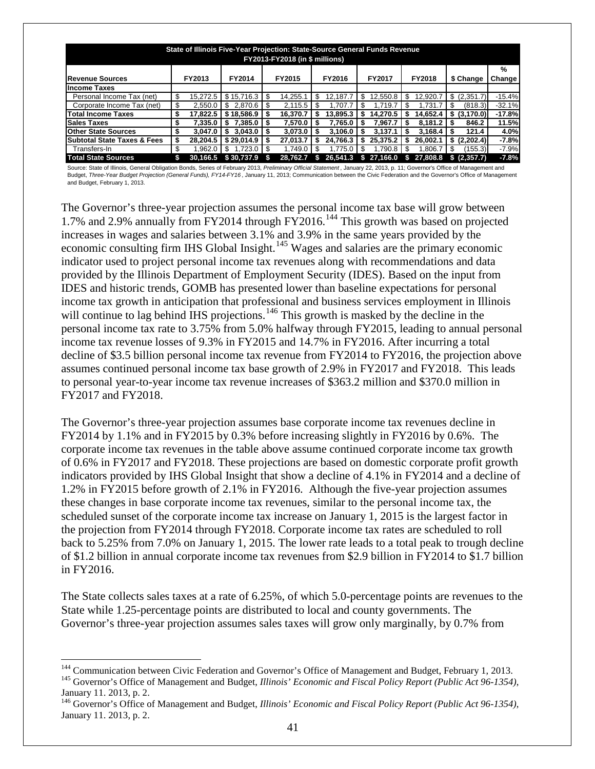| State of Illinois Five-Year Projection: State-Source General Funds Revenue |    |          |               |    |          |     |          |    |            |     |          |     |              |               |
|----------------------------------------------------------------------------|----|----------|---------------|----|----------|-----|----------|----|------------|-----|----------|-----|--------------|---------------|
| <b>FY2013-FY2018 (in \$ millions)</b>                                      |    |          |               |    |          |     |          |    |            |     |          |     |              |               |
|                                                                            |    |          |               |    |          |     |          |    |            |     |          |     |              | %             |
| <b>Revenue Sources</b>                                                     |    | FY2013   | FY2014        |    | FY2015   |     | FY2016   |    | FY2017     |     | FY2018   |     | \$ Change    | <b>Change</b> |
| <b>Income Taxes</b>                                                        |    |          |               |    |          |     |          |    |            |     |          |     |              |               |
| Personal Income Tax (net)                                                  | \$ | 15.272.5 | \$15,716.3    | \$ | 14.255.1 | \$. | 12.187.7 | \$ | 12.550.8   | \$  | 12.920.7 | \$  | (2,351.7)    | $-15.4%$      |
| Corporate Income Tax (net)                                                 | \$ | 2.550.0  | \$<br>2.870.6 |    | 2.115.5  | \$. | 1.707.7  |    | 1.719.7    | S   | .731.7   |     | (818.3)      | $-32.1%$      |
| <b>Total Income Taxes</b>                                                  | \$ | 17.822.5 | \$18,586.9    | S  | 16.370.7 | S   | 13.895.3 |    | 14.270.5   | 5   | 14.652.4 | S   | (3, 170.0)   | $-17.8%$      |
| <b>Sales Taxes</b>                                                         | \$ | 7.335.0  | 7.385.0       |    | 7.570.0  | S   | 7.765.0  |    | 7.967.7    |     | 8.181.2  |     | 846.2        | 11.5%         |
| <b>Other State Sources</b>                                                 | \$ | 3.047.0  | 3.043.0<br>S  | S  | 3.073.0  | S   | 3.106.0  |    | 3.137.1    |     | 3.168.4  | 5   | 121.4        | 4.0%          |
| <b>Subtotal State Taxes &amp; Fees</b>                                     | \$ | 28.204.5 | \$29.014.9    | S  | 27.013.7 | \$  | 24.766.3 |    | 25.375.2   |     | 26.002.1 |     | \$ (2,202.4) | $-7.8%$       |
| Transfers-In                                                               | \$ | .962.0   | \$<br>.723.0  |    | 1.749.0  | \$. | 1.775.0  |    | 1.790.8    | \$. | .806.7   | \$. | (155.3)      | $-7.9%$       |
| <b>Total State Sources</b>                                                 | S  | 30.166.5 | \$30,737.9    |    | 28.762.7 |     | 26,541.3 |    | \$27,166.0 | -53 | 27,808.8 |     | (2.357.7)    | $-7.8%$       |

Source: State of Illinois, General Obligation Bonds, Series of February 2013, *Preliminary Official Statement* , January 22, 2013, p. 11; Governor's Office of Management and Budget, *Three-Year Budget Projection (General Funds), FY14-FY16* , January 11, 2013; Communication between the Civic Federation and the Governor's Office of Management and Budget, February 1, 2013.

The Governor's three-year projection assumes the personal income tax base will grow between 1.7% and 2.9% annually from FY2014 through FY2016.[144](#page-43-0) This growth was based on projected increases in wages and salaries between 3.1% and 3.9% in the same years provided by the economic consulting firm IHS Global Insight.<sup>[145](#page-43-1)</sup> Wages and salaries are the primary economic indicator used to project personal income tax revenues along with recommendations and data provided by the Illinois Department of Employment Security (IDES). Based on the input from IDES and historic trends, GOMB has presented lower than baseline expectations for personal income tax growth in anticipation that professional and business services employment in Illinois will continue to lag behind IHS projections.<sup>[146](#page-43-2)</sup> This growth is masked by the decline in the personal income tax rate to 3.75% from 5.0% halfway through FY2015, leading to annual personal income tax revenue losses of 9.3% in FY2015 and 14.7% in FY2016. After incurring a total decline of \$3.5 billion personal income tax revenue from FY2014 to FY2016, the projection above assumes continued personal income tax base growth of 2.9% in FY2017 and FY2018. This leads to personal year-to-year income tax revenue increases of \$363.2 million and \$370.0 million in FY2017 and FY2018.

The Governor's three-year projection assumes base corporate income tax revenues decline in FY2014 by 1.1% and in FY2015 by 0.3% before increasing slightly in FY2016 by 0.6%. The corporate income tax revenues in the table above assume continued corporate income tax growth of 0.6% in FY2017 and FY2018. These projections are based on domestic corporate profit growth indicators provided by IHS Global Insight that show a decline of 4.1% in FY2014 and a decline of 1.2% in FY2015 before growth of 2.1% in FY2016. Although the five-year projection assumes these changes in base corporate income tax revenues, similar to the personal income tax, the scheduled sunset of the corporate income tax increase on January 1, 2015 is the largest factor in the projection from FY2014 through FY2018. Corporate income tax rates are scheduled to roll back to 5.25% from 7.0% on January 1, 2015. The lower rate leads to a total peak to trough decline of \$1.2 billion in annual corporate income tax revenues from \$2.9 billion in FY2014 to \$1.7 billion in FY2016.

The State collects sales taxes at a rate of 6.25%, of which 5.0-percentage points are revenues to the State while 1.25-percentage points are distributed to local and county governments. The Governor's three-year projection assumes sales taxes will grow only marginally, by 0.7% from

<span id="page-43-1"></span><span id="page-43-0"></span><sup>&</sup>lt;sup>144</sup> Communication between Civic Federation and Governor's Office of Management and Budget, February 1, 2013.<br><sup>145</sup> Governor's Office of Management and Budget, *Illinois' Economic and Fiscal Policy Report (Public Act 96-*January 11. 2013, p. 2.

<span id="page-43-2"></span><sup>146</sup> Governor's Office of Management and Budget, *Illinois' Economic and Fiscal Policy Report (Public Act 96-1354)*, January 11. 2013, p. 2.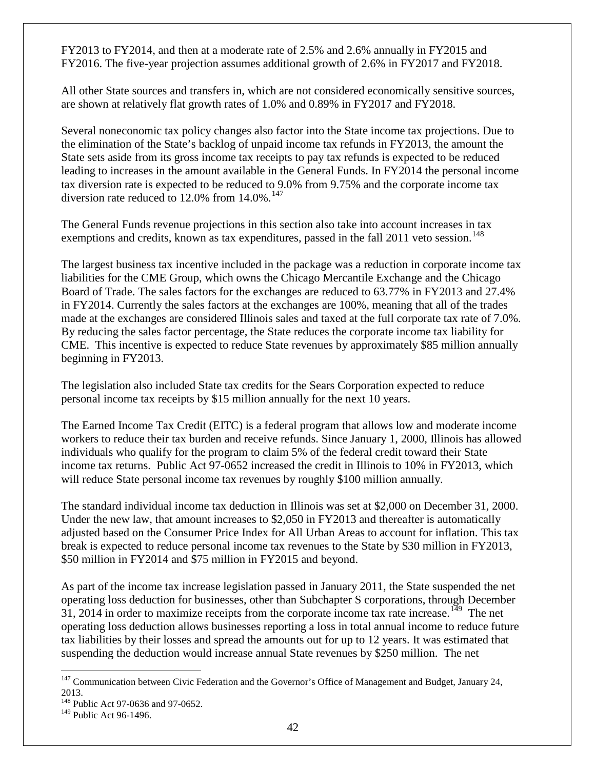FY2013 to FY2014, and then at a moderate rate of 2.5% and 2.6% annually in FY2015 and FY2016. The five-year projection assumes additional growth of 2.6% in FY2017 and FY2018.

All other State sources and transfers in, which are not considered economically sensitive sources, are shown at relatively flat growth rates of 1.0% and 0.89% in FY2017 and FY2018.

Several noneconomic tax policy changes also factor into the State income tax projections. Due to the elimination of the State's backlog of unpaid income tax refunds in FY2013, the amount the State sets aside from its gross income tax receipts to pay tax refunds is expected to be reduced leading to increases in the amount available in the General Funds. In FY2014 the personal income tax diversion rate is expected to be reduced to 9.0% from 9.75% and the corporate income tax diversion rate reduced to 12.0% from  $14.0\%$ .<sup>[147](#page-44-0)</sup>

The General Funds revenue projections in this section also take into account increases in tax exemptions and credits, known as tax expenditures, passed in the fall  $2011$  veto session.<sup>[148](#page-44-1)</sup>

The largest business tax incentive included in the package was a reduction in corporate income tax liabilities for the CME Group, which owns the Chicago Mercantile Exchange and the Chicago Board of Trade. The sales factors for the exchanges are reduced to 63.77% in FY2013 and 27.4% in FY2014. Currently the sales factors at the exchanges are 100%, meaning that all of the trades made at the exchanges are considered Illinois sales and taxed at the full corporate tax rate of 7.0%. By reducing the sales factor percentage, the State reduces the corporate income tax liability for CME. This incentive is expected to reduce State revenues by approximately \$85 million annually beginning in FY2013.

The legislation also included State tax credits for the Sears Corporation expected to reduce personal income tax receipts by \$15 million annually for the next 10 years.

The Earned Income Tax Credit (EITC) is a federal program that allows low and moderate income workers to reduce their tax burden and receive refunds. Since January 1, 2000, Illinois has allowed individuals who qualify for the program to claim 5% of the federal credit toward their State income tax returns. Public Act 97-0652 increased the credit in Illinois to 10% in FY2013, which will reduce State personal income tax revenues by roughly \$100 million annually.

The standard individual income tax deduction in Illinois was set at \$2,000 on December 31, 2000. Under the new law, that amount increases to \$2,050 in FY2013 and thereafter is automatically adjusted based on the Consumer Price Index for All Urban Areas to account for inflation. This tax break is expected to reduce personal income tax revenues to the State by \$30 million in FY2013, \$50 million in FY2014 and \$75 million in FY2015 and beyond.

As part of the income tax increase legislation passed in January 2011, the State suspended the net operating loss deduction for businesses, other than Subchapter S corporations, through December 31, 2014 in order to maximize receipts from the corporate income tax rate increase.<sup>149</sup> The net operating loss deduction allows businesses reporting a loss in total annual income to reduce future tax liabilities by their losses and spread the amounts out for up to 12 years. It was estimated that suspending the deduction would increase annual State revenues by \$250 million. The net

<span id="page-44-0"></span><sup>&</sup>lt;sup>147</sup> Communication between Civic Federation and the Governor's Office of Management and Budget, January 24, 2013.

<span id="page-44-1"></span><sup>148</sup> Public Act 97-0636 and 97-0652.

<span id="page-44-2"></span><sup>&</sup>lt;sup>149</sup> Public Act 96-1496.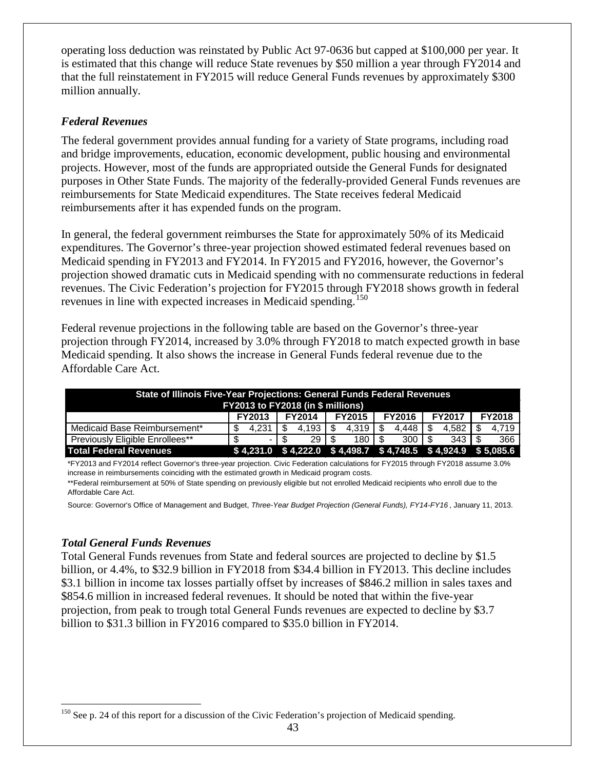operating loss deduction was reinstated by Public Act 97-0636 but capped at \$100,000 per year. It is estimated that this change will reduce State revenues by \$50 million a year through FY2014 and that the full reinstatement in FY2015 will reduce General Funds revenues by approximately \$300 million annually.

# <span id="page-45-0"></span>*Federal Revenues*

The federal government provides annual funding for a variety of State programs, including road and bridge improvements, education, economic development, public housing and environmental projects. However, most of the funds are appropriated outside the General Funds for designated purposes in Other State Funds. The majority of the federally-provided General Funds revenues are reimbursements for State Medicaid expenditures. The State receives federal Medicaid reimbursements after it has expended funds on the program.

In general, the federal government reimburses the State for approximately 50% of its Medicaid expenditures. The Governor's three-year projection showed estimated federal revenues based on Medicaid spending in FY2013 and FY2014. In FY2015 and FY2016, however, the Governor's projection showed dramatic cuts in Medicaid spending with no commensurate reductions in federal revenues. The Civic Federation's projection for FY2015 through FY2018 shows growth in federal revenues in line with expected increases in Medicaid spending.<sup>[150](#page-45-2)</sup>

Federal revenue projections in the following table are based on the Governor's three-year projection through FY2014, increased by 3.0% through FY2018 to match expected growth in base Medicaid spending. It also shows the increase in General Funds federal revenue due to the Affordable Care Act.

| State of Illinois Five-Year Projections: General Funds Federal Revenues<br><b>FY2013 to FY2018 (in \$ millions)</b> |               |               |               |               |               |                                                                   |  |  |  |  |  |  |
|---------------------------------------------------------------------------------------------------------------------|---------------|---------------|---------------|---------------|---------------|-------------------------------------------------------------------|--|--|--|--|--|--|
|                                                                                                                     | <b>FY2013</b> | <b>FY2014</b> | <b>FY2015</b> | <b>FY2016</b> | <b>FY2017</b> | <b>FY2018</b>                                                     |  |  |  |  |  |  |
| Medicaid Base Reimbursement*                                                                                        | 4.231         | 4.193         | 4.319         | 4.448         | 4.582         | 4.719                                                             |  |  |  |  |  |  |
| Previously Eligible Enrollees**                                                                                     |               | 29            | 180   \$      | $300 \mid$ \$ | $343 \mid$ \$ | 366                                                               |  |  |  |  |  |  |
| Total Federal Revenues                                                                                              |               |               |               |               |               | $$4,231.0$ $$4,222.0$ $$4,498.7$ $$4,748.5$ $$4,924.9$ $$5,085.6$ |  |  |  |  |  |  |

\*FY2013 and FY2014 reflect Governor's three-year projection. Civic Federation calculations for FY2015 through FY2018 assume 3.0% increase in reimbursements coinciding with the estimated growth in Medicaid program costs.

\*\*Federal reimbursement at 50% of State spending on previously eligible but not enrolled Medicaid recipients who enroll due to the Affordable Care Act.

Source: Governor's Office of Management and Budget, *Three-Year Budget Projection (General Funds), FY14-FY16* , January 11, 2013.

# <span id="page-45-1"></span>*Total General Funds Revenues*

Total General Funds revenues from State and federal sources are projected to decline by \$1.5 billion, or 4.4%, to \$32.9 billion in FY2018 from \$34.4 billion in FY2013. This decline includes \$3.1 billion in income tax losses partially offset by increases of \$846.2 million in sales taxes and \$854.6 million in increased federal revenues. It should be noted that within the five-year projection, from peak to trough total General Funds revenues are expected to decline by \$3.7 billion to \$31.3 billion in FY2016 compared to \$35.0 billion in FY2014.

<span id="page-45-2"></span><sup>&</sup>lt;sup>150</sup> See p. [24](#page-26-0) of this report for a discussion of the Civic Federation's projection of Medicaid spending.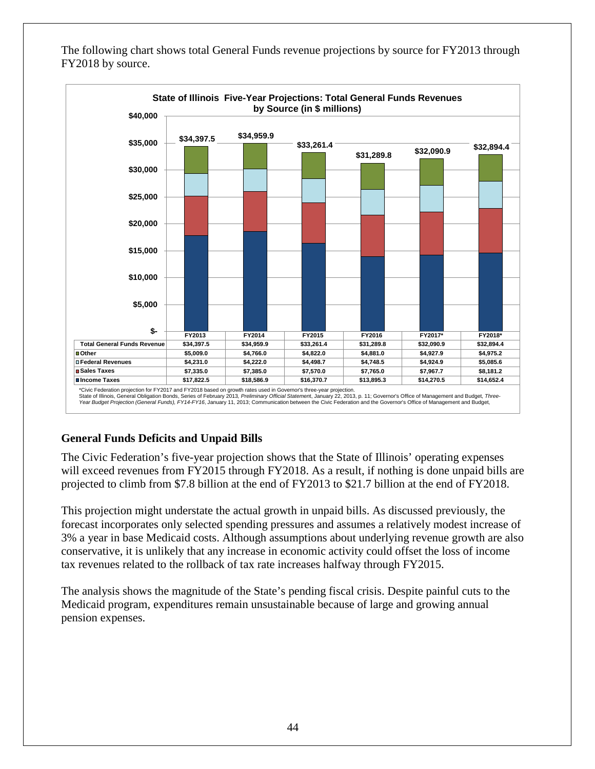The following chart shows total General Funds revenue projections by source for FY2013 through FY2018 by source.



# <span id="page-46-0"></span>**General Funds Deficits and Unpaid Bills**

The Civic Federation's five-year projection shows that the State of Illinois' operating expenses will exceed revenues from FY2015 through FY2018. As a result, if nothing is done unpaid bills are projected to climb from \$7.8 billion at the end of FY2013 to \$21.7 billion at the end of FY2018.

This projection might understate the actual growth in unpaid bills. As discussed previously, the forecast incorporates only selected spending pressures and assumes a relatively modest increase of 3% a year in base Medicaid costs. Although assumptions about underlying revenue growth are also conservative, it is unlikely that any increase in economic activity could offset the loss of income tax revenues related to the rollback of tax rate increases halfway through FY2015.

The analysis shows the magnitude of the State's pending fiscal crisis. Despite painful cuts to the Medicaid program, expenditures remain unsustainable because of large and growing annual pension expenses.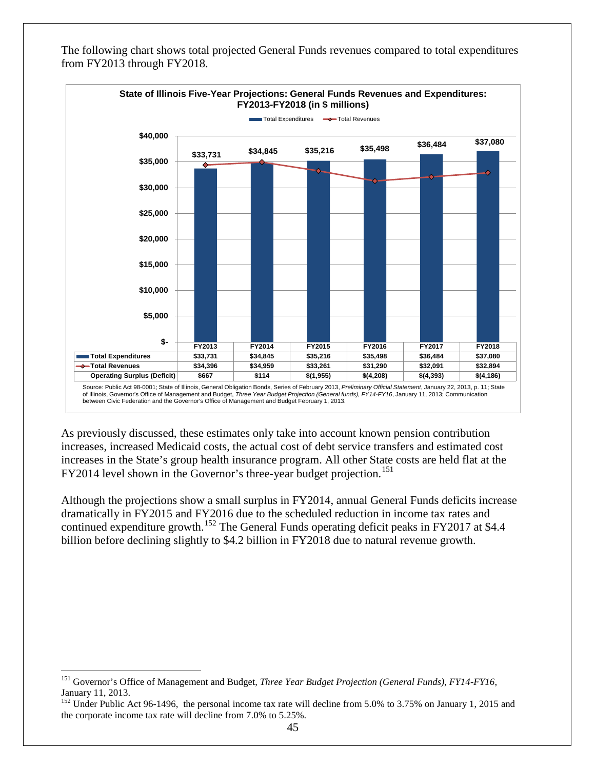

The following chart shows total projected General Funds revenues compared to total expenditures from FY2013 through FY2018.

As previously discussed, these estimates only take into account known pension contribution increases, increased Medicaid costs, the actual cost of debt service transfers and estimated cost increases in the State's group health insurance program. All other State costs are held flat at the FY2014 level shown in the Governor's three-year budget projection.<sup>[151](#page-47-0)</sup>

Although the projections show a small surplus in FY2014, annual General Funds deficits increase dramatically in FY2015 and FY2016 due to the scheduled reduction in income tax rates and continued expenditure growth.<sup>[152](#page-47-1)</sup> The General Funds operating deficit peaks in FY2017 at \$4.4 billion before declining slightly to \$4.2 billion in FY2018 due to natural revenue growth.

<span id="page-47-0"></span> <sup>151</sup> Governor's Office of Management and Budget, *Three Year Budget Projection (General Funds), FY14-FY16*, January 11, 2013.

<span id="page-47-1"></span><sup>&</sup>lt;sup>152</sup> Under Public Act 96-1496, the personal income tax rate will decline from 5.0% to 3.75% on January 1, 2015 and the corporate income tax rate will decline from 7.0% to 5.25%.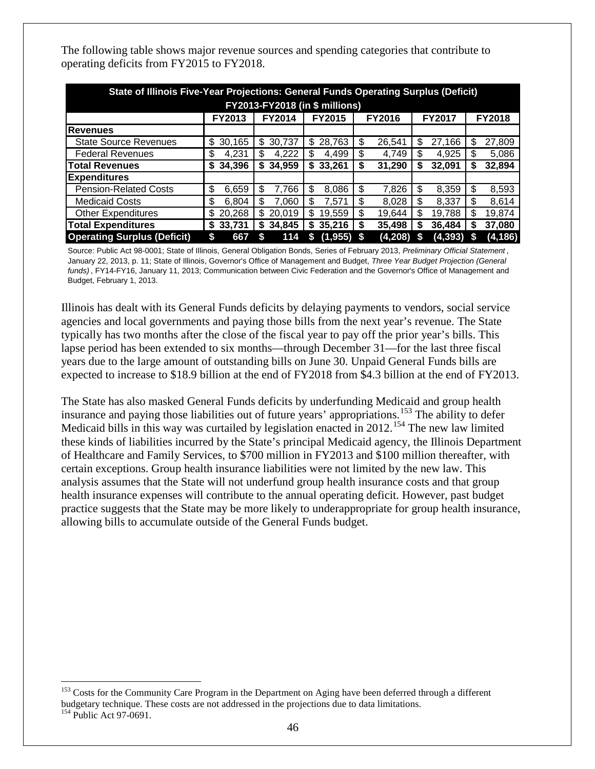| State of Illinois Five-Year Projections: General Funds Operating Surplus (Deficit)                 |          |        |          |         |          |          |  |  |  |  |  |  |  |  |
|----------------------------------------------------------------------------------------------------|----------|--------|----------|---------|----------|----------|--|--|--|--|--|--|--|--|
| <b>FY2013-FY2018 (in \$ millions)</b>                                                              |          |        |          |         |          |          |  |  |  |  |  |  |  |  |
| <b>FY2014</b><br><b>FY2015</b><br><b>FY2016</b><br><b>FY2017</b><br><b>FY2018</b><br><b>FY2013</b> |          |        |          |         |          |          |  |  |  |  |  |  |  |  |
| Revenues                                                                                           |          |        |          |         |          |          |  |  |  |  |  |  |  |  |
| <b>State Source Revenues</b>                                                                       | \$       | 30,737 | \$       | \$      | \$       | \$       |  |  |  |  |  |  |  |  |
|                                                                                                    | 30,165   | S      | 28,763   | 26,541  | 27,166   | 27,809   |  |  |  |  |  |  |  |  |
| <b>Federal Revenues</b>                                                                            | \$       | 4,222  | \$       | S       | 4,925    | 5,086    |  |  |  |  |  |  |  |  |
|                                                                                                    | 4.231    | S      | 4,499    | 4.749   | S        | \$       |  |  |  |  |  |  |  |  |
| <b>Total Revenues</b>                                                                              | 34.396   | 34,959 | 33,261   | \$      | 32,091   | 32,894   |  |  |  |  |  |  |  |  |
|                                                                                                    | S.       | S      | \$       | 31,290  | S        | S        |  |  |  |  |  |  |  |  |
| <b>Expenditures</b>                                                                                |          |        |          |         |          |          |  |  |  |  |  |  |  |  |
| <b>Pension-Related Costs</b>                                                                       | \$       | \$     | \$       | 7,826   | \$       | \$       |  |  |  |  |  |  |  |  |
|                                                                                                    | 6.659    | 7.766  | 8.086    | S       | 8.359    | 8,593    |  |  |  |  |  |  |  |  |
| <b>Medicaid Costs</b>                                                                              | \$       | \$     | \$       | \$      | \$.      | 8,614    |  |  |  |  |  |  |  |  |
|                                                                                                    | 6.804    | 7.060  | 7.571    | 8,028   | 8,337    | \$       |  |  |  |  |  |  |  |  |
| <b>Other Expenditures</b>                                                                          | 20,268   | 20.019 | \$       | \$.     | \$       | 19,874   |  |  |  |  |  |  |  |  |
|                                                                                                    | \$       | S      | 19.559   | 19.644  | 19.788   | S        |  |  |  |  |  |  |  |  |
| <b>Total Expenditures</b>                                                                          | 33,731   | 34.845 | 35,216   | 35.498  | 36,484   | 37,080   |  |  |  |  |  |  |  |  |
|                                                                                                    | S        | S      | S        | S       | S        | S        |  |  |  |  |  |  |  |  |
| <b>Operating Surplus (Deficit)</b>                                                                 | 667<br>S | 114    | (1, 955) | (4,208) | (4, 393) | (4, 186) |  |  |  |  |  |  |  |  |

The following table shows major revenue sources and spending categories that contribute to operating deficits from FY2015 to FY2018.

Source: Public Act 98-0001; State of Illinois, General Obligation Bonds, Series of February 2013, *Preliminary Official Statement* , January 22, 2013, p. 11; State of Illinois, Governor's Office of Management and Budget, *Three Year Budget Projection (General funds)* , FY14-FY16, January 11, 2013; Communication between Civic Federation and the Governor's Office of Management and Budget, February 1, 2013.

Illinois has dealt with its General Funds deficits by delaying payments to vendors, social service agencies and local governments and paying those bills from the next year's revenue. The State typically has two months after the close of the fiscal year to pay off the prior year's bills. This lapse period has been extended to six months—through December 31—for the last three fiscal years due to the large amount of outstanding bills on June 30. Unpaid General Funds bills are expected to increase to \$18.9 billion at the end of FY2018 from \$4.3 billion at the end of FY2013.

The State has also masked General Funds deficits by underfunding Medicaid and group health insurance and paying those liabilities out of future years' appropriations.<sup>[153](#page-48-0)</sup> The ability to defer Medicaid bills in this way was curtailed by legislation enacted in 2012.<sup>[154](#page-48-1)</sup> The new law limited these kinds of liabilities incurred by the State's principal Medicaid agency, the Illinois Department of Healthcare and Family Services, to \$700 million in FY2013 and \$100 million thereafter, with certain exceptions. Group health insurance liabilities were not limited by the new law. This analysis assumes that the State will not underfund group health insurance costs and that group health insurance expenses will contribute to the annual operating deficit. However, past budget practice suggests that the State may be more likely to underappropriate for group health insurance, allowing bills to accumulate outside of the General Funds budget.

<span id="page-48-0"></span><sup>&</sup>lt;sup>153</sup> Costs for the Community Care Program in the Department on Aging have been deferred through a different budgetary technique. These costs are not addressed in the projections due to data limitations. 154 Public Act 97-0691.

<span id="page-48-1"></span>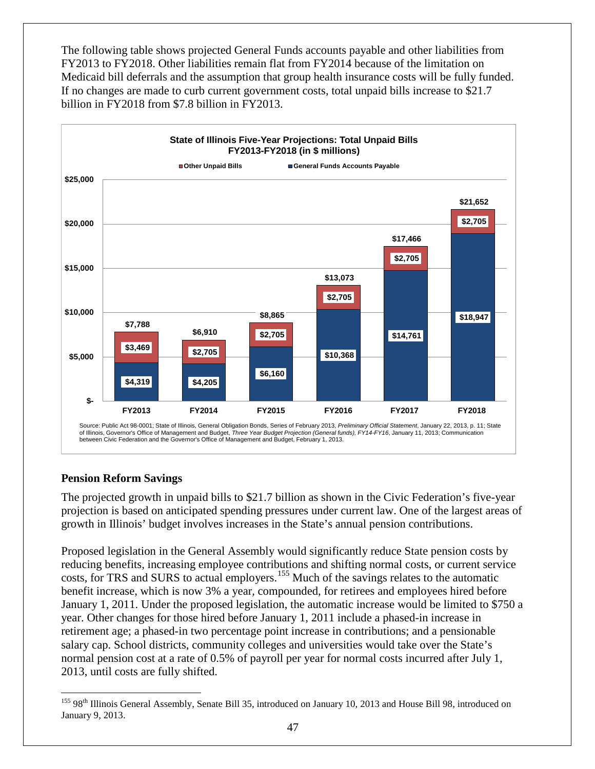The following table shows projected General Funds accounts payable and other liabilities from FY2013 to FY2018. Other liabilities remain flat from FY2014 because of the limitation on Medicaid bill deferrals and the assumption that group health insurance costs will be fully funded. If no changes are made to curb current government costs, total unpaid bills increase to \$21.7 billion in FY2018 from \$7.8 billion in FY2013.



# <span id="page-49-0"></span>**Pension Reform Savings**

The projected growth in unpaid bills to \$21.7 billion as shown in the Civic Federation's five-year projection is based on anticipated spending pressures under current law. One of the largest areas of growth in Illinois' budget involves increases in the State's annual pension contributions.

Proposed legislation in the General Assembly would significantly reduce State pension costs by reducing benefits, increasing employee contributions and shifting normal costs, or current service costs, for TRS and SURS to actual employers.<sup>[155](#page-49-1)</sup> Much of the savings relates to the automatic benefit increase, which is now 3% a year, compounded, for retirees and employees hired before January 1, 2011. Under the proposed legislation, the automatic increase would be limited to \$750 a year. Other changes for those hired before January 1, 2011 include a phased-in increase in retirement age; a phased-in two percentage point increase in contributions; and a pensionable salary cap. School districts, community colleges and universities would take over the State's normal pension cost at a rate of 0.5% of payroll per year for normal costs incurred after July 1, 2013, until costs are fully shifted.

<span id="page-49-1"></span><sup>155 98&</sup>lt;sup>th</sup> Illinois General Assembly, Senate Bill 35, introduced on January 10, 2013 and House Bill 98, introduced on January 9, 2013.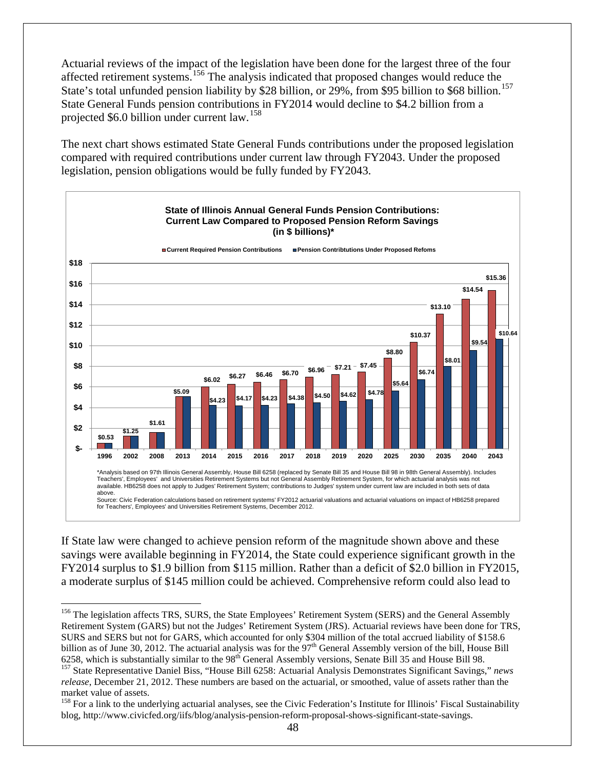Actuarial reviews of the impact of the legislation have been done for the largest three of the four affected retirement systems.[156](#page-50-0) The analysis indicated that proposed changes would reduce the State's total unfunded pension liability by \$28 billion, or 29%, from \$95 billion to \$68 billion.<sup>[157](#page-50-1)</sup> State General Funds pension contributions in FY2014 would decline to \$4.2 billion from a projected \$6.0 billion under current law.<sup>[158](#page-50-2)</sup>

The next chart shows estimated State General Funds contributions under the proposed legislation compared with required contributions under current law through FY2043. Under the proposed legislation, pension obligations would be fully funded by FY2043.



If State law were changed to achieve pension reform of the magnitude shown above and these savings were available beginning in FY2014, the State could experience significant growth in the FY2014 surplus to \$1.9 billion from \$115 million. Rather than a deficit of \$2.0 billion in FY2015, a moderate surplus of \$145 million could be achieved. Comprehensive reform could also lead to

<span id="page-50-0"></span><sup>&</sup>lt;sup>156</sup> The legislation affects TRS, SURS, the State Employees' Retirement System (SERS) and the General Assembly Retirement System (GARS) but not the Judges' Retirement System (JRS). Actuarial reviews have been done for TRS, SURS and SERS but not for GARS, which accounted for only \$304 million of the total accrued liability of \$158.6 billion as of June 30, 2012. The actuarial analysis was for the 97<sup>th</sup> General Assembly version of the bill, House Bill 6258, which is substantially similar to the  $98<sup>th</sup>$  General Assembly versions, Senate Bill 35 and House Bill 98.<br><sup>157</sup> State Representative Daniel Biss, "House Bill 6258: Actuarial Analysis Demonstrates Significant Sa

<span id="page-50-1"></span>*release*, December 21, 2012. These numbers are based on the actuarial, or smoothed, value of assets rather than the market value of assets.

<span id="page-50-2"></span><sup>&</sup>lt;sup>158</sup> For a link to the underlying actuarial analyses, see the Civic Federation's Institute for Illinois' Fiscal Sustainability blog, http://www.civicfed.org/iifs/blog/analysis-pension-reform-proposal-shows-significant-state-savings.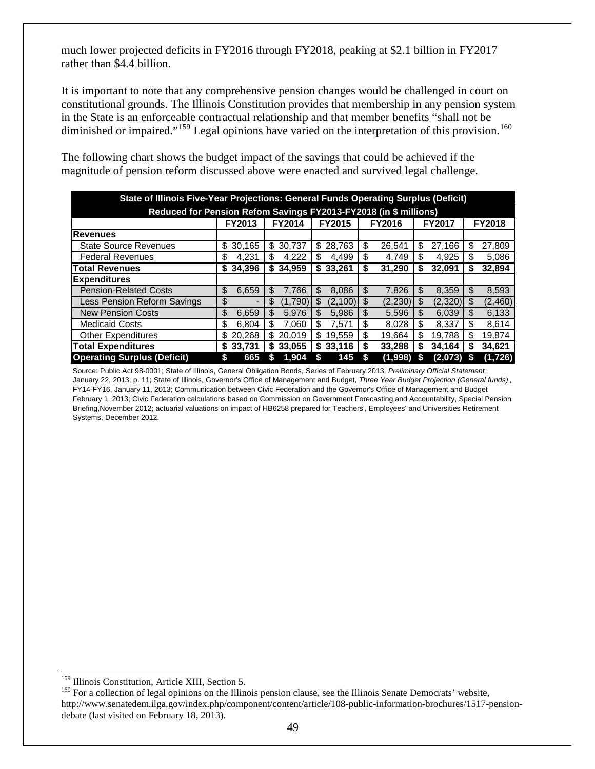much lower projected deficits in FY2016 through FY2018, peaking at \$2.1 billion in FY2017 rather than \$4.4 billion.

It is important to note that any comprehensive pension changes would be challenged in court on constitutional grounds. The Illinois Constitution provides that membership in any pension system in the State is an enforceable contractual relationship and that member benefits "shall not be diminished or impaired."<sup>[159](#page-51-0)</sup> Legal opinions have varied on the interpretation of this provision.<sup>[160](#page-51-1)</sup>

|                                                                  | State of Illinois Five-Year Projections: General Funds Operating Surplus (Deficit)          |               |               |               |               |               |  |  |  |  |  |  |  |  |  |
|------------------------------------------------------------------|---------------------------------------------------------------------------------------------|---------------|---------------|---------------|---------------|---------------|--|--|--|--|--|--|--|--|--|
| Reduced for Pension Refom Savings FY2013-FY2018 (in \$ millions) |                                                                                             |               |               |               |               |               |  |  |  |  |  |  |  |  |  |
|                                                                  | FY2015<br><b>FY2014</b><br><b>FY2016</b><br><b>FY2017</b><br><b>FY2018</b><br><b>FY2013</b> |               |               |               |               |               |  |  |  |  |  |  |  |  |  |
| Revenues                                                         |                                                                                             |               |               |               |               |               |  |  |  |  |  |  |  |  |  |
| <b>State Source Revenues</b>                                     | 30,165<br>S                                                                                 | 30,737<br>\$  | 28,763<br>\$  | \$<br>26,541  | 27,166<br>S   | 27,809<br>S   |  |  |  |  |  |  |  |  |  |
| <b>Federal Revenues</b>                                          | \$<br>4,231                                                                                 | 4.222<br>S    | \$<br>4,499   | \$<br>4.749   | \$<br>4.925   | \$<br>5,086   |  |  |  |  |  |  |  |  |  |
| <b>Total Revenues</b>                                            | 34.396<br>S                                                                                 | 34.959<br>\$  | \$<br>33.261  | \$<br>31,290  | 32,091<br>S   | 32,894<br>S   |  |  |  |  |  |  |  |  |  |
| <b>Expenditures</b>                                              |                                                                                             |               |               |               |               |               |  |  |  |  |  |  |  |  |  |
| <b>Pension-Related Costs</b>                                     | \$<br>6,659                                                                                 | \$<br>7.766   | \$<br>8,086   | \$<br>7.826   | 8,359<br>\$   | \$<br>8,593   |  |  |  |  |  |  |  |  |  |
| Less Pension Reform Savings                                      | \$                                                                                          | \$<br>(1.790) | \$<br>(2.100) | \$<br>(2,230) | \$<br>(2,320) | (2,460)<br>\$ |  |  |  |  |  |  |  |  |  |
| <b>New Pension Costs</b>                                         | \$<br>6,659                                                                                 | \$<br>5.976   | \$<br>5,986   | \$<br>5,596   | 6,039<br>\$   | 6,133<br>-\$  |  |  |  |  |  |  |  |  |  |
| <b>Medicaid Costs</b>                                            | \$<br>6.804                                                                                 | \$<br>7.060   | \$<br>7.571   | \$<br>8.028   | \$<br>8.337   | -\$<br>8.614  |  |  |  |  |  |  |  |  |  |
| <b>Other Expenditures</b>                                        | 20.268<br>\$.                                                                               | \$<br>20.019  | \$<br>19.559  | \$<br>19.664  | \$<br>19.788  | 19,874<br>\$  |  |  |  |  |  |  |  |  |  |
| <b>Total Expenditures</b>                                        | 33.731<br>S                                                                                 | 33,055<br>S   | 33.116<br>S   | \$<br>33,288  | 34.164<br>S   | 34,621        |  |  |  |  |  |  |  |  |  |
| <b>Operating Surplus (Deficit)</b>                               | S<br>665                                                                                    | 1.904         | 145<br>\$     | (1,998)<br>S  | (2,073)       | (1,726)       |  |  |  |  |  |  |  |  |  |

The following chart shows the budget impact of the savings that could be achieved if the magnitude of pension reform discussed above were enacted and survived legal challenge.

Source: Public Act 98-0001; State of Illinois, General Obligation Bonds, Series of February 2013, *Preliminary Official Statement* , January 22, 2013, p. 11; State of Illinois, Governor's Office of Management and Budget, *Three Year Budget Projection (General funds)* , FY14-FY16, January 11, 2013; Communication between Civic Federation and the Governor's Office of Management and Budget February 1, 2013; Civic Federation calculations based on Commission on Government Forecasting and Accountability, Special Pension Briefing,November 2012; actuarial valuations on impact of HB6258 prepared for Teachers', Employees' and Universities Retirement Systems, December 2012.

<span id="page-51-1"></span><span id="page-51-0"></span> $159$  Illinois Constitution, Article XIII, Section 5.<br> $160$  For a collection of legal opinions on the Illinois pension clause, see the Illinois Senate Democrats' website, http://www.senatedem.ilga.gov/index.php/component/content/article/108-public-information-brochures/1517-pensiondebate (last visited on February 18, 2013).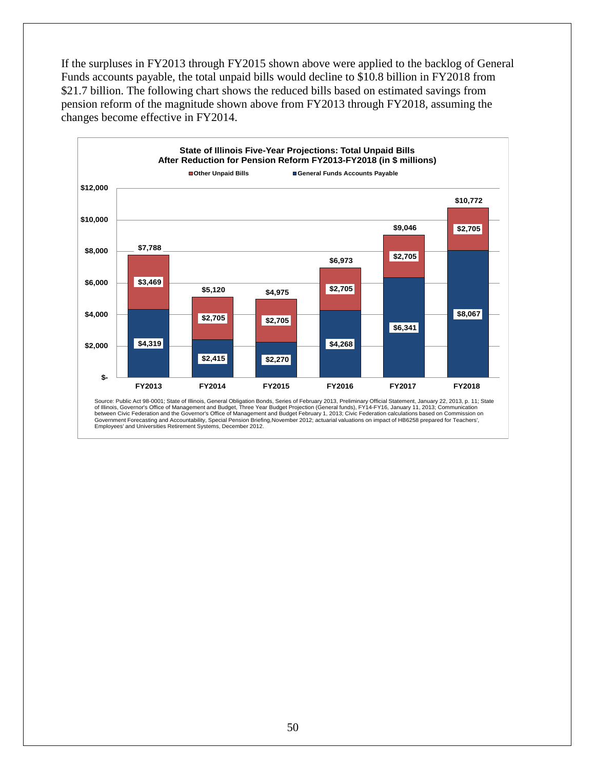If the surpluses in FY2013 through FY2015 shown above were applied to the backlog of General Funds accounts payable, the total unpaid bills would decline to \$10.8 billion in FY2018 from \$21.7 billion. The following chart shows the reduced bills based on estimated savings from pension reform of the magnitude shown above from FY2013 through FY2018, assuming the changes become effective in FY2014.

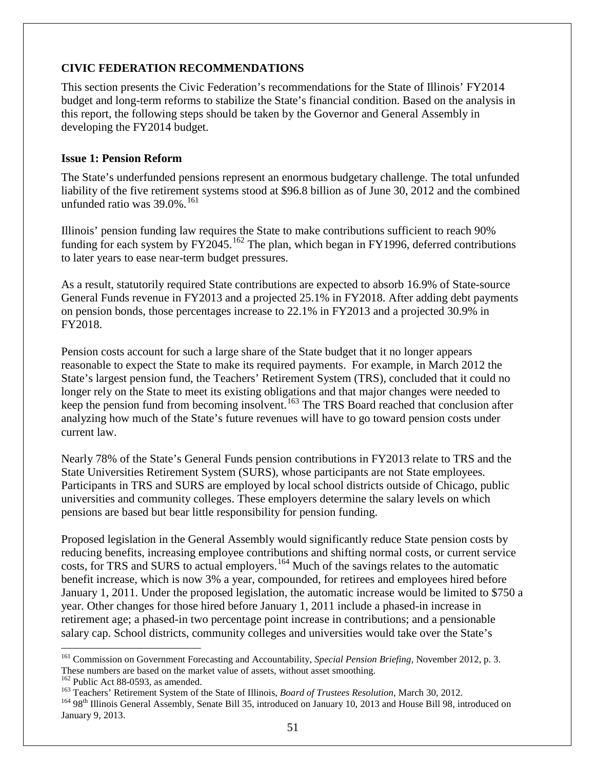# <span id="page-53-0"></span>**CIVIC FEDERATION RECOMMENDATIONS**

This section presents the Civic Federation's recommendations for the State of Illinois' FY2014 budget and long-term reforms to stabilize the State's financial condition. Based on the analysis in this report, the following steps should be taken by the Governor and General Assembly in developing the FY2014 budget.

## <span id="page-53-1"></span>**Issue 1: Pension Reform**

The State's underfunded pensions represent an enormous budgetary challenge. The total unfunded liability of the five retirement systems stood at \$96.8 billion as of June 30, 2012 and the combined unfunded ratio was  $39.0\%$ .<sup>[161](#page-53-2)</sup>

Illinois' pension funding law requires the State to make contributions sufficient to reach 90% funding for each system by FY2045.<sup>[162](#page-53-3)</sup> The plan, which began in FY1996, deferred contributions to later years to ease near-term budget pressures.

As a result, statutorily required State contributions are expected to absorb 16.9% of State-source General Funds revenue in FY2013 and a projected 25.1% in FY2018. After adding debt payments on pension bonds, those percentages increase to 22.1% in FY2013 and a projected 30.9% in FY2018.

Pension costs account for such a large share of the State budget that it no longer appears reasonable to expect the State to make its required payments. For example, in March 2012 the State's largest pension fund, the Teachers' Retirement System (TRS), concluded that it could no longer rely on the State to meet its existing obligations and that major changes were needed to keep the pension fund from becoming insolvent.<sup>[163](#page-53-4)</sup> The TRS Board reached that conclusion after analyzing how much of the State's future revenues will have to go toward pension costs under current law.

Nearly 78% of the State's General Funds pension contributions in FY2013 relate to TRS and the State Universities Retirement System (SURS), whose participants are not State employees. Participants in TRS and SURS are employed by local school districts outside of Chicago, public universities and community colleges. These employers determine the salary levels on which pensions are based but bear little responsibility for pension funding.

Proposed legislation in the General Assembly would significantly reduce State pension costs by reducing benefits, increasing employee contributions and shifting normal costs, or current service costs, for TRS and SURS to actual employers.<sup>[164](#page-53-5)</sup> Much of the savings relates to the automatic benefit increase, which is now 3% a year, compounded, for retirees and employees hired before January 1, 2011. Under the proposed legislation, the automatic increase would be limited to \$750 a year. Other changes for those hired before January 1, 2011 include a phased-in increase in retirement age; a phased-in two percentage point increase in contributions; and a pensionable salary cap. School districts, community colleges and universities would take over the State's

<span id="page-53-2"></span> <sup>161</sup> Commission on Government Forecasting and Accountability, *Special Pension Briefing*, November 2012, p. 3. These numbers are based on the market value of assets, without asset smoothing.<br><sup>162</sup> Public Act 88-0593, as amended.

<span id="page-53-3"></span>

<span id="page-53-5"></span><span id="page-53-4"></span><sup>&</sup>lt;sup>163</sup> Teachers' Retirement System of the State of Illinois, *Board of Trustees Resolution*, March 30, 2012.<br><sup>164</sup> 98<sup>th</sup> Illinois General Assembly, Senate Bill 35, introduced on January 10, 2013 and House Bill 98, introdu January 9, 2013.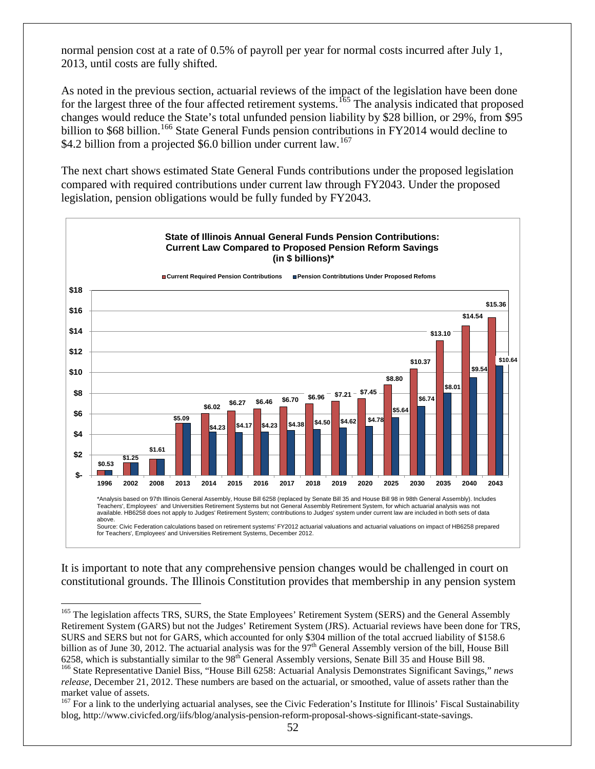normal pension cost at a rate of 0.5% of payroll per year for normal costs incurred after July 1, 2013, until costs are fully shifted.

As noted in the previous section, actuarial reviews of the impact of the legislation have been done for the largest three of the four affected retirement systems.<sup>[165](#page-54-0)</sup> The analysis indicated that proposed changes would reduce the State's total unfunded pension liability by \$28 billion, or 29%, from \$95 billion to \$68 billion.<sup>[166](#page-54-1)</sup> State General Funds pension contributions in FY2014 would decline to \$4.2 billion from a projected \$6.0 billion under current law.<sup>[167](#page-54-2)</sup>

The next chart shows estimated State General Funds contributions under the proposed legislation compared with required contributions under current law through FY2043. Under the proposed legislation, pension obligations would be fully funded by FY2043.



It is important to note that any comprehensive pension changes would be challenged in court on constitutional grounds. The Illinois Constitution provides that membership in any pension system

<span id="page-54-0"></span><sup>&</sup>lt;sup>165</sup> The legislation affects TRS, SURS, the State Employees' Retirement System (SERS) and the General Assembly Retirement System (GARS) but not the Judges' Retirement System (JRS). Actuarial reviews have been done for TRS, SURS and SERS but not for GARS, which accounted for only \$304 million of the total accrued liability of \$158.6 billion as of June 30, 2012. The actuarial analysis was for the  $97<sup>th</sup>$  General Assembly version of the bill, House Bill 6258, which is substantially similar to the  $98<sup>th</sup>$  General Assembly versions, Senate Bill 35 and House Bill 98.<br><sup>166</sup> State Representative Daniel Biss, "House Bill 6258: Actuarial Analysis Demonstrates Significant Sa

<span id="page-54-1"></span>*release*, December 21, 2012. These numbers are based on the actuarial, or smoothed, value of assets rather than the market value of assets.

<span id="page-54-2"></span> $167$  For a link to the underlying actuarial analyses, see the Civic Federation's Institute for Illinois' Fiscal Sustainability blog, http://www.civicfed.org/iifs/blog/analysis-pension-reform-proposal-shows-significant-state-savings.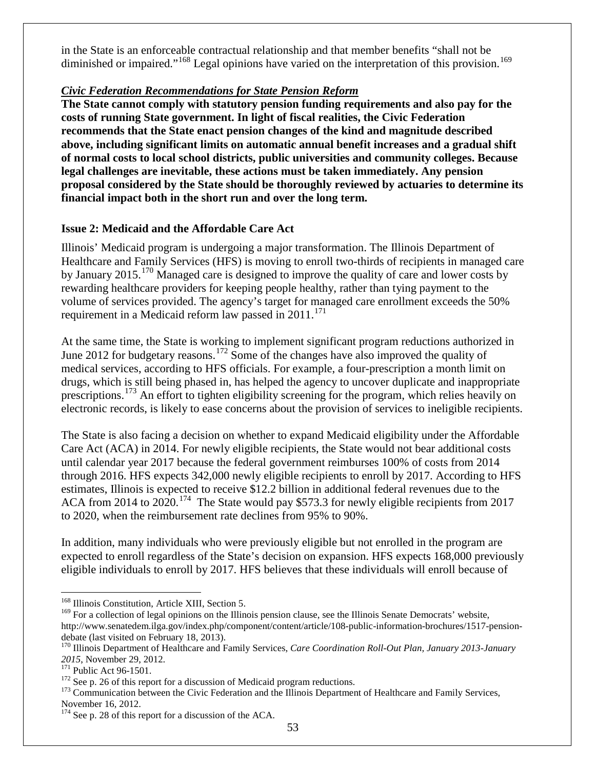in the State is an enforceable contractual relationship and that member benefits "shall not be diminished or impaired."<sup>[168](#page-55-1)</sup> Legal opinions have varied on the interpretation of this provision.<sup>[169](#page-55-2)</sup>

# *Civic Federation Recommendations for State Pension Reform*

**The State cannot comply with statutory pension funding requirements and also pay for the costs of running State government. In light of fiscal realities, the Civic Federation recommends that the State enact pension changes of the kind and magnitude described above, including significant limits on automatic annual benefit increases and a gradual shift of normal costs to local school districts, public universities and community colleges. Because legal challenges are inevitable, these actions must be taken immediately. Any pension proposal considered by the State should be thoroughly reviewed by actuaries to determine its financial impact both in the short run and over the long term.**

# <span id="page-55-0"></span>**Issue 2: Medicaid and the Affordable Care Act**

Illinois' Medicaid program is undergoing a major transformation. The Illinois Department of Healthcare and Family Services (HFS) is moving to enroll two-thirds of recipients in managed care by January 2015.<sup>[170](#page-55-3)</sup> Managed care is designed to improve the quality of care and lower costs by rewarding healthcare providers for keeping people healthy, rather than tying payment to the volume of services provided. The agency's target for managed care enrollment exceeds the 50% requirement in a Medicaid reform law passed in 2011.<sup>[171](#page-55-4)</sup>

At the same time, the State is working to implement significant program reductions authorized in June 2012 for budgetary reasons.<sup>[172](#page-55-5)</sup> Some of the changes have also improved the quality of medical services, according to HFS officials. For example, a four-prescription a month limit on drugs, which is still being phased in, has helped the agency to uncover duplicate and inappropriate prescriptions.<sup>[173](#page-55-6)</sup> An effort to tighten eligibility screening for the program, which relies heavily on electronic records, is likely to ease concerns about the provision of services to ineligible recipients.

The State is also facing a decision on whether to expand Medicaid eligibility under the Affordable Care Act (ACA) in 2014. For newly eligible recipients, the State would not bear additional costs until calendar year 2017 because the federal government reimburses 100% of costs from 2014 through 2016. HFS expects 342,000 newly eligible recipients to enroll by 2017. According to HFS estimates, Illinois is expected to receive \$12.2 billion in additional federal revenues due to the ACA from 2014 to 2020.<sup>174</sup> The State would pay \$573.3 for newly eligible recipients from 2017 to 2020, when the reimbursement rate declines from 95% to 90%.

In addition, many individuals who were previously eligible but not enrolled in the program are expected to enroll regardless of the State's decision on expansion. HFS expects 168,000 previously eligible individuals to enroll by 2017. HFS believes that these individuals will enroll because of

<span id="page-55-1"></span> <sup>168</sup> Illinois Constitution, Article XIII, Section 5.

<span id="page-55-2"></span><sup>&</sup>lt;sup>169</sup> For a collection of legal opinions on the Illinois pension clause, see the Illinois Senate Democrats' website, http://www.senatedem.ilga.gov/index.php/component/content/article/108-public-information-brochures/1517-pension-<br>debate (last visited on February 18, 2013).

<span id="page-55-3"></span><sup>&</sup>lt;sup>170</sup> Illinois Department of Healthcare and Family Services, *Care Coordination Roll-Out Plan, January 2013-January* 

<span id="page-55-6"></span><span id="page-55-5"></span>

<span id="page-55-4"></span><sup>2015,</sup> November 29, 2012.<br><sup>171</sup> Public Act 96-1501.<br><sup>172</sup> See p. [26](#page-29-9) of this report for a discussion of Medicaid program reductions.<br><sup>172</sup> Communication between the Civic Federation and the Illinois Department of Healthcare November 16, 2012.

<span id="page-55-7"></span><sup>&</sup>lt;sup>174</sup> See p. [28](#page-31-6) of this report for a discussion of the ACA.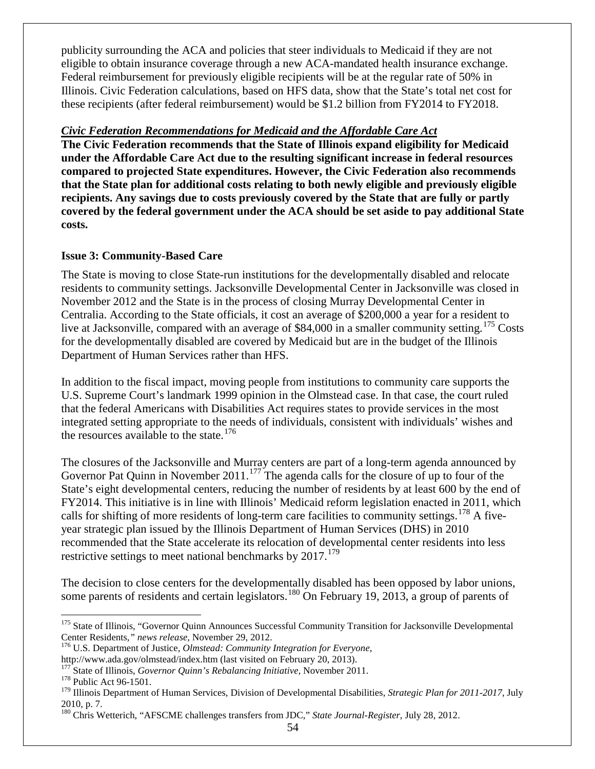publicity surrounding the ACA and policies that steer individuals to Medicaid if they are not eligible to obtain insurance coverage through a new ACA-mandated health insurance exchange. Federal reimbursement for previously eligible recipients will be at the regular rate of 50% in Illinois. Civic Federation calculations, based on HFS data, show that the State's total net cost for these recipients (after federal reimbursement) would be \$1.2 billion from FY2014 to FY2018.

### *Civic Federation Recommendations for Medicaid and the Affordable Care Act*

**The Civic Federation recommends that the State of Illinois expand eligibility for Medicaid under the Affordable Care Act due to the resulting significant increase in federal resources compared to projected State expenditures. However, the Civic Federation also recommends that the State plan for additional costs relating to both newly eligible and previously eligible recipients. Any savings due to costs previously covered by the State that are fully or partly covered by the federal government under the ACA should be set aside to pay additional State costs.**

### <span id="page-56-0"></span>**Issue 3: Community-Based Care**

The State is moving to close State-run institutions for the developmentally disabled and relocate residents to community settings. Jacksonville Developmental Center in Jacksonville was closed in November 2012 and the State is in the process of closing Murray Developmental Center in Centralia. According to the State officials, it cost an average of \$200,000 a year for a resident to live at Jacksonville, compared with an average of \$84,000 in a smaller community setting.<sup>[175](#page-56-1)</sup> Costs for the developmentally disabled are covered by Medicaid but are in the budget of the Illinois Department of Human Services rather than HFS.

In addition to the fiscal impact, moving people from institutions to community care supports the U.S. Supreme Court's landmark 1999 opinion in the Olmstead case. In that case, the court ruled that the federal Americans with Disabilities Act requires states to provide services in the most integrated setting appropriate to the needs of individuals, consistent with individuals' wishes and the resources available to the state.<sup>[176](#page-56-2)</sup>

The closures of the Jacksonville and Murray centers are part of a long-term agenda announced by Governor Pat Quinn in November 2011.<sup>[177](#page-56-3)</sup> The agenda calls for the closure of up to four of the State's eight developmental centers, reducing the number of residents by at least 600 by the end of FY2014. This initiative is in line with Illinois' Medicaid reform legislation enacted in 2011, which calls for shifting of more residents of long-term care facilities to community settings.<sup>[178](#page-56-4)</sup> A fiveyear strategic plan issued by the Illinois Department of Human Services (DHS) in 2010 recommended that the State accelerate its relocation of developmental center residents into less restrictive settings to meet national benchmarks by  $2017$ .<sup>[179](#page-56-5)</sup>

The decision to close centers for the developmentally disabled has been opposed by labor unions, some parents of residents and certain legislators.<sup>[180](#page-56-6)</sup> On February 19, 2013, a group of parents of

<span id="page-56-1"></span><sup>&</sup>lt;sup>175</sup> State of Illinois, "Governor Quinn Announces Successful Community Transition for Jacksonville Developmental Center Residents," *news release*, November 29, 2012.

<span id="page-56-2"></span><sup>&</sup>lt;sup>176</sup> U.S. Department of Justice, *Olmstead: Community Integration for Everyone*,

<span id="page-56-3"></span>http://www.ada.gov/olmstead/index.htm (last visited on February 20, 2013).<br><sup>177</sup> State of Illinois, *Governor Quinn's Rebalancing Initiative*, November 2011.<br><sup>178</sup> Public Act 96-1501.

<span id="page-56-5"></span><span id="page-56-4"></span><sup>179</sup> Illinois Department of Human Services, Division of Developmental Disabilities, *Strategic Plan for 2011-2017*, July 2010, p. 7.

<span id="page-56-6"></span><sup>180</sup> Chris Wetterich, "AFSCME challenges transfers from JDC," *State Journal-Register*, July 28, 2012.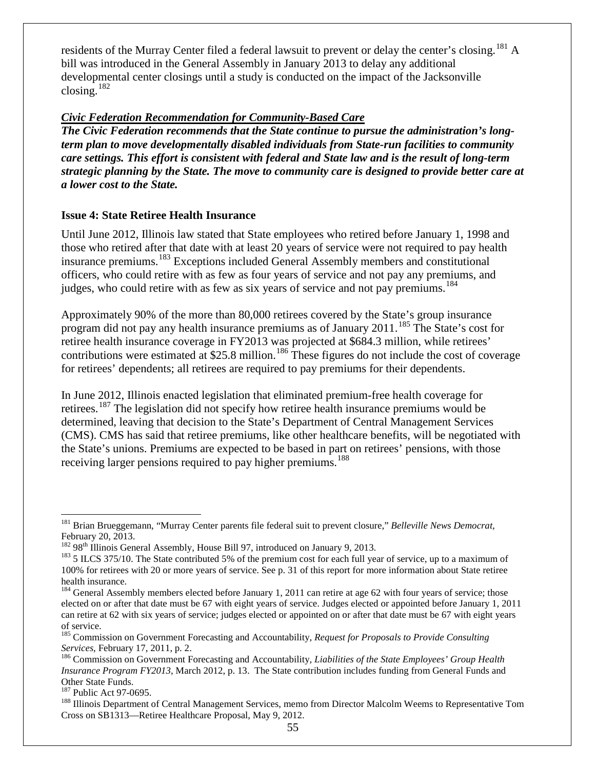residents of the Murray Center filed a federal lawsuit to prevent or delay the center's closing.<sup>[181](#page-57-1)</sup> A bill was introduced in the General Assembly in January 2013 to delay any additional developmental center closings until a study is conducted on the impact of the Jacksonville closing.[182](#page-57-2)

### *Civic Federation Recommendation for Community-Based Care*

*The Civic Federation recommends that the State continue to pursue the administration's longterm plan to move developmentally disabled individuals from State-run facilities to community care settings. This effort is consistent with federal and State law and is the result of long-term strategic planning by the State. The move to community care is designed to provide better care at a lower cost to the State.*

### <span id="page-57-0"></span>**Issue 4: State Retiree Health Insurance**

Until June 2012, Illinois law stated that State employees who retired before January 1, 1998 and those who retired after that date with at least 20 years of service were not required to pay health insurance premiums.[183](#page-57-3) Exceptions included General Assembly members and constitutional officers, who could retire with as few as four years of service and not pay any premiums, and judges, who could retire with as few as six years of service and not pay premiums.<sup>[184](#page-57-4)</sup>

Approximately 90% of the more than 80,000 retirees covered by the State's group insurance program did not pay any health insurance premiums as of January 2011.<sup>[185](#page-57-5)</sup> The State's cost for retiree health insurance coverage in FY2013 was projected at \$684.3 million, while retirees' contributions were estimated at \$25.8 million.<sup>[186](#page-57-6)</sup> These figures do not include the cost of coverage for retirees' dependents; all retirees are required to pay premiums for their dependents.

In June 2012, Illinois enacted legislation that eliminated premium-free health coverage for retirees.<sup>[187](#page-57-7)</sup> The legislation did not specify how retiree health insurance premiums would be determined, leaving that decision to the State's Department of Central Management Services (CMS). CMS has said that retiree premiums, like other healthcare benefits, will be negotiated with the State's unions. Premiums are expected to be based in part on retirees' pensions, with those receiving larger pensions required to pay higher premiums.<sup>[188](#page-57-8)</sup>

<span id="page-57-1"></span> <sup>181</sup> Brian Brueggemann, "Murray Center parents file federal suit to prevent closure," *Belleville News Democrat*, February 20, 2013.<br><sup>182</sup> 98<sup>th</sup> Illinois General Assembly, House Bill 97, introduced on January 9, 2013.

<span id="page-57-3"></span><span id="page-57-2"></span> $183$  5 ILCS 375/10. The State contributed 5% of the premium cost for each full year of service, up to a maximum of 100% for retirees with 20 or more years of service. See p. [31](#page-35-0) of this report for more information about State retiree health insurance.

<span id="page-57-4"></span> $184$  General Assembly members elected before January 1, 2011 can retire at age 62 with four years of service; those elected on or after that date must be 67 with eight years of service. Judges elected or appointed before January 1, 2011 can retire at 62 with six years of service; judges elected or appointed on or after that date must be 67 with eight years of service.

<span id="page-57-5"></span><sup>185</sup> Commission on Government Forecasting and Accountability, *Request for Proposals to Provide Consulting Services*, February 17, 2011, p. 2.<br><sup>186</sup> Commission on Government Forecasting and Accountability, *Liabilities of the State Employees' Group Health* 

<span id="page-57-6"></span>*Insurance Program FY2013*, March 2012, p. 13. The State contribution includes funding from General Funds and Other State Funds.

<span id="page-57-8"></span><span id="page-57-7"></span><sup>&</sup>lt;sup>187</sup> Public Act 97-0695.<br><sup>188</sup> Illinois Department of Central Management Services, memo from Director Malcolm Weems to Representative Tom Cross on SB1313—Retiree Healthcare Proposal, May 9, 2012.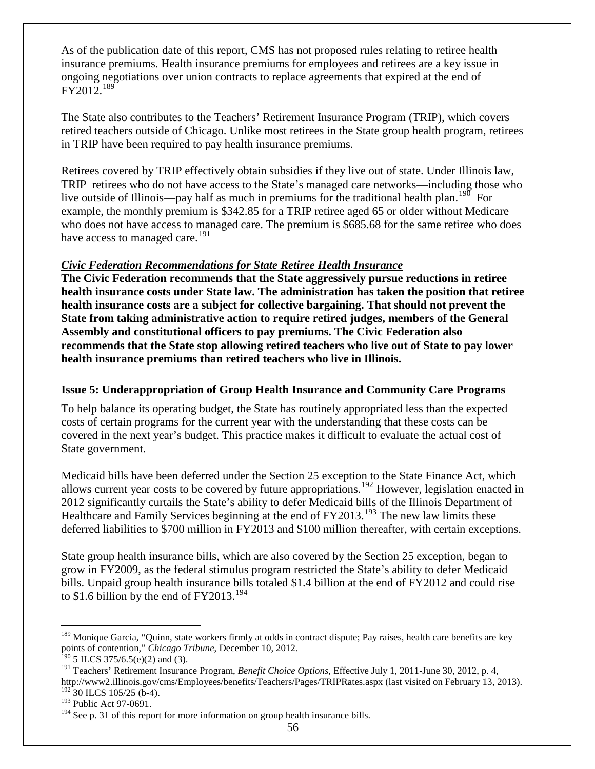As of the publication date of this report, CMS has not proposed rules relating to retiree health insurance premiums. Health insurance premiums for employees and retirees are a key issue in ongoing negotiations over union contracts to replace agreements that expired at the end of  $FY2012.<sup>189</sup>$  $FY2012.<sup>189</sup>$  $FY2012.<sup>189</sup>$ 

The State also contributes to the Teachers' Retirement Insurance Program (TRIP), which covers retired teachers outside of Chicago. Unlike most retirees in the State group health program, retirees in TRIP have been required to pay health insurance premiums.

Retirees covered by TRIP effectively obtain subsidies if they live out of state. Under Illinois law, TRIP retirees who do not have access to the State's managed care networks—including those who live outside of Illinois—pay half as much in premiums for the traditional health plan.<sup>[190](#page-58-2)</sup> For example, the monthly premium is \$342.85 for a TRIP retiree aged 65 or older without Medicare who does not have access to managed care. The premium is \$685.68 for the same retiree who does have access to managed care.<sup>191</sup>

### *Civic Federation Recommendations for State Retiree Health Insurance*

**The Civic Federation recommends that the State aggressively pursue reductions in retiree health insurance costs under State law. The administration has taken the position that retiree health insurance costs are a subject for collective bargaining. That should not prevent the State from taking administrative action to require retired judges, members of the General Assembly and constitutional officers to pay premiums. The Civic Federation also recommends that the State stop allowing retired teachers who live out of State to pay lower health insurance premiums than retired teachers who live in Illinois.** 

## <span id="page-58-0"></span>**Issue 5: Underappropriation of Group Health Insurance and Community Care Programs**

To help balance its operating budget, the State has routinely appropriated less than the expected costs of certain programs for the current year with the understanding that these costs can be covered in the next year's budget. This practice makes it difficult to evaluate the actual cost of State government.

Medicaid bills have been deferred under the Section 25 exception to the State Finance Act, which allows current year costs to be covered by future appropriations.[192](#page-58-4) However, legislation enacted in 2012 significantly curtails the State's ability to defer Medicaid bills of the Illinois Department of Healthcare and Family Services beginning at the end of FY2013.<sup>[193](#page-58-5)</sup> The new law limits these deferred liabilities to \$700 million in FY2013 and \$100 million thereafter, with certain exceptions.

State group health insurance bills, which are also covered by the Section 25 exception, began to grow in FY2009, as the federal stimulus program restricted the State's ability to defer Medicaid bills. Unpaid group health insurance bills totaled \$1.4 billion at the end of FY2012 and could rise to \$1.6 billion by the end of  $FY2013.<sup>194</sup>$  $FY2013.<sup>194</sup>$  $FY2013.<sup>194</sup>$ 

<span id="page-58-1"></span><sup>&</sup>lt;sup>189</sup> Monique Garcia, "Quinn, state workers firmly at odds in contract dispute; Pay raises, health care benefits are key points of contention," *Chicago Tribune*, December 10, 2012.

<span id="page-58-2"></span><sup>&</sup>lt;sup>190</sup> 5 ILCS 375/6.5(e)(2) and (3).

<span id="page-58-3"></span><sup>191</sup> Teachers' Retirement Insurance Program, *Benefit Choice Options*, Effective July 1, 2011-June 30, 2012, p. 4, http://www2.illinois.gov/cms/Employees/benefits/Teachers/Pages/TRIPRates.aspx (last visited on February 13, 2013).  $192$  30 ILCS 105/25 (b-4).

<span id="page-58-5"></span><span id="page-58-4"></span><sup>&</sup>lt;sup>193</sup> Public Act 97-0691.

<span id="page-58-6"></span><sup>&</sup>lt;sup>194</sup> See p. [31](#page-35-0) of this report for more information on group health insurance bills.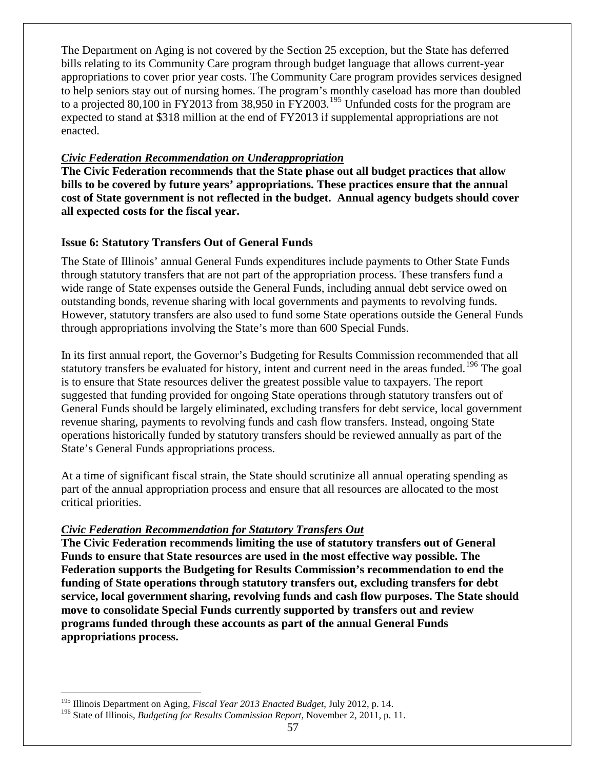The Department on Aging is not covered by the Section 25 exception, but the State has deferred bills relating to its Community Care program through budget language that allows current-year appropriations to cover prior year costs. The Community Care program provides services designed to help seniors stay out of nursing homes. The program's monthly caseload has more than doubled to a projected 80,100 in FY2013 from 38,950 in FY2003.<sup>[195](#page-59-1)</sup> Unfunded costs for the program are expected to stand at \$318 million at the end of FY2013 if supplemental appropriations are not enacted.

## *Civic Federation Recommendation on Underappropriation*

**The Civic Federation recommends that the State phase out all budget practices that allow bills to be covered by future years' appropriations. These practices ensure that the annual cost of State government is not reflected in the budget. Annual agency budgets should cover all expected costs for the fiscal year.**

# <span id="page-59-0"></span>**Issue 6: Statutory Transfers Out of General Funds**

The State of Illinois' annual General Funds expenditures include payments to Other State Funds through statutory transfers that are not part of the appropriation process. These transfers fund a wide range of State expenses outside the General Funds, including annual debt service owed on outstanding bonds, revenue sharing with local governments and payments to revolving funds. However, statutory transfers are also used to fund some State operations outside the General Funds through appropriations involving the State's more than 600 Special Funds.

In its first annual report, the Governor's Budgeting for Results Commission recommended that all statutory transfers be evaluated for history, intent and current need in the areas funded.<sup>[196](#page-59-2)</sup> The goal is to ensure that State resources deliver the greatest possible value to taxpayers. The report suggested that funding provided for ongoing State operations through statutory transfers out of General Funds should be largely eliminated, excluding transfers for debt service, local government revenue sharing, payments to revolving funds and cash flow transfers. Instead, ongoing State operations historically funded by statutory transfers should be reviewed annually as part of the State's General Funds appropriations process.

At a time of significant fiscal strain, the State should scrutinize all annual operating spending as part of the annual appropriation process and ensure that all resources are allocated to the most critical priorities.

# *Civic Federation Recommendation for Statutory Transfers Out*

**The Civic Federation recommends limiting the use of statutory transfers out of General Funds to ensure that State resources are used in the most effective way possible. The Federation supports the Budgeting for Results Commission's recommendation to end the funding of State operations through statutory transfers out, excluding transfers for debt service, local government sharing, revolving funds and cash flow purposes. The State should move to consolidate Special Funds currently supported by transfers out and review programs funded through these accounts as part of the annual General Funds appropriations process.** 

<span id="page-59-1"></span> <sup>195</sup> Illinois Department on Aging, *Fiscal Year 2013 Enacted Budget*, July 2012, p. 14.

<span id="page-59-2"></span><sup>196</sup> State of Illinois, *Budgeting for Results Commission Report*, November 2, 2011, p. 11.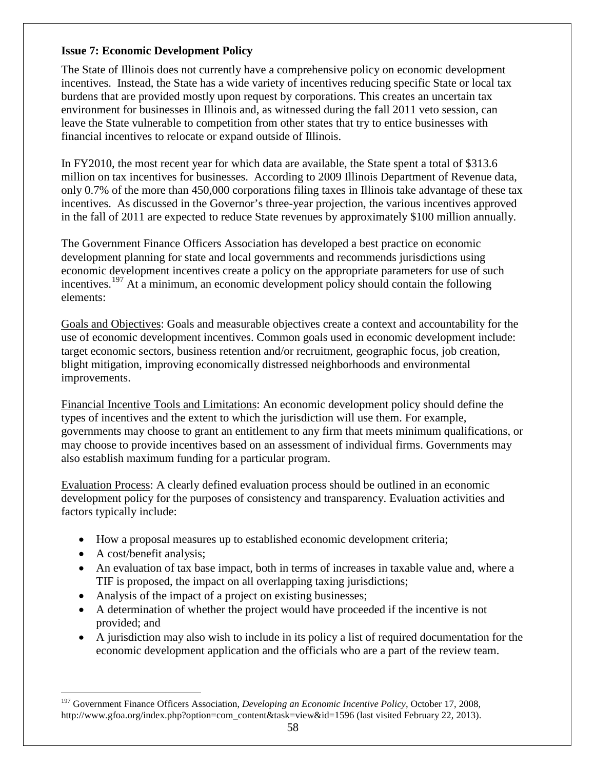# <span id="page-60-0"></span>**Issue 7: Economic Development Policy**

The State of Illinois does not currently have a comprehensive policy on economic development incentives. Instead, the State has a wide variety of incentives reducing specific State or local tax burdens that are provided mostly upon request by corporations. This creates an uncertain tax environment for businesses in Illinois and, as witnessed during the fall 2011 veto session, can leave the State vulnerable to competition from other states that try to entice businesses with financial incentives to relocate or expand outside of Illinois.

In FY2010, the most recent year for which data are available, the State spent a total of \$313.6 million on tax incentives for businesses. According to 2009 Illinois Department of Revenue data, only 0.7% of the more than 450,000 corporations filing taxes in Illinois take advantage of these tax incentives. As discussed in the Governor's three-year projection, the various incentives approved in the fall of 2011 are expected to reduce State revenues by approximately \$100 million annually.

The Government Finance Officers Association has developed a best practice on economic development planning for state and local governments and recommends jurisdictions using economic development incentives create a policy on the appropriate parameters for use of such incentives.<sup>[197](#page-60-1)</sup> At a minimum, an economic development policy should contain the following elements:

Goals and Objectives: Goals and measurable objectives create a context and accountability for the use of economic development incentives. Common goals used in economic development include: target economic sectors, business retention and/or recruitment, geographic focus, job creation, blight mitigation, improving economically distressed neighborhoods and environmental improvements.

Financial Incentive Tools and Limitations: An economic development policy should define the types of incentives and the extent to which the jurisdiction will use them. For example, governments may choose to grant an entitlement to any firm that meets minimum qualifications, or may choose to provide incentives based on an assessment of individual firms. Governments may also establish maximum funding for a particular program.

Evaluation Process: A clearly defined evaluation process should be outlined in an economic development policy for the purposes of consistency and transparency. Evaluation activities and factors typically include:

- How a proposal measures up to established economic development criteria;
- A cost/benefit analysis;
- An evaluation of tax base impact, both in terms of increases in taxable value and, where a TIF is proposed, the impact on all overlapping taxing jurisdictions;
- Analysis of the impact of a project on existing businesses;
- A determination of whether the project would have proceeded if the incentive is not provided; and
- A jurisdiction may also wish to include in its policy a list of required documentation for the economic development application and the officials who are a part of the review team.

<span id="page-60-1"></span> <sup>197</sup> Government Finance Officers Association, *Developing an Economic Incentive Policy*, October 17, 2008, http://www.gfoa.org/index.php?option=com\_content&task=view&id=1596 (last visited February 22, 2013).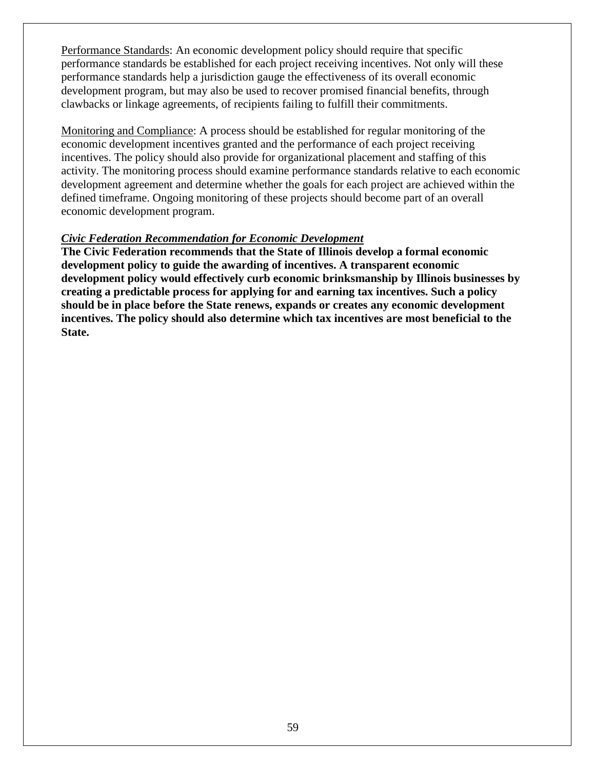Performance Standards: An economic development policy should require that specific performance standards be established for each project receiving incentives. Not only will these performance standards help a jurisdiction gauge the effectiveness of its overall economic development program, but may also be used to recover promised financial benefits, through clawbacks or linkage agreements, of recipients failing to fulfill their commitments.

Monitoring and Compliance: A process should be established for regular monitoring of the economic development incentives granted and the performance of each project receiving incentives. The policy should also provide for organizational placement and staffing of this activity. The monitoring process should examine performance standards relative to each economic development agreement and determine whether the goals for each project are achieved within the defined timeframe. Ongoing monitoring of these projects should become part of an overall economic development program.

### *Civic Federation Recommendation for Economic Development*

**The Civic Federation recommends that the State of Illinois develop a formal economic development policy to guide the awarding of incentives. A transparent economic development policy would effectively curb economic brinksmanship by Illinois businesses by creating a predictable process for applying for and earning tax incentives. Such a policy should be in place before the State renews, expands or creates any economic development incentives. The policy should also determine which tax incentives are most beneficial to the State.**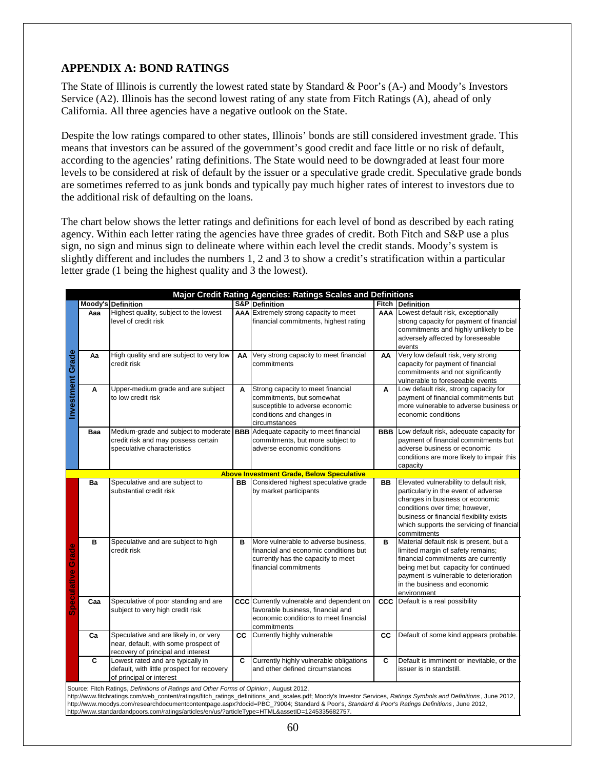### <span id="page-62-0"></span>**APPENDIX A: BOND RATINGS**

The State of Illinois is currently the lowest rated state by Standard & Poor's (A-) and Moody's Investors Service (A2). Illinois has the second lowest rating of any state from Fitch Ratings (A), ahead of only California. All three agencies have a negative outlook on the State.

Despite the low ratings compared to other states, Illinois' bonds are still considered investment grade. This means that investors can be assured of the government's good credit and face little or no risk of default, according to the agencies' rating definitions. The State would need to be downgraded at least four more levels to be considered at risk of default by the issuer or a speculative grade credit. Speculative grade bonds are sometimes referred to as junk bonds and typically pay much higher rates of interest to investors due to the additional risk of defaulting on the loans.

The chart below shows the letter ratings and definitions for each level of bond as described by each rating agency. Within each letter rating the agencies have three grades of credit. Both Fitch and S&P use a plus sign, no sign and minus sign to delineate where within each level the credit stands. Moody's system is slightly different and includes the numbers 1, 2 and 3 to show a credit's stratification within a particular letter grade (1 being the highest quality and 3 the lowest).

|                          |                |                                                                                                                                                                                                                                                                                                                                                                                                                                                                                                               |            | Major Credit Rating Agencies: Ratings Scales and Definitions                                                                                    |            |                                                                                                                                                                                                                                                              |
|--------------------------|----------------|---------------------------------------------------------------------------------------------------------------------------------------------------------------------------------------------------------------------------------------------------------------------------------------------------------------------------------------------------------------------------------------------------------------------------------------------------------------------------------------------------------------|------------|-------------------------------------------------------------------------------------------------------------------------------------------------|------------|--------------------------------------------------------------------------------------------------------------------------------------------------------------------------------------------------------------------------------------------------------------|
|                          |                | Moody's Definition                                                                                                                                                                                                                                                                                                                                                                                                                                                                                            |            | S&P Definition                                                                                                                                  |            | <b>Fitch Definition</b>                                                                                                                                                                                                                                      |
|                          | Aaa            | Highest quality, subject to the lowest<br>level of credit risk                                                                                                                                                                                                                                                                                                                                                                                                                                                |            | AAA Extremely strong capacity to meet<br>financial commitments, highest rating                                                                  | AAA        | Lowest default risk, exceptionally<br>strong capacity for payment of financial<br>commitments and highly unlikely to be<br>adversely affected by foreseeable<br>events                                                                                       |
| <b>Investment Grade</b>  | Aa             | High quality and are subject to very low<br>credit risk                                                                                                                                                                                                                                                                                                                                                                                                                                                       | AA         | Very strong capacity to meet financial<br>commitments                                                                                           | AA         | Very low default risk, very strong<br>capacity for payment of financial<br>commitments and not significantly<br>vulnerable to foreseeable events                                                                                                             |
|                          | A              | Upper-medium grade and are subject<br>to low credit risk                                                                                                                                                                                                                                                                                                                                                                                                                                                      | A          | Strong capacity to meet financial<br>commitments, but somewhat<br>susceptible to adverse economic<br>conditions and changes in<br>circumstances | A          | Low default risk, strong capacity for<br>payment of financial commitments but<br>more vulnerable to adverse business or<br>economic conditions                                                                                                               |
|                          | Baa            | Medium-grade and subject to moderate<br>credit risk and may possess certain<br>speculative characteristics                                                                                                                                                                                                                                                                                                                                                                                                    |            | <b>BBB</b> Adequate capacity to meet financial<br>commitments, but more subject to<br>adverse economic conditions                               | <b>BBB</b> | Low default risk, adequate capacity for<br>payment of financial commitments but<br>adverse business or economic<br>conditions are more likely to impair this<br>capacity                                                                                     |
|                          |                |                                                                                                                                                                                                                                                                                                                                                                                                                                                                                                               |            | <b>Above Investment Grade, Below Speculative</b>                                                                                                |            |                                                                                                                                                                                                                                                              |
|                          | Ba             | Speculative and are subject to<br>substantial credit risk                                                                                                                                                                                                                                                                                                                                                                                                                                                     | BB         | Considered highest speculative grade<br>by market participants                                                                                  | BB         | Elevated vulnerability to default risk,<br>particularly in the event of adverse<br>changes in business or economic<br>conditions over time; however,<br>business or financial flexibility exists<br>which supports the servicing of financial<br>commitments |
| <b>Speculative Grade</b> | в              | Speculative and are subject to high<br>credit risk                                                                                                                                                                                                                                                                                                                                                                                                                                                            | B          | More vulnerable to adverse business,<br>financial and economic conditions but<br>currently has the capacity to meet<br>financial commitments    | B          | Material default risk is present, but a<br>limited margin of safety remains;<br>financial commitments are currently<br>being met but capacity for continued<br>payment is vulnerable to deterioration<br>in the business and economic<br>environment         |
|                          | Caa            | Speculative of poor standing and are<br>subject to very high credit risk                                                                                                                                                                                                                                                                                                                                                                                                                                      | <b>CCC</b> | Currently vulnerable and dependent on<br>favorable business, financial and<br>economic conditions to meet financial<br>commitments              |            | <b>CCC</b> Default is a real possibility                                                                                                                                                                                                                     |
|                          | Ca             | Speculative and are likely in, or very<br>near, default, with some prospect of<br>recovery of principal and interest                                                                                                                                                                                                                                                                                                                                                                                          | <b>CC</b>  | Currently highly vulnerable                                                                                                                     | <b>CC</b>  | Default of some kind appears probable.                                                                                                                                                                                                                       |
|                          | $\overline{c}$ | Lowest rated and are typically in<br>default, with little prospect for recovery<br>of principal or interest                                                                                                                                                                                                                                                                                                                                                                                                   | C          | Currently highly vulnerable obligations<br>and other defined circumstances                                                                      | C          | Default is imminent or inevitable, or the<br>issuer is in standstill.                                                                                                                                                                                        |
|                          |                | Source: Fitch Ratings, Definitions of Ratings and Other Forms of Opinion, August 2012,<br>http://www.fitchratings.com/web_content/ratings/fitch_ratings_definitions_and_scales.pdf; Moody's Investor Services, Ratings Symbols and Definitions, June 2012,<br>http://www.moodys.com/researchdocumentcontentpage.aspx?docid=PBC_79004; Standard & Poor's, Standard & Poor's Ratings Definitions, June 2012,<br>http://www.standardandpoors.com/ratings/articles/en/us/?articleType=HTML&assetID=1245335682757. |            |                                                                                                                                                 |            |                                                                                                                                                                                                                                                              |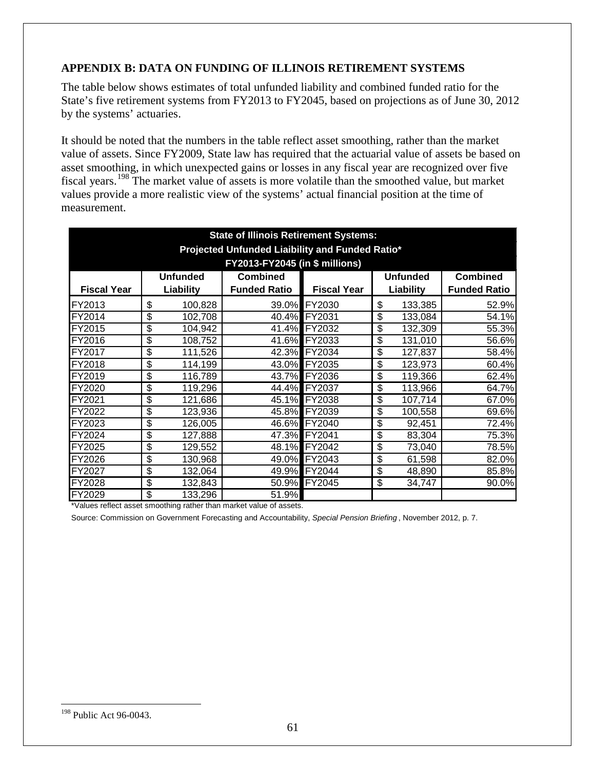# <span id="page-63-0"></span>**APPENDIX B: DATA ON FUNDING OF ILLINOIS RETIREMENT SYSTEMS**

The table below shows estimates of total unfunded liability and combined funded ratio for the State's five retirement systems from FY2013 to FY2045, based on projections as of June 30, 2012 by the systems' actuaries.

It should be noted that the numbers in the table reflect asset smoothing, rather than the market value of assets. Since FY2009, State law has required that the actuarial value of assets be based on asset smoothing, in which unexpected gains or losses in any fiscal year are recognized over five fiscal years.[198](#page-63-1) The market value of assets is more volatile than the smoothed value, but market values provide a more realistic view of the systems' actual financial position at the time of measurement.

| <b>State of Illinois Retirement Systems:</b>                             |                                        |           |                     |                    |    |           |                     |  |  |  |  |  |  |
|--------------------------------------------------------------------------|----------------------------------------|-----------|---------------------|--------------------|----|-----------|---------------------|--|--|--|--|--|--|
| Projected Unfunded Liaibility and Funded Ratio*                          |                                        |           |                     |                    |    |           |                     |  |  |  |  |  |  |
| FY2013-FY2045 (in \$ millions)                                           |                                        |           |                     |                    |    |           |                     |  |  |  |  |  |  |
| <b>Unfunded</b><br><b>Combined</b><br><b>Combined</b><br><b>Unfunded</b> |                                        |           |                     |                    |    |           |                     |  |  |  |  |  |  |
| <b>Fiscal Year</b>                                                       |                                        | Liability | <b>Funded Ratio</b> | <b>Fiscal Year</b> |    | Liability | <b>Funded Ratio</b> |  |  |  |  |  |  |
| FY2013                                                                   | \$                                     | 100,828   |                     | 39.0% FY2030       | \$ | 133,385   | 52.9%               |  |  |  |  |  |  |
| FY2014                                                                   | \$                                     | 102,708   |                     | 40.4% FY2031       | \$ | 133,084   | 54.1%               |  |  |  |  |  |  |
| FY2015                                                                   | \$                                     | 104,942   | 41.4%               | FY2032             | \$ | 132,309   | 55.3%               |  |  |  |  |  |  |
| FY2016                                                                   | \$                                     | 108,752   |                     | 41.6% FY2033       | \$ | 131,010   | 56.6%               |  |  |  |  |  |  |
| FY2017                                                                   | \$                                     | 111,526   | 42.3%               | FY2034             | \$ | 127,837   | 58.4%               |  |  |  |  |  |  |
| FY2018                                                                   | \$                                     | 114,199   |                     | 43.0% FY2035       | \$ | 123,973   | 60.4%               |  |  |  |  |  |  |
| FY2019                                                                   | \$                                     | 116,789   | 43.7%               | FY2036             | \$ | 119,366   | $62.4\%$            |  |  |  |  |  |  |
| FY2020                                                                   | \$                                     | 119,296   | 44.4%               | <b>FY2037</b>      | \$ | 113,966   | 64.7%               |  |  |  |  |  |  |
| FY2021                                                                   | $\overline{\boldsymbol{\mathfrak{s}}}$ | 121,686   | 45.1%               | <b>FY2038</b>      | \$ | 107,714   | 67.0%               |  |  |  |  |  |  |
| FY2022                                                                   | \$                                     | 123,936   | 45.8%               | FY2039             | \$ | 100,558   | 69.6%               |  |  |  |  |  |  |
| FY2023                                                                   | \$                                     | 126,005   |                     | 46.6% FY2040       | \$ | 92,451    | 72.4%               |  |  |  |  |  |  |
| FY2024                                                                   | \$                                     | 127,888   | 47.3%               | <b>FY2041</b>      | \$ | 83,304    | 75.3%               |  |  |  |  |  |  |
| FY2025                                                                   | \$                                     | 129,552   | 48.1%               | <b>FY2042</b>      | \$ | 73,040    | 78.5%               |  |  |  |  |  |  |
| FY2026                                                                   | \$                                     | 130,968   | 49.0%               | FY2043             | \$ | 61,598    | 82.0%               |  |  |  |  |  |  |
| FY2027                                                                   | \$                                     | 132,064   |                     | 49.9% FY2044       | \$ | 48,890    | 85.8%               |  |  |  |  |  |  |
| FY2028                                                                   | \$                                     | 132,843   |                     | 50.9% FY2045       | \$ | 34,747    | 90.0%               |  |  |  |  |  |  |
| FY2029                                                                   | \$                                     | 133,296   | 51.9%               |                    |    |           |                     |  |  |  |  |  |  |

\*Values reflect asset smoothing rather than market value of assets.

Source: Commission on Government Forecasting and Accountability, *Special Pension Briefing* , November 2012, p. 7.

<span id="page-63-1"></span><sup>198</sup> Public Act 96-0043.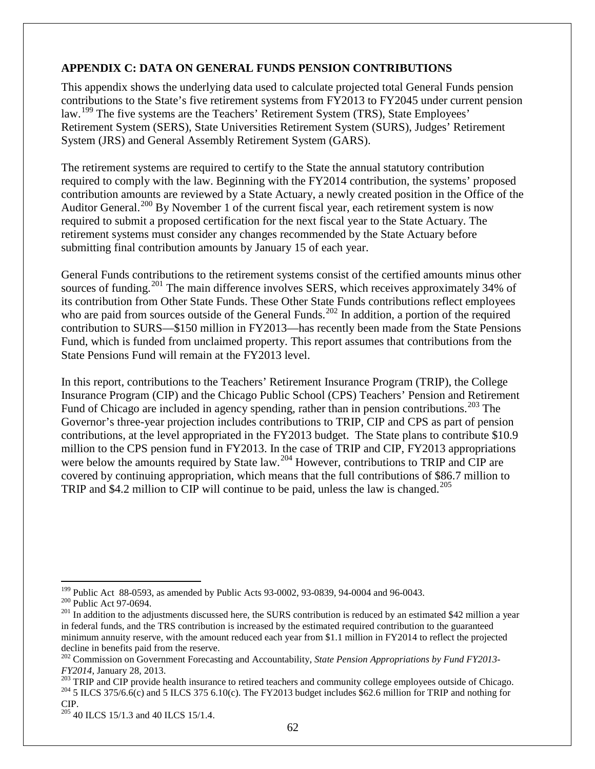### <span id="page-64-0"></span>**APPENDIX C: DATA ON GENERAL FUNDS PENSION CONTRIBUTIONS**

This appendix shows the underlying data used to calculate projected total General Funds pension contributions to the State's five retirement systems from FY2013 to FY2045 under current pension law.<sup>[199](#page-64-1)</sup> The five systems are the Teachers' Retirement System (TRS), State Employees' Retirement System (SERS), State Universities Retirement System (SURS), Judges' Retirement System (JRS) and General Assembly Retirement System (GARS).

The retirement systems are required to certify to the State the annual statutory contribution required to comply with the law. Beginning with the FY2014 contribution, the systems' proposed contribution amounts are reviewed by a State Actuary, a newly created position in the Office of the Auditor General.<sup>[200](#page-64-2)</sup> By November 1 of the current fiscal year, each retirement system is now required to submit a proposed certification for the next fiscal year to the State Actuary. The retirement systems must consider any changes recommended by the State Actuary before submitting final contribution amounts by January 15 of each year.

General Funds contributions to the retirement systems consist of the certified amounts minus other sources of funding.<sup>[201](#page-64-3)</sup> The main difference involves SERS, which receives approximately 34% of its contribution from Other State Funds. These Other State Funds contributions reflect employees who are paid from sources outside of the General Funds.<sup>[202](#page-64-4)</sup> In addition, a portion of the required contribution to SURS—\$150 million in FY2013—has recently been made from the State Pensions Fund, which is funded from unclaimed property. This report assumes that contributions from the State Pensions Fund will remain at the FY2013 level.

In this report, contributions to the Teachers' Retirement Insurance Program (TRIP), the College Insurance Program (CIP) and the Chicago Public School (CPS) Teachers' Pension and Retirement Fund of Chicago are included in agency spending, rather than in pension contributions.<sup>[203](#page-64-5)</sup> The Governor's three-year projection includes contributions to TRIP, CIP and CPS as part of pension contributions, at the level appropriated in the FY2013 budget. The State plans to contribute \$10.9 million to the CPS pension fund in FY2013. In the case of TRIP and CIP, FY2013 appropriations were below the amounts required by State law.<sup>[204](#page-64-6)</sup> However, contributions to TRIP and CIP are covered by continuing appropriation, which means that the full contributions of \$86.7 million to TRIP and \$4.2 million to CIP will continue to be paid, unless the law is changed.<sup>[205](#page-64-7)</sup>

<span id="page-64-3"></span><span id="page-64-2"></span>

<span id="page-64-1"></span><sup>&</sup>lt;sup>199</sup> Public Act 88-0593, as amended by Public Acts 93-0002, 93-0839, 94-0004 and 96-0043.<br><sup>200</sup> Public Act 97-0694.<br><sup>201</sup> In addition to the adjustments discussed here, the SURS contribution is reduced by an estimated \$4 in federal funds, and the TRS contribution is increased by the estimated required contribution to the guaranteed minimum annuity reserve, with the amount reduced each year from \$1.1 million in FY2014 to reflect the projected decline in benefits paid from the reserve.

<span id="page-64-4"></span><sup>202</sup> Commission on Government Forecasting and Accountability, *State Pension Appropriations by Fund FY2013-*

<span id="page-64-6"></span><span id="page-64-5"></span> $FY2014$ , January 28, 2013.<br><sup>203</sup> TRIP and CIP provide health insurance to retired teachers and community college employees outside of Chicago.<br><sup>204</sup> 5 ILCS 375/6.6(c) and 5 ILCS 375 6.10(c). The FY2013 budget includes \$6 CIP.

<span id="page-64-7"></span> $205$  40 ILCS 15/1.3 and 40 ILCS 15/1.4.